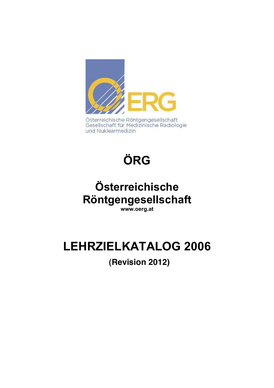

Gesellschaft für Medizinische Radiologie und Nuklearmedizin

# **ÖRG**

# **Österreichische Röntgengesellschaft**

**www.oerg.at** 

# **LEHRZIELKATALOG 2006**

**(Revision 2012)**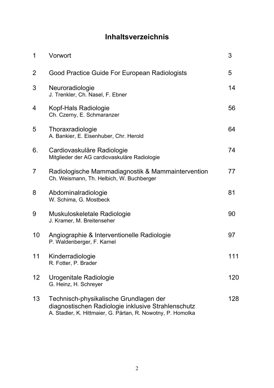# **Inhaltsverzeichnis**

| 1  | Vorwort                                                                                                                                                     | 3   |
|----|-------------------------------------------------------------------------------------------------------------------------------------------------------------|-----|
| 2  | Good Practice Guide For European Radiologists                                                                                                               | 5   |
| 3  | Neuroradiologie<br>J. Trenkler, Ch. Nasel, F. Ebner                                                                                                         | 14  |
| 4  | Kopf-Hals Radiologie<br>Ch. Czerny, E. Schmaranzer                                                                                                          | 56  |
| 5  | Thoraxradiologie<br>A. Bankier, E. Eisenhuber, Chr. Herold                                                                                                  | 64  |
| 6. | Cardiovaskuläre Radiologie<br>Mitglieder der AG cardiovaskuläre Radiologie                                                                                  | 74  |
| 7  | Radiologische Mammadiagnostik & Mammaintervention<br>Ch. Weismann, Th. Helbich, W. Buchberger                                                               | 77  |
| 8  | Abdominalradiologie<br>W. Schima, G. Mostbeck                                                                                                               | 81  |
| 9  | Muskuloskeletale Radiologie<br>J. Kramer, M. Breitenseher                                                                                                   | 90  |
| 10 | Angiographie & Interventionelle Radiologie<br>P. Waldenberger, F. Karnel                                                                                    | 97  |
| 11 | Kinderradiologie<br>R. Fotter, P. Brader                                                                                                                    | 111 |
| 12 | Urogenitale Radiologie<br>G. Heinz, H. Schreyer                                                                                                             | 120 |
| 13 | Technisch-physikalische Grundlagen der<br>diagnostischen Radiologie inklusive Strahlenschutz<br>A. Stadler, K. Hittmaier, G. Pärtan, R. Nowotny, P. Homolka | 128 |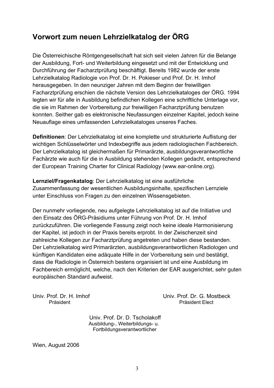# **Vorwort zum neuen Lehrzielkatalog der ÖRG**

Die Österreichische Röntgengesellschaft hat sich seit vielen Jahren für die Belange der Ausbildung, Fort- und Weiterbildung eingesetzt und mit der Entwicklung und Durchführung der Facharztprüfung beschäftigt. Bereits 1982 wurde der erste Lehrzielkatalog Radiologie von Prof. Dr. H. Pokieser und Prof. Dr. H. Imhof herausgegeben. In den neunziger Jahren mit dem Beginn der freiwilligen Facharztprüfung erschien die nächste Version des Lehrzielkataloges der ÖRG. 1994 legten wir für alle in Ausbildung befindlichen Kollegen eine schriftliche Unterlage vor, die sie im Rahmen der Vorbereitung zur freiwilligen Facharztprüfung benutzen konnten. Seither gab es elektronische Neufassungen einzelner Kapitel, jedoch keine Neuauflage eines umfassenden Lehrzielkataloges unseres Faches.

**Definitionen**: Der Lehrzielkatalog ist eine komplette und strukturierte Auflistung der wichtigen Schlüsselwörter und Indexbegriffe aus jedem radiologischen Fachbereich. Der Lehrzielkatalog ist gleichermaßen für Primarärzte, ausbildungsverantwortliche Fachärzte wie auch für die in Ausbildung stehenden Kollegen gedacht, entsprechend der European Training Charter for Clinical Radiology (www.ear-online.org).

**Lernziel/Fragenkatalog**: Der Lehrzielkatalog ist eine ausführliche Zusammenfassung der wesentlichen Ausbildungsinhalte, spezifischen Lernziele unter Einschluss von Fragen zu den einzelnen Wissensgebieten.

Der nunmehr vorliegende, neu aufgelegte Lehrzielkatalog ist auf die Initiative und den Einsatz des ÖRG-Präsidiums unter Führung von Prof. Dr. H. Imhof zurückzuführen. Die vorliegende Fassung zeigt noch keine ideale Harmonisierung der Kapitel, ist jedoch in der Praxis bereits erprobt. In der Zwischenzeit sind zahlreiche Kollegen zur Facharztprüfung angetreten und haben diese bestanden. Der Lehrzielkatalog wird Primarärzten, ausbildungsverantwortlichen Radiologen und künftigen Kandidaten eine adäquate Hilfe in der Vorbereitung sein und bestätigt, dass die Radiologie in Österreich bestens organisiert ist und eine Ausbildung im Fachbereich ermöglicht, welche, nach den Kriterien der EAR ausgerichtet, sehr guten europäischen Standard aufweist.

Univ. Prof. Dr. H. Imhof Univ. Prof. Dr. G. Mostbeck Präsident Elect

> Univ. Prof. Dr. D. Tscholakoff Ausbildung-, Weiterbildungs- u. Fortbildungsverantwortlicher

Wien, August 2006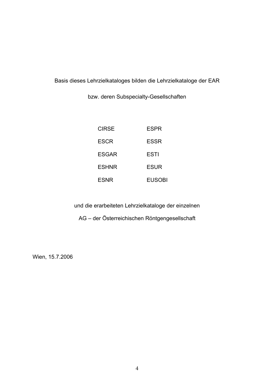Basis dieses Lehrzielkataloges bilden die Lehrzielkataloge der EAR

bzw. deren Subspecialty-Gesellschaften

| CIRSF        | FSPR   |
|--------------|--------|
| <b>ESCR</b>  | ESSR   |
| ESGAR        | ESTI   |
| <b>ESHNR</b> | ESUR   |
| <b>ESNR</b>  | FUSOBI |

und die erarbeiteten Lehrzielkataloge der einzelnen

AG – der Österreichischen Röntgengesellschaft

Wien, 15.7.2006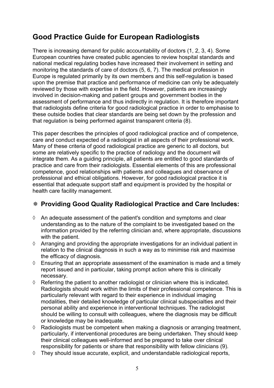# **Good Practice Guide for European Radiologists**

There is increasing demand for public accountability of doctors (1, 2, 3, 4). Some European countries have created public agencies to review hospital standards and national medical regulating bodies have increased their involvement in setting and monitoring the standards of care of doctors (5, 6, 7). The medical profession in Europe is regulated primarily by its own members and this self-regulation is based upon the premise that practice and performance of medicine can only be adequately reviewed by those with expertise in the field. However, patients are increasingly involved in decision-making and patient groups and government bodies in the assessment of performance and thus indirectly in regulation. It is therefore important that radiologists define criteria for good radiological practice in order to emphasise to these outside bodies that clear standards are being set down by the profession and that regulation is being performed against transparent criteria (8).

This paper describes the principles of good radiological practice and of competence, care and conduct expected of a radiologist in all aspects of their professional work. Many of these criteria of good radiological practice are generic to all doctors, but some are relatively specific to the practice of radiology and the document will integrate them. As a guiding principle, all patients are entitled to good standards of practice and care from their radiologists. Essential elements of this are professional competence, good relationships with patients and colleagues and observance of professional and ethical obligations. However, for good radiological practice it is essential that adequate support staff and equipment is provided by the hospital or health care facility management.

# **Providing Good Quality Radiological Practice and Care Includes:**

- $\Diamond$  An adequate assessment of the patient's condition and symptoms and clear understanding as to the nature of the complaint to be investigated based on the information provided by the referring clinician and, where appropriate, discussions with the patient.
- $\Diamond$  Arranging and providing the appropriate investigations for an individual patient in relation to the clinical diagnosis in such a way as to minimise risk and maximise the efficacy of diagnosis.
- $\Diamond$  Ensuring that an appropriate assessment of the examination is made and a timely report issued and in particular, taking prompt action where this is clinically necessary.
- $\Diamond$  Referring the patient to another radiologist or clinician where this is indicated. Radiologists should work within the limits of their professional competence. This is particularly relevant with regard to their experience in individual imaging modalities, their detailed knowledge of particular clinical subspecialties and their personal ability and experience in interventional techniques. The radiologist should be willing to consult with colleagues, where the diagnosis may be difficult or knowledge may be inadequate.
- $\Diamond$  Radiologists must be competent when making a diagnosis or arranging treatment, particularly, if interventional procedures are being undertaken. They should keep their clinical colleagues well-informed and be prepared to take over clinical responsibility for patients or share that responsibility with fellow clinicians (9).
- $\Diamond$  They should issue accurate, explicit, and understandable radiological reports,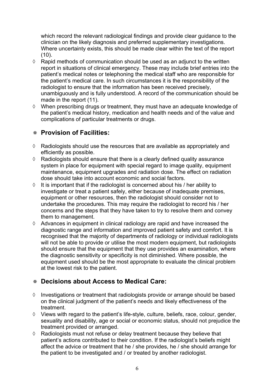which record the relevant radiological findings and provide clear guidance to the clinician on the likely diagnosis and preferred supplementary investigations. Where uncertainty exists, this should be made clear within the text of the report  $(10).$ 

- $\Diamond$  Rapid methods of communication should be used as an adjunct to the written report in situations of clinical emergency. These may include brief entries into the patient's medical notes or telephoning the medical staff who are responsible for the patient's medical care. In such circumstances it is the responsibility of the radiologist to ensure that the information has been received precisely, unambiguously and is fully understood. A record of the communication should be made in the report (11).
- $\Diamond$  When prescribing drugs or treatment, they must have an adequate knowledge of the patient's medical history, medication and health needs and of the value and complications of particular treatments or drugs.

# **Provision of Facilities:**

- $\Diamond$  Radiologists should use the resources that are available as appropriately and efficiently as possible.
- $\Diamond$  Radiologists should ensure that there is a clearly defined quality assurance system in place for equipment with special regard to image quality, equipment maintenance, equipment upgrades and radiation dose. The effect on radiation dose should take into account economic and social factors.
- $\Diamond$  It is important that if the radiologist is concerned about his / her ability to investigate or treat a patient safely, either because of inadequate premises, equipment or other resources, then the radiologist should consider not to undertake the procedures. This may require the radiologist to record his / her concerns and the steps that they have taken to try to resolve them and convey them to management.
- $\Diamond$  Advances in equipment in clinical radiology are rapid and have increased the diagnostic range and information and improved patient safety and comfort. It is recognised that the majority of departments of radiology or individual radiologists will not be able to provide or utilise the most modern equipment, but radiologists should ensure that the equipment that they use provides an examination, where the diagnostic sensitivity or specificity is not diminished. Where possible, the equipment used should be the most appropriate to evaluate the clinical problem at the lowest risk to the patient.

## **Decisions about Access to Medical Care:**

- $\Diamond$  Investigations or treatment that radiologists provide or arrange should be based on the clinical judgment of the patient's needs and likely effectiveness of the treatment.
- $\Diamond$  Views with regard to the patient's life-style, culture, beliefs, race, colour, gender, sexuality and disability, age or social or economic status, should not prejudice the treatment provided or arranged.
- $\Diamond$  Radiologists must not refuse or delay treatment because they believe that patient's actions contributed to their condition. If the radiologist's beliefs might affect the advice or treatment that he / she provides, he / she should arrange for the patient to be investigated and / or treated by another radiologist.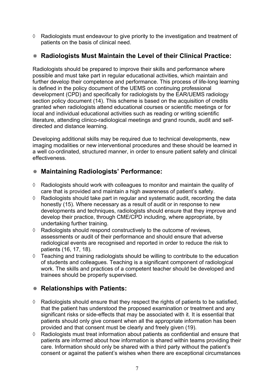$\Diamond$  Radiologists must endeavour to give priority to the investigation and treatment of patients on the basis of clinical need.

## **Radiologists Must Maintain the Level of their Clinical Practice:**

Radiologists should be prepared to improve their skills and performance where possible and must take part in regular educational activities, which maintain and further develop their competence and performance. This process of life-long learning is defined in the policy document of the UEMS on continuing professional development (CPD) and specifically for radiologists by the EAR/UEMS radiology section policy document (14). This scheme is based on the acquisition of credits granted when radiologists attend educational courses or scientific meetings or for local and individual educational activities such as reading or writing scientific literature, attending clinico-radiological meetings and grand rounds, audit and selfdirected and distance learning.

Developing additional skills may be required due to technical developments, new imaging modalities or new interventional procedures and these should be learned in a well co-ordinated, structured manner, in order to ensure patient safety and clinical effectiveness.

# **Maintaining Radiologists' Performance:**

- $\Diamond$  Radiologists should work with colleagues to monitor and maintain the quality of care that is provided and maintain a high awareness of patient's safety.
- $\Diamond$  Radiologists should take part in regular and systematic audit, recording the data honestly (15). Where necessary as a result of audit or in response to new developments and techniques, radiologists should ensure that they improve and develop their practice, through CME/CPD including, where appropriate, by undertaking further training.
- $\Diamond$  Radiologists should respond constructively to the outcome of reviews, assessments or audit of their performance and should ensure that adverse radiological events are recognised and reported in order to reduce the risk to patients (16, 17, 18).
- $\Diamond$  Teaching and training radiologists should be willing to contribute to the education of students and colleagues. Teaching is a significant component of radiological work. The skills and practices of a competent teacher should be developed and trainees should be properly supervised.

# **Relationships with Patients:**

- $\Diamond$  Radiologists should ensure that they respect the rights of patients to be satisfied, that the patient has understood the proposed examination or treatment and any significant risks or side-effects that may be associated with it. It is essential that patients should only give consent when all the appropriate information has been provided and that consent must be clearly and freely given (19).
- $\Diamond$  Radiologists must treat information about patients as confidential and ensure that patients are informed about how information is shared within teams providing their care. Information should only be shared with a third party without the patient's consent or against the patient's wishes when there are exceptional circumstances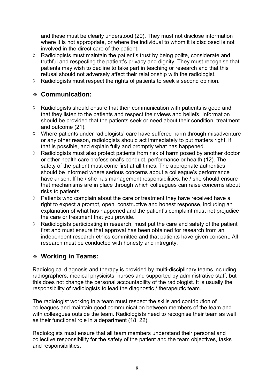and these must be clearly understood (20). They must not disclose information where it is not appropriate, or where the individual to whom it is disclosed is not involved in the direct care of the patient.

- $\Diamond$  Radiologists must maintain the patient's trust by being polite, considerate and truthful and respecting the patient's privacy and dignity. They must recognise that patients may wish to decline to take part in teaching or research and that this refusal should not adversely affect their relationship with the radiologist.
- $\Diamond$  Radiologists must respect the rights of patients to seek a second opinion.

#### **Communication:**

- $\Diamond$  Radiologists should ensure that their communication with patients is good and that they listen to the patients and respect their views and beliefs. Information should be provided that the patients seek or need about their condition, treatment and outcome (21).
- $\Diamond$  Where patients under radiologists' care have suffered harm through misadventure or any other reason, radiologists should act immediately to put matters right, if that is possible, and explain fully and promptly what has happened.
- $\Diamond$  Radiologists must also protect patients from risk of harm posed by another doctor or other health care professional's conduct, performance or health (12). The safety of the patient must come first at all times. The appropriate authorities should be informed where serious concerns about a colleague's performance have arisen. If he / she has management responsibilities, he / she should ensure that mechanisms are in place through which colleagues can raise concerns about risks to patients.
- $\Diamond$  Patients who complain about the care or treatment they have received have a right to expect a prompt, open, constructive and honest response, including an explanation of what has happened and the patient's complaint must not prejudice the care or treatment that you provide.
- $\Diamond$  Radiologists participating in research, must put the care and safety of the patient first and must ensure that approval has been obtained for research from an independent research ethics committee and that patients have given consent. All research must be conducted with honesty and intregrity.

# **Working in Teams:**

Radiological diagnosis and therapy is provided by multi-disciplinary teams including radiographers, medical physicists, nurses and supported by administrative staff, but this does not change the personal accountability of the radiologist. It is usually the responsibility of radiologists to lead the diagnostic / therapeutic team.

The radiologist working in a team must respect the skills and contribution of colleagues and maintain good communication between members of the team and with colleagues outside the team. Radiologists need to recognise their team as well as their functional role in a department (18, 22).

Radiologists must ensure that all team members understand their personal and collective responsibility for the safety of the patient and the team objectives, tasks and responsibilities.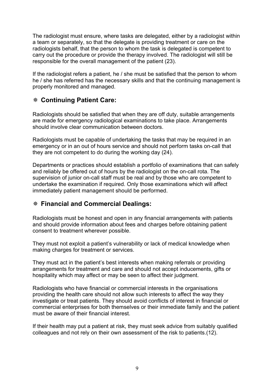The radiologist must ensure, where tasks are delegated, either by a radiologist within a team or separately, so that the delegate is providing treatment or care on the radiologists behalf, that the person to whom the task is delegated is competent to carry out the procedure or provide the therapy involved. The radiologist will still be responsible for the overall management of the patient (23).

If the radiologist refers a patient, he / she must be satisfied that the person to whom he / she has referred has the necessary skills and that the continuing management is properly monitored and managed.

#### **Continuing Patient Care:**

Radiologists should be satisfied that when they are off duty, suitable arrangements are made for emergency radiological examinations to take place. Arrangements should involve clear communication between doctors.

Radiologists must be capable of undertaking the tasks that may be required in an emergency or in an out of hours service and should not perform tasks on-call that they are not competent to do during the working day (24).

Departments or practices should establish a portfolio of examinations that can safely and reliably be offered out of hours by the radiologist on the on-call rota. The supervision of junior on-call staff must be real and by those who are competent to undertake the examination if required. Only those examinations which will affect immediately patient management should be performed.

## **Financial and Commercial Dealings:**

Radiologists must be honest and open in any financial arrangements with patients and should provide information about fees and charges before obtaining patient consent to treatment wherever possible.

They must not exploit a patient's vulnerability or lack of medical knowledge when making charges for treatment or services.

They must act in the patient's best interests when making referrals or providing arrangements for treatment and care and should not accept inducements, gifts or hospitality which may affect or may be seen to affect their judgment.

Radiologists who have financial or commercial interests in the organisations providing the health care should not allow such interests to affect the way they investigate or treat patients. They should avoid conflicts of interest in financial or commercial enterprises for both themselves or their immediate family and the patient must be aware of their financial interest.

If their health may put a patient at risk, they must seek advice from suitably qualified colleagues and not rely on their own assessment of the risk to patients.(12).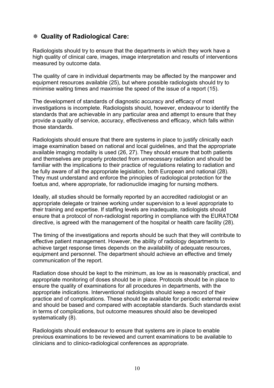## **Quality of Radiological Care:**

Radiologists should try to ensure that the departments in which they work have a high quality of clinical care, images, image interpretation and results of interventions measured by outcome data.

The quality of care in individual departments may be affected by the manpower and equipment resources available (25), but where possible radiologists should try to minimise waiting times and maximise the speed of the issue of a report (15).

The development of standards of diagnostic accuracy and efficacy of most investigations is incomplete. Radiologists should, however, endeavour to identify the standards that are achievable in any particular area and attempt to ensure that they provide a quality of service, accuracy, effectiveness and efficacy, which falls within those standards.

Radiologists should ensure that there are systems in place to justify clinically each image examination based on national and local guidelines, and that the appropriate available imaging modality is used (26, 27). They should ensure that both patients and themselves are properly protected from unnecessary radiation and should be familiar with the implications to their practice of regulations relating to radiation and be fully aware of all the appropriate legislation, both European and national (28). They must understand and enforce the principles of radiological protection for the foetus and, where appropriate, for radionuclide imaging for nursing mothers.

Ideally, all studies should be formally reported by an accredited radiologist or an appropriate delegate or trainee working under supervision to a level appropriate to their training and expertise. If staffing levels are inadequate, radiologists should ensure that a protocol of non-radiologist reporting in compliance with the EURATOM directive, is agreed with the management of the hospital or health care facility (28).

The timing of the investigations and reports should be such that they will contribute to effective patient management. However, the ability of radiology departments to achieve target response times depends on the availability of adequate resources, equipment and personnel. The department should achieve an effective and timely communication of the report.

Radiation dose should be kept to the minimum, as low as is reasonably practical, and appropriate monitoring of doses should be in place. Protocols should be in place to ensure the quality of examinations for all procedures in departments, with the appropriate indications. Interventional radiologists should keep a record of their practice and of complications. These should be available for periodic external review and should be based and compared with acceptable standards. Such standards exist in terms of complications, but outcome measures should also be developed systematically (8).

Radiologists should endeavour to ensure that systems are in place to enable previous examinations to be reviewed and current examinations to be available to clinicians and to clinico-radiological conferences as appropriate.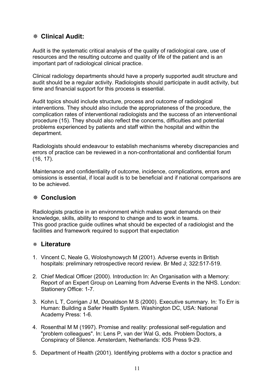# **Clinical Audit:**

Audit is the systematic critical analysis of the quality of radiological care, use of resources and the resulting outcome and quality of life of the patient and is an important part of radiological clinical practice.

Clinical radiology departments should have a properly supported audit structure and audit should be a regular activity. Radiologists should participate in audit activity, but time and financial support for this process is essential.

Audit topics should include structure, process and outcome of radiological interventions. They should also include the appropriateness of the procedure, the complication rates of interventional radiologists and the success of an interventional procedure (15). They should also reflect the concerns, difficulties and potential problems experienced by patients and staff within the hospital and within the department.

Radiologists should endeavour to establish mechanisms whereby discrepancies and errors of practice can be reviewed in a non-confrontational and confidential forum (16, 17).

Maintenance and confidentiality of outcome, incidence, complications, errors and omissions is essential, if local audit is to be beneficial and if national comparisons are to be achieved.

#### **Conclusion**

Radiologists practice in an environment which makes great demands on their knowledge, skills, ability to respond to change and to work in teams. This good practice guide outlines what should be expected of a radiologist and the facilities and framework required to support that expectation

#### **Literature**

- 1. Vincent C, Neale G, Woloshynowych M (2001). Adverse events in British hospitals: preliminary retrospective record review. Br Med J; 322:517-519.
- 2. Chief Medical Officer (2000). Introduction In: An Organisation with a Memory: Report of an Expert Group on Learning from Adverse Events in the NHS. London: Stationery Office: 1-7.
- 3. Kohn L T, Corrigan J M, Donaldson M S (2000). Executive summary. In: To Err is Human: Building a Safer Health System. Washington DC, USA: National Academy Press: 1-6.
- 4. Rosenthal M M (1997). Promise and reality: professional self-regulation and "problem colleagues". In: Lens P, van der Wal G, eds. Problem Doctors, a Conspiracy of Silence. Amsterdam, Netherlands: IOS Press 9-29.
- 5. Department of Health (2001). Identifying problems with a doctor s practice and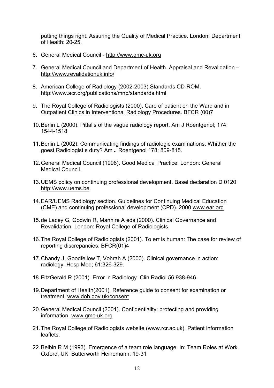putting things right. Assuring the Quality of Medical Practice. London: Department of Health: 20-25.

- 6. General Medical Council http://www.gmc-uk.org
- 7. General Medical Council and Department of Health. Appraisal and Revalidation http://www.revalidationuk.info/
- 8. American College of Radiology (2002-2003) Standards CD-ROM. http://www.acr.org/publications/mnp/standards.html
- 9. The Royal College of Radiologists (2000). Care of patient on the Ward and in Outpatient Clinics in Interventional Radiology Procedures. BFCR (00)7
- 10. Berlin L (2000). Pitfalls of the vague radiology report. Am J Roentgenol; 174: 1544-1518
- 11. Berlin L (2002). Communicating findings of radiologic examinations: Whither the goest Radiologist s duty? Am J Roentgenol 178: 809-815.
- 12. General Medical Council (1998). Good Medical Practice. London: General Medical Council.
- 13. UEMS policy on continuing professional development. Basel declaration D 0120 http://www.uems.be
- 14. EAR/UEMS Radiology section. Guidelines for Continuing Medical Education (CME) and continuing professional development (CPD). 2000 www.ear.org
- 15. de Lacey G, Godwin R, Manhire A eds (2000). Clinical Governance and Revalidation. London: Royal College of Radiologists.
- 16. The Royal College of Radiologists (2001). To err is human: The case for review of reporting discrepancies. BFCR(01)4
- 17. Chandy J, Goodfellow T, Vohrah A (2000). Clinical governance in action: radiology. Hosp Med; 61:326-329.
- 18. FitzGerald R (2001). Error in Radiology. Clin Radiol 56:938-946.
- 19. Department of Health(2001). Reference guide to consent for examination or treatment. www.doh.gov.uk/consent
- 20. General Medical Council (2001). Confidentiality: protecting and providing information. www.gmc-uk.org
- 21. The Royal College of Radiologists website (www.rcr.ac.uk). Patient information leaflets.
- 22. Belbin R M (1993). Emergence of a team role language. In: Team Roles at Work. Oxford, UK: Butterworth Heinemann: 19-31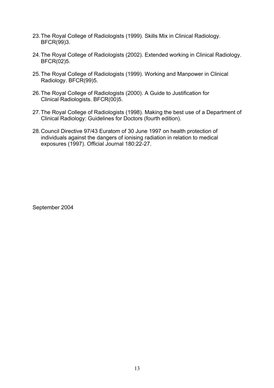- 23. The Royal College of Radiologists (1999). Skills Mix in Clinical Radiology. BFCR(99)3.
- 24. The Royal College of Radiologists (2002). Extended working in Clinical Radiology. BFCR(02)5.
- 25. The Royal College of Radiologists (1999). Working and Manpower in Clinical Radiology. BFCR(99)5.
- 26. The Royal College of Radiologists (2000). A Guide to Justification for Clinical Radiologists. BFCR(00)5.
- 27. The Royal College of Radiologists (1998). Making the best use of a Department of Clinical Radiology: Guidelines for Doctors (fourth edition).
- 28. Council Directive 97/43 Euratom of 30 June 1997 on health protection of individuals against the dangers of ionising radiation in relation to medical exposures (1997). Official Journal 180:22-27.

September 2004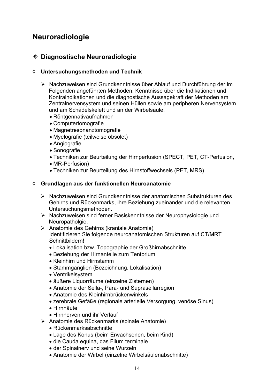# **Neuroradiologie**

## **Diagnostische Neuroradiologie**

#### ¡ **Untersuchungsmethoden und Technik**

- ¾ Nachzuweisen sind Grundkenntnisse über Ablauf und Durchführung der im Folgenden angeführten Methoden: Kenntnisse über die Indikationen und Kontraindikationen und die diagnostische Aussagekraft der Methoden am Zentralnervensystem und seinen Hüllen sowie am peripheren Nervensystem und am Schädelskelett und an der Wirbelsäule.
	- Röntgennativaufnahmen
	- Computertomografie
	- Magnetresonanztomografie
	- Myelografie (teilweise obsolet)
	- Angiografie
	- Sonografie
	- Techniken zur Beurteilung der Hirnperfusion (SPECT, PET, CT-Perfusion,
	- MR-Perfusion)
	- Techniken zur Beurteilung des Hirnstoffwechsels (PET, MRS)

#### ¡ **Grundlagen aus der funktionellen Neuroanatomie**

- ¾ Nachzuweisen sind Grundkenntnisse der anatomischen Substrukturen des Gehirns und Rückenmarks, ihre Beziehung zueinander und die relevanten Untersuchungsmethoden.
- ¾ Nachzuweisen sind ferner Basiskenntnisse der Neurophysiologie und Neuropatholgie.
- ¾ Anatomie des Gehirns (kraniale Anatomie) Identifizieren Sie folgende neuroanatomischen Strukturen auf CT/MRT Schnittbildern!
	- Lokalisation bzw. Topographie der Großhirnabschnitte
	- Beziehung der Hirnanteile zum Tentorium
	- Kleinhirn und Hirnstamm
	- Stammganglien (Bezeichnung, Lokalisation)
	- Ventrikelsystem
	- äußere Liquorräume (einzelne Zisternen)
	- Anatomie der Sella-, Para- und Suprasellärregion
	- Anatomie des Kleinhirnbrückenwinkels
	- zerebrale Gefäße (regionale arterielle Versorgung, venöse Sinus)
	- · Hirnhäute
	- Hirnnerven und ihr Verlauf
- ¾ Anatomie des Rückenmarks (spinale Anatomie)
	- Rückenmarksabschnitte
	- Lage des Konus (beim Erwachsenen, beim Kind)
	- die Cauda equina, das Filum terminale
	- der Spinalnerv und seine Wurzeln
	- Anatomie der Wirbel (einzelne Wirbelsäulenabschnitte)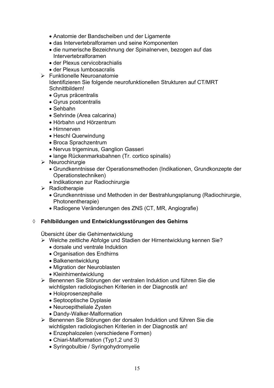- Anatomie der Bandscheiben und der Ligamente
- das Intervertebralforamen und seine Komponenten
- die numerische Bezeichnung der Spinalnerven, bezogen auf das Intervertebralforamen
- der Plexus cervicobrachialis
- der Plexus lumbosacralis
- $\triangleright$  Funktionelle Neuroanatomie Identifizieren Sie folgende neurofunktionellen Strukturen auf CT/MRT Schnittbildern!
	- Gyrus präcentralis
	- Gyrus postcentralis
	- $\bullet$  Sehbahn
	- Sehrinde (Area calcarina)
	- Hörbahn und Hörzentrum
	- Hirnnerven
	- Heschl Querwindung
	- Broca Sprachzentrum
	- Nervus trigeminus, Ganglion Gasseri
	- lange Rückenmarksbahnen (Tr. cortico spinalis)
- ¾ Neurochirurgie
	- x Grundkenntnisse der Operationsmethoden (Indikationen, Grundkonzepte der Operationstechniken)
	- Indikationen zur Radiochirurgie
- $\triangleright$  Radiotherapie
	- Grundkenntnisse und Methoden in der Bestrahlungsplanung (Radiochirurgie, Photonentherapie)
	- Radiogene Veränderungen des ZNS (CT, MR, Angiografie)

## ¡ **Fehlbildungen und Entwicklungsstörungen des Gehirns**

Übersicht über die Gehirnentwicklung

- ¾ Welche zeitliche Abfolge und Stadien der Hirnentwicklung kennen Sie?
	- dorsale und ventrale Induktion
	- Organisation des Endhirns
	- Balkenentwicklung
	- Migration der Neuroblasten
	- Kleinhirnentwicklung
- ¾ Benennen Sie Störungen der ventralen Induktion und führen Sie die wichtigsten radiologischen Kriterien in der Diagnostik an!
	- Holoprosenzephalie
	- Septooptische Dyplasie
	- Neuroepitheliale Zysten
	- Dandy-Walker-Malformation
- ¾ Benennen Sie Störungen der dorsalen Induktion und führen Sie die wichtigsten radiologischen Kriterien in der Diagnostik an!
	- Enzephalozelen (verschiedene Formen)
	- Chiari-Malformation (Typ1,2 und 3)
	- Syringobulbie / Syringohydromyelie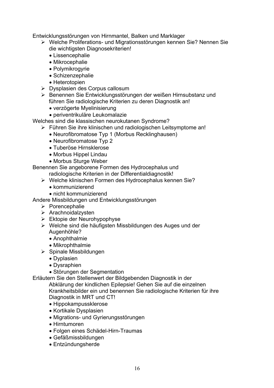Entwicklungsstörungen von Hirnmantel, Balken und Marklager

- ¾ Welche Proliferations- und Migrationsstörungen kennen Sie? Nennen Sie die wichtigsten Diagnosekriterien!
	- Lissencephalie
	- $\bullet$  Mikrocephalie
	- $\bullet$  Polymikrogyrie
	- $\bullet$  Schizenzephalie
	- Heterotopien
- ¾ Dysplasien des Corpus callosum
- ¾ Benennen Sie Entwicklungsstörungen der weißen Hirnsubstanz und führen Sie radiologische Kriterien zu deren Diagnostik an!
	- verzögerte Myelinisierung
	- periventrikuläre Leukomalazie

Welches sind die klassischen neurokutanen Syndrome?

- ¾ Führen Sie ihre klinischen und radiologischen Leitsymptome an!
	- Neurofibromatose Typ 1 (Morbus Recklinghausen)
	- Neurofibromatose Typ 2
	- Tuberöse Hirnsklerose
	- Morbus Hippel Lindau
	- Morbus Sturge Weber

Benennen Sie angeborene Formen des Hydrocephalus und

radiologische Kriterien in der Differentialdiagnostik!

- ¾ Welche klinischen Formen des Hydrocephalus kennen Sie?
	- kommunizierend
- $\bullet$  nicht kommunizierend

Andere Missbildungen und Entwicklungsstörungen

- ¾ Porencephalie
- $\triangleright$  Arachnoidalzysten
- $\triangleright$  Ektopie der Neurohypophyse
- ¾ Welche sind die häufigsten Missbildungen des Auges und der Augenhöhle?
	- Anophthalmie
	- $\bullet$  Mikrophthalmie
- $\triangleright$  Spinale Missbildungen
	- Dyplasien
	- Dysraphien
	- Störungen der Segmentation

Erläutern Sie den Stellenwert der Bildgebenden Diagnostik in der

Abklärung der kindlichen Epilepsie! Gehen Sie auf die einzelnen

Krankheitsbilder ein und benennen Sie radiologische Kriterien für ihre Diagnostik in MRT und CT!

- Hippokampussklerose
- Kortikale Dysplasien
- Migrations- und Gyrierungsstörungen
- Hirntumoren
- Folgen eines Schädel-Hirn-Traumas
- Gefäßmissbildungen
- Entzündungsherde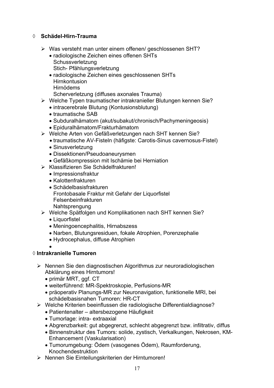#### ¡ **Schädel-Hirn-Trauma**

- ¾ Was versteht man unter einem offenen/ geschlossenen SHT?
	- radiologische Zeichen eines offenen SHTs Schussverletzung Stich- Pfählungsverletzung
	- radiologische Zeichen eines geschlossenen SHTs **Hirnkontusion**  Hirnödems Scherverletzung (diffuses axonales Trauma)
- ¾ Welche Typen traumatischer intrakranieller Blutungen kennen Sie?
	- intracerebrale Blutung (Kontusionsblutung)
	- traumatische SAB
	- Subduralhämatom (akut/subakut/chronisch/Pachymeningeosis)
	- x Epiduralhämatom/Frakturhämatom
- ¾ Welche Arten von Gefäßverletzungen nach SHT kennen Sie?
	- traumatische AV-Fisteln (häfigste: Carotis-Sinus cavernosus-Fistel)
	- Sinusverletzung
	- Dissektionen/Pseudoaneurysmen
	- x Gefäßkompression mit Ischämie bei Herniation
- ¾ Klassifizieren Sie Schädelfrakturen!
	- Impressionsfraktur
	- Kalottenfrakturen
	- $\bullet$  Schädelbasisfrakturen Frontobasale Fraktur mit Gefahr der Liquorfistel Felsenbeinfrakturen Nahtsprengung
- ¾ Welche Spätfolgen und Komplikationen nach SHT kennen Sie?
	- Liquorfistel
	- Meningoencephalitis, Hirnabszess
	- Narben, Blutungsresiduen, fokale Atrophien, Porenzephalie
	- Hydrocephalus, diffuse Atrophien
	- $\bullet$

#### ¡ **Intrakranielle Tumoren**

- ¾ Nennen Sie den diagnostischen Algorithmus zur neuroradiologischen Abklärung eines Hirntumors!
	- primär MRT, ggf. CT
	- weiterführend: MR-Spektroskopie, Perfusions-MR
	- präoperativ Planungs-MR zur Neuronavigation, funktionelle MRI, bei schädelbasisnahen Tumoren: HR-CT
- ¾ Welche Kriterien beeinflussen die radiologische Differentialdiagnose?
	- Patientenalter altersbezogene Häufigkeit
	- Tumorlage: intra- extraaxial
	- Abgrenzbarkeit: gut abgegrenzt, schlecht abgegrenzt bzw. infiltrativ, diffus
	- x Binnenstruktur des Tumors: solide, zystisch, Verkalkungen, Nekrosen, KM-Enhancement (Vaskularisation)
	- x Tumorumgebung: Ödem (vasogenes Ödem), Raumforderung, Knochendestruktion
- ¾ Nennen Sie Einteilungskriterien der Hirntumoren!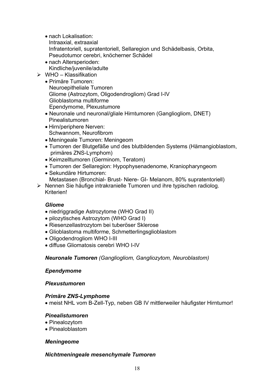- nach Lokalisation: Intraaxial, extraaxial Infratentoriell, supratentoriell, Sellaregion und Schädelbasis, Orbita, Pseudotumor cerebri, knöcherner Schädel
- nach Altersperioden: Kindliche/juvenile/adulte
- $\triangleright$  WHO Klassifikation
	- Primäre Tumoren: Neuroepitheliale Tumoren Gliome (Astrozytom, Oligodendrogliom) Grad I-IV Glioblastoma multiforme Ependymome, Plexustumore
	- Neuronale und neuronal/gliale Hirntumoren (Gangliogliom, DNET) Pinealistumoren
	- Hirn/periphere Nerven: Schwannom, Neurofibrom
	- Meningeale Tumoren: Meningeom
	- Tumoren der Blutgefäße und des blutbildenden Systems (Hämangioblastom, primäres ZNS-Lymphom)
	- Keimzelltumoren (Germinom, Teratom)
	- Tumoren der Sellaregion: Hypophysenadenome, Kraniopharyngeom
	- Sekundäre Hirtumoren: Metastasen (Bronchial- Brust- Niere- GI- Melanom, 80% supratentoriell)
- ¾ Nennen Sie häufige intrakranielle Tumoren und ihre typischen radiolog. **Kriterien!**

## *Gliome*

- niedriggradige Astrozytome (WHO Grad II)
- pilozytisches Astrozytom (WHO Grad I)
- Riesenzellastrozytom bei tuberöser Sklerose
- Glioblastoma multiforme, Schmetterlingsglioblastom
- Oligodendrogliom WHO I-III
- x diffuse Gliomatosis cerebri WHO I-IV

#### *Neuronale Tumoren (Gangliogliom, Gangliozytom, Neuroblastom)*

#### *Ependymome*

#### *Plexustumoren*

#### *Primäre ZNS-Lymphome*

• meist NHL vom B-Zell-Typ, neben GB IV mittlerweiler häufigster Hirntumor!

#### *Pinealistumoren*

- Pinealozytom
- Pinealoblastom

#### *Meningeome*

#### *Nichtmeningeale mesenchymale Tumoren*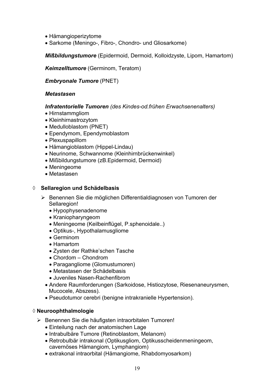- Hämangioperizytome
- Sarkome (Meningo-, Fibro-, Chondro- und Gliosarkome)

*Mißbildungstumore* (Epidermoid, Dermoid, Kolloidzyste, Lipom, Hamartom)

*Keimzelltumore* (Germinom, Teratom)

*Embryonale Tumore* (PNET)

#### *Metastasen*

#### *Infratentorielle Tumoren (des Kindes-od.frühen Erwachsenenalters)*

- Hirnstammgliom
- Kleinhirnastrozytom
- Medulloblastom (PNET)
- Ependymom, Ependymoblastom
- Plexuspapillom
- Hämangioblastom (Hippel-Lindau)
- Neurinome, Schwannome (Kleinhirnbrückenwinkel)
- Mißbildungstumore (zB.Epidermoid, Dermoid)
- Meningeome
- $\bullet$  Metastasen

#### ¡ **Sellaregion und Schädelbasis**

- ¾ Benennen Sie die möglichen Differentialdiagnosen von Tumoren der Sellaregion!
	- Hypophysenadenome
	- Kraniopharyngeom
	- Meningeome (Keilbeinflügel, P.sphenoidale..)
	- Optikus-, Hypothalamusgliome
	- $\bullet$  Germinom
	- Hamartom
	- Zysten der Rathke'schen Tasche
	- $\bullet$  Chordom Chondrom
	- Paragangliome (Glomustumoren)
	- Metastasen der Schädelbasis
	- Juveniles Nasen-Rachenfibrom
	- Andere Raumforderungen (Sarkoidose, Histiozytose, Riesenaneurysmen, Mucocele, Abszess).
	- Pseudotumor cerebri (benigne intrakranielle Hypertension).

#### ¡ **Neuroophthalmologie**

- ¾ Benennen Sie die häufigsten intraorbitalen Tumoren!
	- Einteilung nach der anatomischen Lage
	- Intrabulbäre Tumore (Retinoblastom, Melanom)
	- Retrobulbär intrakonal (Optikusgliom, Optikusscheidenmeningeom, cavernöses Hämangiom, Lymphangiom)
	- extrakonal intraorbital (Hämangiome, Rhabdomyosarkom)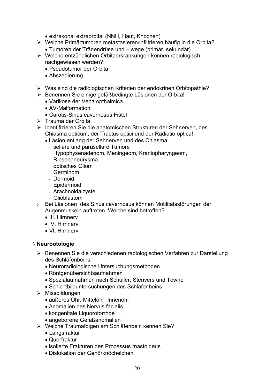- extrakonal extraorbital (NNH, Haut, Knochen)
- ¾ Welche Primärtumoren metastasieren/infiltrieren häufig in die Orbita?
	- Tumoren der Tränendrüse und wege (primär, sekundär)
- ¾ Welche entzündlichen Orbitaerkrankungen können radiologisch nachgewiesen werden?
	- Pseudotumor der Orbita
	- Abszedierung
- ¾ Was sind die radiologischen Kriterien der endokrinen Orbitopathie?
- ¾ Benennen Sie einige gefäßbedingte Läsionen der Orbita!
	- Varikose der Vena opthalmica
	- AV-Malformation
	- Carotis-Sinus cavernosus Fistel
- ¾ Trauma der Orbita
- ¾ Identifizieren Sie die anatomischen Strukturen der Sehnerven, des Chiasma opticum, der Tractus optici und der Radiatio optica!
	- Läsion entlang der Sehnerven und des Chiasma
		- selläre und paraselläre Tumore
		- Hypophysenadenom, Meningeom, Kraniopharyngeom,
		- Riesenaneurysma
		- optisches Gliom
		- Germinom
		- Dermoid
		- Epidermoid
		- Arachnoidalzyste
		- Glioblastom
- <sup>¾</sup> Bei Läsionen des Sinus cavernosus können Motilitätsstörungen der Augenmuskeln auftreten. Welche sind betroffen?
	- III. Hirnnerv
	- IV Hirnnerv
	- VI. Hirnnerv

#### ¡ **Neurootologie**

- ¾ Benennen Sie die verschiedenen radiologischen Verfahren zur Darstellung des Schläfenbeins!
	- Neuroradiologische Untersuchungsmethoden
	- Röntgenübersichtsaufnahmen
	- Spezialaufnahmen nach Schüller, Stenvers und Towne
	- Schichtbilduntersuchungen des Schläfenbeins
- $\triangleright$  Missbildungen
	- äußeres Ohr, Mittelohr, Innenohr
	- Anomalien des Nervus facialis
	- kongenitale Liquorotorrhoe
	- angeborene Gefäßanomalien
- ¾ Welche Traumafolgen am Schläfenbein kennen Sie?
	- Längsfraktur
	- Querfraktur
	- isolierte Frakturen des Processus mastoideus
	- Dislokation der Gehörknöchelchen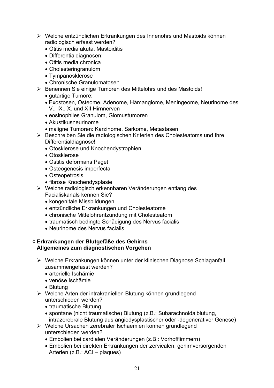- ¾ Welche entzündlichen Erkrankungen des Innenohrs und Mastoids können radiologisch erfasst werden?
	- Otitis media akuta, Mastoiditis
	- Differentialdiagnosen:
	- Otitis media chronica
	- Cholesteringranulom
	- Tympanosklerose
	- Chronische Granulomatosen
- ¾ Benennen Sie einige Tumoren des Mittelohrs und des Mastoids!
	- gutartige Tumore:
	- Exostosen, Osteome, Adenome, Hämangiome, Meningeome, Neurinome des V., IX., X. und XII Hirnnerven
	- eosinophiles Granulom, Glomustumoren
	- $\bullet$  Akustikusneurinome
	- maligne Tumoren: Karzinome, Sarkome, Metastasen
- ¾ Beschreiben Sie die radiologischen Kriterien des Cholesteatoms und Ihre Differentialdiagnose!
	- Otosklerose und Knochendystrophien
	- Otosklerose
	- Ostitis deformans Paget
	- Osteogenesis imperfecta
	- Osteopetrosis
	- fibröse Knochendysplasie
- ¾ Welche radiologisch erkennbaren Veränderungen entlang des Facialiskanals kennen Sie?
	- kongenitale Missbildungen
	- entzündliche Erkrankungen und Cholesteatome
	- chronische Mittelohrentzündung mit Cholesteatom
	- traumatisch bedingte Schädigung des Nervus facialis
	- Neurinome des Nervus facialis

#### ¡ **Erkrankungen der Blutgefäße des Gehirns Allgemeines zum diagnostischen Vorgehen**

- ¾ Welche Erkrankungen können unter der klinischen Diagnose Schlaganfall zusammengefasst werden?
	- arterielle Ischämie
	- x venöse Ischämie
	- Blutung
- ¾ Welche Arten der intrakraniellen Blutung können grundlegend unterschieden werden?
	- traumatische Blutung
	- spontane (nicht traumatische) Blutung (z.B.: Subarachnoidalblutung, intrazerebrale Blutung aus angiodysplastischer oder -degenerativer Genese)
- ¾ Welche Ursachen zerebraler Ischaemien können grundlegend unterschieden werden?
	- Embolien bei cardialen Veränderungen (z.B.: Vorhofflimmern)
	- Embolien bei direkten Erkrankungen der zervicalen, gehirnversorgenden Arterien (z.B.: ACI – plaques)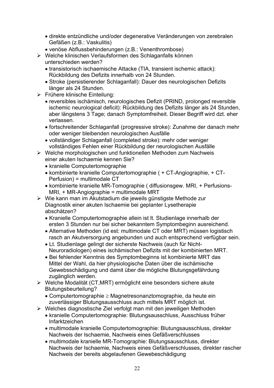- x direkte entzündliche und/oder degenerative Veränderungen von zerebralen Gefäßen (z.B.: Vaskulitis)
- venöse Abflussbehinderungen (z.B.: Venenthrombose)
- ¾ Welche klinischen Verlaufsformen des Schlaganfalls können unterschieden werden?
	- transistorisch ischaemische Attacke (TIA, transient ischemic attack): Rückbildung des Defizits innerhalb von 24 Stunden.
	- Stroke (persistierender Schlaganfall): Dauer des neurologischen Defizits länger als 24 Stunden.
- ¾ Frühere klinische Einteilung:
	- reversibles ischämisch, neurologisches Defizit (PRIND, prolonged reversible ischemic neurological deficit): Rückbildung des Defizits länger als 24 Stunden, aber längstens 3 Tage; danach Symptomfreiheit. Dieser Begriff wird dzt. eher verlassen.
	- fortschreitender Schlaganfall (progressive stroke): Zunahme der danach mehr oder weniger bleibenden neurologischen Ausfälle
	- vollständiger Schlaganfall (completed stroke): mehr oder weniger vollständiges Fehlen einer Rückbildung der neurologischen Ausfälle
- ¾ Welche morphologischen und funktionellen Methoden zum Nachweis einer akuten Ischaemie kennen Sie?
	- kranielle Computertomographie
	- kombinierte kranielle Computertomographie ( + CT-Angiographie, + CT-Perfusion) = multimodale CT
	- kombinierte kranielle MR-Tomographie ( diffusionsgew. MRI, + Perfusions-MRI, + MR-Angiographie = multimodale MRT
- ¾ Wie kann man im Akutstadium die jeweils günstigste Methode zur Diagnostik einer akuten Ischaemie bei geplanter Lysetherapie abschätzen?
	- Kranielle Computertomographie allein ist lt. Studienlage innerhalb der ersten 3 Stunden nur bei sicher bekanntem Symptombeginn ausreichend.
	- Alternative Methoden (id est: multimodale CT oder MRT) müssen logistisch rasch an Akutversorgung angebunden und auch entsprechend verfügbar sein.
	- Lt. Studienlage gelingt der sicherste Nachweis (auch für Nicht-Neuroradiologen) eines ischämischen Defizits mit der kombinierten MRT.
	- Bei fehlender Kenntnis des Symptombeginns ist kombinierte MRT das Mittel der Wahl, da hier physiologische Daten über die ischämische Gewebsschädigung und damit über die mögliche Blutungsgefährdung zugänglich werden.
- ¾ Welche Modalität (CT,MRT) ermöglicht eine besonders sichere akute Blutungsbeurteilung?
	- Computertomographie  $\geq$  Magnetresonanztomographie, da heute ein zuverlässiger Blutungsausschluss auch mittels MRT möglich ist.
- ¾ Welches diagnostische Ziel verfolgt man mit den jeweiligen Methoden
	- kranielle Computertomographie: Blutungsausschluss, Ausschluss früher Infarktzeichen
	- multimodale kranielle Computertomographie: Blutungsausschluss, direkter Nachweis der Ischaemie, Nachweis eines Gefäßverschlusses
	- multimodale kranielle MR-Tomographie: Blutungsausschluss, direkter Nachweis der Ischaemie, Nachweis eines Gefäßverschlusses, direkter rascher Nachweis der bereits abgelaufenen Gewebeschädigung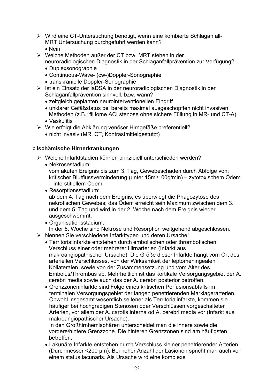- ¾ Wird eine CT-Untersuchung benötigt, wenn eine kombierte Schlaganfall-MRT Untersuchung durchgeführt werden kann?  $\bullet$  Nein
- ¾ Welche Methoden außer der CT bzw. MRT stehen in der neuroradiologischen Diagnostik in der Schlaganfallprävention zur Verfügung?
	- Duplexsonographie
	- Continuous-Wave- (cw-)Doppler-Sonographie
	- transkranielle Doppler-Sonographie
- ¾ Ist ein Einsatz der iaDSA in der neuroradiologischen Diagnostik in der Schlaganfallprävention sinnvoll, bzw. wann?
	- zeitgleich geplanten neurointerventionellen Eingriff
	- unklarer Gefäßstatus bei bereits maximal ausgeschöpften nicht invasiven Methoden (z.B.: filifome ACI stenose ohne sichere Füllung in MR- und CT-A)
	- Vaskulitis
- ¾ Wie erfolgt die Abklärung venöser Hirngefäße preferentiell?
	- nicht invasiv (MR, CT, Kontrastmittelgestützt)

#### ¡ **Ischämische Hirnerkrankungen**

- ¾ Welche Infarktstadien können prinzipiell unterschieden werden?
	- x Nekrosestadium: vom akuten Ereignis bis zum 3. Tag, Gewebeschaden durch Abfolge von: kritischer Blutflussverminderung (unter 15ml/100g/min) – zytotoxischem Ödem – interstitiellem Ödem.
	- Resorptionsstadium:

ab dem 4. Tag nach dem Ereignis, es überwiegt die Phagozytose des nekrotischen Gewebes; das Ödem erreicht sein Maximum zwischen dem 3. und dem 5. Tag und wird in der 2. Woche nach dem Ereignis wieder ausgeschwemmt.

- Organisationsstadium: In der 6. Woche sind Nekrose und Resorption weitgehend abgeschlossen.
- ¾ Nennen Sie verschiedene Infarkttypen und deren Ursache!
	- Territorialinfarkte entstehen durch embolischen oder thrombotischen Verschluss einer oder mehrerer Hirnarterien (Infarkt aus makroangiopathischer Ursache). Die Größe dieser Infarkte hängt vom Ort des arteriellen Verschlusses, von der Wirksamkeit der leptomeningealen Kollateralen, sowie von der Zusammensetzung und vom Alter des Embolus/Thrombus ab. Mehrheitlich ist das kortikale Versorgungsgebiet der A. cerebri media sowie auch das der A. cerebri posterior betroffen.
	- Grenzzoneninfarkte sind Folge eines kritischen Perfusionsabfalls im terminalen Versorgungsgebiet der langen penetrierenden Marklagerarterien. Obwohl insgesamt wesentlich seltener als Territorialinfarkte, kommen sie häufiger bei hochgradigen Stenosen oder Verschlüssen vorgeschalteter Arterien, vor allem der A. carotis interna od A. cerebri media vor (Infarkt aus makroangiopathischer Ursache).

 In den Großhirnhemisphären unterscheidet man die innere sowie die vordere/hintere Grenzzone. Die hinteren Grenzzonen sind am häufigsten betroffen.

• Lakunäre Infarkte entstehen durch Verschluss kleiner penetrierender Arterien (Durchmesser <200 µm). Bei hoher Anzahl der Läsionen spricht man auch von einem status lacunaris. Als Ursache wird eine komplexe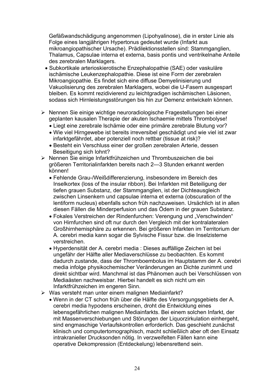Gefäßwandschädigung angenommen (Lipohyalinose), die in erster Linie als Folge eines langjährigen Hypertonus gedeutet wurde (Infarkt aus mikroangiopathischer Ursache). Prädilektionsstellen sind: Stammganglien, Thalamus, Capsulae interna et externa, basis pontis und ventrikelnahe Anteile des zerebralen Marklagers.

- Subkortikale arterioskierotische Enzephalopathie (SAE) oder vaskuläre ischämische Leukenzephalopathie. Diese ist eine Form der zerebralen Mikroangiopathie. Es findet sich eine diffuse Demyelinisierung und Vakuolisierung des zerebralen Marklagers, wobei die U-Fasern ausgespart bleiben. Es kommt rezidivierend zu leichtgradigen ischämischen Läsionen, sodass sich Hirnleistungsstörungen bis hin zur Demenz entwickeln können.
- ¾ Nennen Sie einige wichtige neuroradiologische Fragestellungen bei einer geplanten kausalen Therapie der akuten Ischaemie mittels Thrombolyse!
	- Liegt eine zerebrale Ischämie oder eine primäre zerebrale Blutung vor?
	- Wie viel Hirngewebe ist bereits irreversibel geschädigt und wie viel ist zwar infarktgefährdet, aber potenziell noch rettbar (tissue at risk)?
	- Besteht ein Verschluss einer der großen zerebralen Arterie, dessen Beseitigung sich lohnt?
- ¾ Nennen Sie einige Infarktfrühzeichen und Thrombuszeichen die bei größeren Territorialinfarkten bereits nach 2—3 Stunden erkannt werden können!
	- Fehlende Grau-/Weißdifferenzierung, insbesondere im Bereich des Inselkortex (loss of the insular ribbon). Bei Infarkten mit Beteiligung der tiefen grauen Substanz, der Stammganglien, ist der Dichteausgleich zwischen Linsenkern und capsulae interna et externa (obscuration of the lentiform nucleus) ebenfalls schon früh nachzuweisen. Ursächlich ist in allen diesen Fällen die Minderperfusion und das Ödem in der grauen Substanz.
	- Fokales Verstreichen der Rindenfurchen: Verengung und "Verschwinden" von Hirnfurchen sind oft nur durch den Vergleich mit der kontralateralen Großhirnhemisphäre zu erkennen. Bei größeren Infarkten im Territorium der A. cerebri media kann sogar die Sylvische Fissur bzw. die Inselzisterne verstreichen.
	- Hyperdensität der A. cerebri media : Dieses auffällige Zeichen ist bei ungefähr der Hälfte aller Mediaverschlüsse zu beobachten. Es kommt dadurch zustande, dass der Thromboembolus im Hauptstamm der A. cerebri media infolge physikochemischer Veränderungen an Dichte zunimmt und direkt sichtbar wird. Manchmal ist das Phänomen auch bei Verschlüssen von Mediaästen nachweisbar. Hierbei handelt es sich nicht um ein Infarktfrühzeichen im engeren Sinn.
- ¾ Was versteht man unter einem malignen Mediainfarkt?
	- Wenn in der CT schon früh über die Hälfte des Versorgungsgebiets der A. cerebri media hypodens erscheinen, droht die Entwicklung eines lebensgefährlichen malignen Mediainfarkts. Bei einem solchen Infarkt, der mit Massenverschiebungen und Störungen der Liquorzirkulation einhergeht, sind engmaschige Verlaufskontrollen erforderlich. Das geschieht zunächst klinisch und computertomographisch, macht schließlich aber oft den Einsatz intrakranieller Drucksonden nötig. In verzweifelten Fällen kann eine operative Dekompression (Entdeckelung) lebensrettend sein.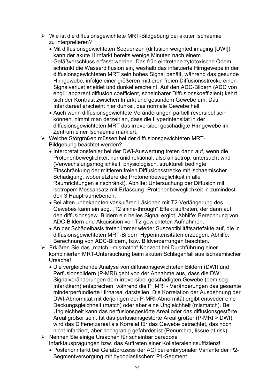- ¾ Wie ist die diffusionsgewichtete MRT-Bildgebung bei akuter Ischaemie zu interpretieren?
	- Mit diffusionsgewichteten Sequenzen (diffusion weighted imaging [DWI]) kann der akute Hirnfarkt bereits wenige Minuten nach einem Gefäßverschluss erfasst werden. Das früh eintretene zytotoxische Ödem schränkt die Wasserdiffusion ein, weshalb das infarzierte Hirngewebe in der diffusionsgewichteten MRT sein hohes Signal behält, während das gesunde Hirngewebe, infolge einer größeren mittleren freien Diffusionsstrecke einen Signalverlust erleidet und dunkel erscheint. Auf den ADC-Bildern (ADC von engl.: apparent diffusion coefficient, scheinbarer Diffusionskoeffizient) kehrt sich der Kontrast zwischen Infarkt und gesundem Gewebe um: Das Infarktareal erscheint hier dunkel, das normale Gewebe hell.
	- Auch wenn diffusionsgewichtete Veränderungen partiell reversibel sein können, nimmt man derzeit an, dass die Hyperintensität in der diffusionsgewichteten MRT das irreversibel geschädigte Hirngewebe im Zentrum einer Ischaemie markiert.
- ¾ Welche Störgrößen müssen bei der diffusionsgewichteten MRT-Bildgebung beachtet werden?
	- Interpretationsfehler bei der DWI-Auswertung treten dann auf, wenn die Protonenbeweglichkeit nur unidirektional, also anisotrop, untersucht wird (Verwechslungsmöglichkeit: physiologisch, strukturell bedingte Einschränkung der mittleren freien Diffusionsstrecke mit ischaemischer Schädigung, wobei etztere die Protonenbeweglichkeit in alle Raumrichtungen einschränkt). Abhilfe: Untersuchung der Diffusion mit isotropem Messansatz mit Erfassung -Protonenbeweglichkeit in zumindest den 3 Hauptraumebenen.
	- Bei alten unbekannten vaskulären Läsionen mit T2-Verlängerung des Gewebes kann ein sog. "T2 shine-through" Effekt auftreten, der dann auf den diffusionsgew. Bildern ein helles Signal ergibt. Abhilfe: Berechnung von ADC-Bildern und Akquisition von T2-gewichteten Aufnahmen.
	- An der Schädelbasis treten immer wieder Suszeptibilitätsartefakte auf, die in diffusionsgewichteten MRT-Bildern Hyperintensitäten erzeugen. Abhilfe: Berechnung von ADC-Bildern, bzw. Bildverzerrungen beachten.
- ¾ Erklären Sie das "match –mismatch" Konzept bei Durchführung einer kombinierten MRT-Untersuchung beim akuten Schlaganfall aus ischaemischer Ursache!
	- x Die vergleichende Analyse von diffusionsgewichteten Bildern (DWI) und Perfusionsbildern (P-MRI) geht von der Annahme aus, dass die DWI Signalveränderungen dem irreversibel geschädigten Gewebe (dem sog. Infarktkern) entsprechen, während die P\_MRI - Veränderungen das gesamte minderperfundierte Hirnareal darstellen. Die Korrelation der Ausdehnung der DWI-Abnormität mit derjenigen der P-MRI-Abnormität ergibt entweder eine Deckungsgleichheit (match) oder aber eine Ungleichheit (mismatch). Bei Ungleichheit kann das perfusionsgestörte Areal oder das diffusionsgestörte Areal größer sein. Ist das perfusionsgestörte Areal größer (P-MRI > DWI), wird das Differenzareal als Korrelat für das Gewebe betrachtet, das noch nicht infarziert, aber hochgradig gefährdet ist (Penumbra, tissue at risk).
- ¾ Nennen Sie einige Ursachen für scheinbar paradoxe Infarktausprägungen bzw. das Auftreten einer Kollateraleninsuffizienz!
	- x Posteriorinfarkt bei Gefäßprozess der ACI bei embryonaler Variante der P2- Segmentversorgung mit hypoplastischem P1-Segment.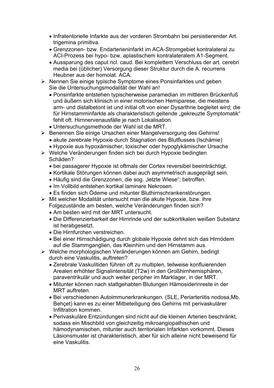- x Infratentorielle Infarkte aus der vorderen Strombahn bei persistierender Art. trigemina primitiva.
- Grenzzonen- bzw. Endarterieninfarkt im ACA-Stromgebiet kontralateral zu ACI-Prozess bei hypo- bzw. aplastischem kontralateralem A1-Segment.
- Aussparung des caput ncl. caud. Bei komplettem Verschluss der art. cerebri media bei (üblicher) Versorgung dieser Struktur durch die A. recurrens Heubner aus der homolat. ACA.
- ¾ Nennen Sie einige typische Symptome eines Ponsinfarktes und geben Sie die Untersuchungsmodalität der Wahl an!
	- Ponsinfarkte entstehen typischerweise paramedian im mittleren Brückenfuß und äußern sich klinisch in einer motorischen Hemiparese, die meistens arm- und distalbetont ist und initial oft von einer Dysarthrie begleitet wird; die für Hirnstamminfarkte als charakteristisch geltende "gekreuzte Symptomatik" fehlt oft. Hirnnervenausfälle je nach Lokalisation.
	- Untersuchungsmethode der Wahl ist die MRT.
- ¾ Benennen Sie einige Ursachen einer Mangelversorgung des Gehirns!
	- akute zerebrale Hypoxie durch Stagnation des Blutflusses (Ischämie)
	- Hypoxie aus hypoxämischer, toxischer oder hypoglykämischer Ursache
- ¾ Welche Veränderungen finden sich bei durch Hypoxie bedingten Schäden?
	- bei passagerer Hypoxie ist oftmals der Cortex reversibel beeinträchtigt.
	- Kortikale Störungen können dabei auch asymmetrisch ausgeprägt sein.
	- Häufig sind die Grenzzonen, die sog. "letzte Wiese"; betroffen.
	- Im Vollbild entstehen kortikal laminare Nekrosen.
	- Es finden sich Ödeme und mitunter Bluthirnschrankenstörungen.
- ¾ Mit welcher Modalität untersucht man die akute Hypoxie, bzw. ihre Folgezustände am besten, welche Veränderungen finden sich?
	- Am besten wird mit der MRT untersucht.
	- x Die Differenzierbarkeit der Hirnrinde und der subkortikalen weißen Substanz ist herabgesetzt.
	- Die Hirnfurchen verstreichen.
	- Bei einer Hirnschädigung durch globale Hypoxie dehnt sich das Hirnödem auf die Stammganglien, das Kleinhirn und den Hirnstamm aus.
- ¾ Welche morphologischen Veränderungen können am Gehirn, bedingt durch eine Vaskulitis, auftreten?
	- Zerebrale Vaskulitiden führen oft zu multiplen, teilweise konfluierenden Arealen erhöhter Signalintensität (T2w) in den Großhirnhemisphären, paraventrikulär und auch weiter peripher im Marklager, in der MRT.
	- Mitunter können nach stattgehabten Blutungen Hämosiderinreste in der MRT auftreten.
	- Bei verschiedenen Autoimmunerkrankungen. (SLE, Periarteriitis nodosa, Mb. Behçet) kann es zu einer Mitbeteiligung des Gehirns mit perivaskulärer Infiltration kommen.
	- Perivaskuläre Entzündungen sind nicht auf die kleinen Arterien beschränkt, sodass ein Mischbild von gleichzeitig mikroangiopathischen und hämodynamischen, mitunter auch territorialen Infarkten vorkommt. Dieses Läsionsmuster ist charakteristisch, aber für sich alleine nicht beweisend für eine Vaskulitis.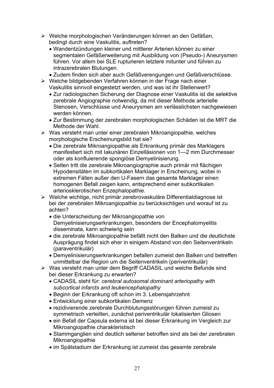- ¾ Welche morphologischen Veränderungen können an den Gefäßen, bedingt durch eine Vaskulitis, auftreten?
	- Wandentzündungen kleiner und mittlerer Arterien können zu einer segmentalen Gefäßerweiterung mit Ausbildung von (Pseudo-) Aneurysmen führen. Vor allem bei SLE rupturieren letztere mitunter und führen zu intrazerebralen Blutungen.
	- Zudem finden sich aber auch Gefäßverengungen und Gefäßverschlüsse.
- ¾ Welche bildgebenden Verfahren können in der Frage nach einer Vaskulitis sinnvoll eingestetzt werden, und was ist ihr Stellenwert?
	- Zur radiologischen Sicherung der Diagnose einer Vaskulitis ist die selektive zerebrale Angiographie notwendig, da mit dieser Methode arterielle Stenosen, Verschlüsse und Aneurysmen am verlässlichsten nachgewiesen werden können.
	- Zur Bestimmung der zerebralen morphologischen Schäden ist die MRT die Methode der Wahl.
- $\triangleright$  Was versteht man unter einer zerebralen Mikroangiopathie, welches morphologische Erscheinungsbild hat sie?
	- Die zerebrale Mikroangiopathie als Erkrankung primär des Marklagers manifestiert sich mit Iakunären Einzelläsionen von 1—2 mm Durchmesser oder als konfluierende spongiöse Demyelinisierung.
	- Selten tritt die zerebrale Mikroangiographie auch primär mit flächigen Hypodensitäten im subkortikalen Marklager in Erscheinung, wobei in extremen Fällen außer den U-Fasern das gesamte Marklager einen homogenen Befall zeigen kann, entsprechend einer subkortikalen arteriosklerotischen Enzephalopathie.
- ¾ Welche wichtige, nicht primär zerebrovaskuläre Differentialdiagnose ist bei der zerebralen Mikroangiopathie zu berücksichtigen und worauf ist zu achten?
	- die Unterscheidung der Mikroangiopathie von Demyelinisierungserkrankungen, besonders der Encephalomyelitis disseminata, kann schwierig sein
	- die zerebrale Mikroangiopathie befällt nicht den Balken und die deutlichste Ausprägung findet sich eher in einigem Abstand von den Seitenventrikeln (paraventrikulär)
	- Demyelinisierungserkrankungen befallen zumeist den Balken und betreffen unmittelbar die Region um die Seitenventrikeln (periventrikulär)
- ¾ Was versteht man unter dem Begriff CADASIL und welche Befunde sind bei dieser Erkrankung zu erwarten?
	- x CADASIL steht für: *cerebral autosomal dominant arteriopathy with subcortical infarcts and leukencephalopathy*
	- Beginn der Erkrankung oft schon im 3. Lebensjahrzehnt
	- Entwicklung einer subkortikalen Demenz
	- rezidivierende zerebrale Durchblutungsstörungen führen zumeist zu symmetrisch verteilten, zunächst periventrikulär lokalisierten Gliosen
	- ein Befall der Capsula externa ist bei dieser Erkrankung im Vergleich zur Mikroangiopathie charakteristisch
	- Stammganglien sind deutlich seltener betroffen sind als bei der zerebralen **Mikroangiopathie**
	- im Spätstadium der Erkrankung ist zumeist das gesamte zerebrale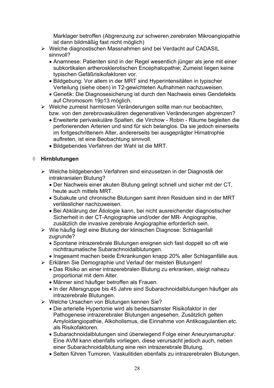Marklager betroffen (Abgrenzung zur schweren zerebralen Mikroangiopathie ist dann bildmäßig fast nicht möglich)

- ¾ Welche diagnostischen Massnahmen sind bei Verdacht auf CADASIL sinnvoll?
	- Anamnese: Patienten sind in der Regel wesentlich jünger als jene mit einer subkortikalen artherosklerotischen Encephalopathie; Zumeist liegen keine typischen Gefäßrisikofaktoren vor.
	- Bildgebung: Vor allem in der MRT sind Hyperintensitäten in typischer Verteilung (siehe oben) in T2-gewichteten Aufnahmen nachzuweisen.
	- Genetik: Die Diagnosesicherung ist durch den Nachweis eines Gendefekts auf Chromosom 19p13 möglich.
- ¾ Welche zumeist harmlosen Veränderungen sollte man nur beobachten, bzw. von den zerebrovaskulären degenerativen Veränderungen abgrenzen?
	- x Erweiterte perivaskuläre Spalten, die Virchow Robin Räume begleiten die perforierenden Arterien und sind für sich belanglos. Da sie jedoch einerseits im fortgeschrittenem Alter, andererseits bei ausgeprägter Hirnatrophie auftreten, ist eine Beobachtung sinnvoll.
	- x Bildgebendes Verfahren der Wahl ist die MRT.

#### ¡ **Hirnblutungen**

- ¾ Welche bildgebenden Verfahren sind einzusetzen in der Diagnostik der intrakranialen Blutung?
	- x Der Nachweis einer akuten Blutung gelingt schnell und sicher mit der CT, heute auch mittels MRT.
	- Subakute und chronische Blutungen samt ihren Residuen sind in der MRT verlässlicher nachzuweisen.
	- Bei Abklärung der Ätiologie kann, bei nicht ausreichender diagnostischer Sicherheit in der CT-Angiographie und/oder der MR- Angiographie, zusätzlich die invasive zerebrale Angiographie erforderlich sein.
- ¾ Wie häufig liegt eine Blutung der klinischen Diagnose: Schlaganfall zugrunde?
	- Spontane intrazerebrale Blutungen ereignen sich fast doppelt so oft wie nichttraumatische Subarachnoidalblutungen.
	- Insgesamt machen beide Erkrankungen knapp 20% aller Schlaganfälle aus.
- ¾ Erklären Sie Demographie und Verlauf der meisten Blutungen!
	- Das Risiko an einer intrazerebralen Blutung zu erkranken, steigt nahezu proportional mit dem Alter.
	- Männer sind häufiger betroffen als Frauen.
	- In der Altersgruppe bis 45 Jahre sind Subarachnoidalblutungen häufiger als intrazerebrale Blutungen.
- ¾ Welche Ursachen von Blutungen kennen Sie?
	- Die arterielle Hypertonie wird als bedeutsamster Risikofaktor in der Pathogenese intrazerebraler Blutungen angesehen. Zusätzlich gelten Amyloidangiopathie, Alkoholismus, die Einnahme von Antikoagulantien etc. als Risikofaktoren.
	- Subarachnoidalblutungen sind überwiegend Folge einer Aneurysmaruptur. Eine AVM kann ebenfalls vorliegen, diese verursacht jedoch auch, neben einer Subarachnoidalblutung eine rein intrazerebrale Blutung.
	- Selten führen Tumoren, Vaskulitiden ebenfalls zu intrazerebralen Blutungen.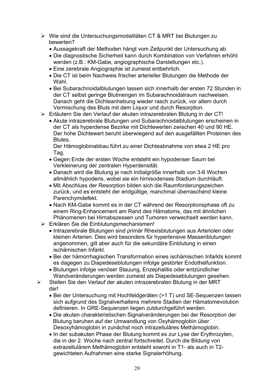- ¾ Wie sind die Untersuchungsmodalitäten CT & MRT bei Blutungen zu bewerten?
	- Aussagekraft der Methoden hängt vom Zeitpunkt der Untersuchung ab.
	- Die diagnostische Sicherheit kann durch Kombination von Verfahren erhöht werden (z.B.: KM-Gabe, angiographische Darstellungen etc.).
	- Eine zerebrale Angiographie ist zumeist entbehrlich.
	- Die CT ist beim Nachweis frischer arterieller Blutungen die Methode der **Wahl**
	- Bei Subarachnoidalblutungen lassen sich innerhalb der ersten 72 Stunden in der CT selbst geringe Blutmengen im Subarachnoidalraum nachweisen. Danach geht die Dichteanhebung wieder rasch zurück, vor allem durch Vermischung des Bluts mit dem Liquor und durch Resorption.
- ¾ Erläutern Sie den Verlauf der akuten intrazerebralen Blutung in der CT!
	- Akute intrazerebrale Blutungen und Subarachnoidalblutungen erscheinen in der CT als hyperdense Bezirke mit Dichtewerten zwischen 40 und 90 HE. Der hohe Dichtewert beruht überwiegend auf den ausgefällten Proteinen des **Blutes**

Der Hämoglobinabbau führt zu einer Dichteabnahme von etwa 2 HE pro Tag.

- Gegen Ende der ersten Woche entsteht ein hypodenser Saum bei Verkleinerung der zentralen Hyperdensität.
- Danach wird die Blutung je nach Initialgröße innerhalb von 3-6 Wochen allmählich hypodens, wobei sie ein hirnisodenses Stadium durchläuft.
- Mit Abschluss der Resorption bilden sich die Raumforderungszeichen zurück, und es entsteht der endgültige, manchmal überraschend kleine Parenchymdefekt.
- Nach KM-Gabe kommt es in der CT während der Resorptionsphase oft zu einem Ring-Enhancement am Rand des Hämatoms, das mit ähnlichen Phänomenen bei Hirnabszessen und Tumoren verwechselt werden kann.
- ¾ Erklären Sie die Einblutungsmechanismen!
	- Intrazerebrale Blutungen sind primär Rhexisblutungen aus Arteriolen oder kleinen Arterien. Dies wird besonders für hypertensive Massenblutungen angenommen, gilt aber auch für die sekundäre Einblutung in einen ischämischen Infarkt.
	- Bei der hämorrhagischen Transformation eines ischämischen Infarkts kommt es dagegen zu Diapedeseblutungen infolge gestörter Endothelfunktion.
	- Blutungen infolge venöser Stauung, Enzephalitis oder entzündlicher Wandveränderungen werden zumeist als Diapedeseblutungen gesehen.
- ¾ Stellen Sie den Verlauf der akuten intrazerebralen Blutung in der MRT dar!
	- Bei der Untersuchung mit Hochfeldgeräten (>1 T) und SE-Sequenzen lassen sich aufgrund des Signalverhaltens mehrere Stadien der Hämatomevolution definieren. In GRE-Sequenzen liegen zutdurchgeführt werden.
	- Die akuten charakteristischen Signalveränderungen bei der Resorption der Blutung beruhen auf der Umwandlung von Oxyhämoglobin über Desoxyhämoglobin in zunächst noch intrazelluläres Methämoglobin.
	- In der subakuten Phase der Blutung kommt es zur Lyse der Erythrozyten, die in der 2. Woche nach zentral fortschreitet. Durch die Bildung von extrazellulärem Methämoglobin entsteht sowohl in T1- als auch in T2 gewichteten Aufnahmen eine starke Signalerhöhung.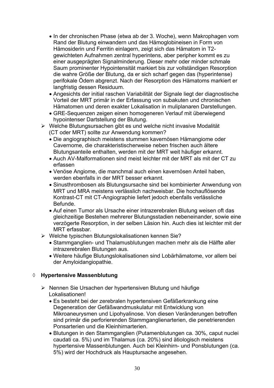- In der chronischen Phase (etwa ab der 3. Woche), wenn Makrophagen vom Rand der Blutung einwandern und das Hämoglobineisen in Form von Hämosiderin und Ferritin einlagern, zeigt sich das Hämatom in T2 gewichteten Aufnahmen zentral hyperintens, aber peripher kommt es zu einer ausgeprägten Signalminderung. Dieser mehr oder minder schmale Saum prominenter Hypointensität markiert bis zur vollständigen Resorption die wahre Größe der Blutung, da er sich scharf gegen das (hyperintense) perifokale Ödem abgrenzt. Nach der Resorption des Hämatoms markiert er langfristig dessen Residuum.
- Angesichts der initial raschen Variabilität der Signale liegt der diagnostische Vorteil der MRT primär in der Erfassung von subakuten und chronischen Hämatomen und deren exakter Lokalisation in muliplanaren Darstellungen.
- GRE-Sequenzen zeigen einen homogeneren Verlauf mit überwiegend hypointenser Dartstellung der Blutung.
- ¾ Welche Blutungsursachen gibt es und welche nicht invasive Modalität (CT oder MRT) sollte zur Anwendung kommen?
	- Die angiographisch meistens stummen kavernösen Hämangiome oder Cavernome, die charakteristischerweise neben frischen auch ältere Blutungsanteile enthalten, werden mit der MRT weit häufiger erkannt.
	- Auch AV-Malformationen sind meist leichter mit der MRT als mit der CT zu erfassen
	- Venöse Angiome, die manchmal auch einen kavernösen Anteil haben, werden ebenfalls in der MRT besser erkannt.
	- Sinusthrombosen als Blutungsursache sind bei kombinierter Anwendung von MRT und MRA meistens verlässlich nachweisbar. Die hochauflösende Kontrast-CT mit CT-Angiographie liefert jedoch ebenfalls verlässliche Befunde.
	- Auf einen Tumor als Ursache einer intrazerebralen Blutung weisen oft das gleichzeitige Bestehen mehrerer Blutungsstadien nebeneinander, sowie eine verzögerte Resorption, in der selben Läsion hin. Auch dies ist leichter mit der MRT erfassbar.
- ¾ Welche typischen Blutungslokalisationen kennen Sie?
	- Stammganglien- und Thalamusblutungen machen mehr als die Hälfte aller intrazerebralen Blutungen aus.
	- x Weitere häufige Blutungslokalisationen sind Lobärhämatome, vor allem bei der Amyloidangiopathie.

#### ¡ **Hypertensive Massenblutung**

- ¾ Nennen Sie Ursachen der hypertensiven Blutung und häufige Lokalisationen!
	- Es besteht bei der zerebralen hypertensiven Gefäßerkrankung eine Degeneration der Gefäßwandmuskulatur mit Entwicklung von Mikroaneurysmen und Lipohyalinose. Von diesen Veränderungen betroffen sind primär die perforierenden Stammganglienarterien, die penetrierenden Ponsarterien und die Kleinhirnarterien.
	- Blutungen in den Stammganglien (Putamenblutungen ca. 30%, caput nuclei caudati ca. 5%) und im Thalamus (ca. 20%) sind ätiologisch meistens hypertensive Massenblutungen. Auch bei Kleinhirn- und Ponsblutungen (ca. 5%) wird der Hochdruck als Hauptursache angesehen.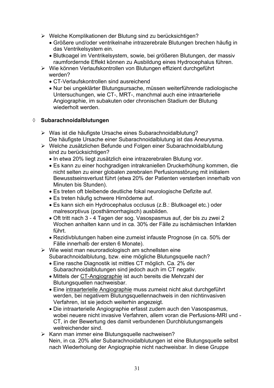- ¾ Welche Komplikationen der Blutung sind zu berücksichtigen?
	- x Größere und/oder ventrikelnahe intrazerebrale Blutungen brechen häufig in das Ventrikelsystem ein.
	- Blutkoagel im Ventrikelsystem, sowie, bei größeren Blutungen, der massiv raumfordernde Effekt können zu Ausbildung eines Hydrocephalus führen.
- ¾ Wie können Verlaufskontrollen von Blutungen effizient durchgeführt werden?
	- CT-Verlaufskontrollen sind ausreichend
	- Nur bei ungeklärter Blutungsursache, müssen weiterführende radiologische Untersuchungen, wie CT-, MRT-, manchmal auch eine intraarterielle Angiographie, im subakuten oder chronischen Stadium der Blutung wiederholt werden.

#### ¡ **Subarachnoidalblutungen**

- ¾ Was ist die häufigste Ursache eines Subarachnoidalblutung? Die häufigste Ursache einer Subarachnoidalblutung ist das Aneurysma.
- ¾ Welche zusätzlichen Befunde und Folgen einer Subarachnoidalblutung sind zu berücksichtigen?
	- In etwa 20% liegt zusätzlich eine intrazerebralen Blutung vor.
	- Es kann zu einer hochgradigen intrakraniellen Druckerhöhung kommen, die nicht selten zu einer globalen zerebralen Perfusionsstörung mit initialem Bewusstseinsverlust führt (etwa 20% der Patienten versterben innerhalb von Minuten bis Stunden).
	- Es treten oft bleibende deutliche fokal neurologische Defizite auf.
	- Es treten häufig schwere Hirnödeme auf.
	- Es kann sich ein Hydrocephalus occlusus (z.B.: Blutkoagel etc.) oder malresorptivus (posthämorrhagisch) ausbilden.
	- Oft tritt nach 3 4 Tagen der sog. Vasospasmus auf, der bis zu zwei 2 Wochen anhalten kann und in ca. 30% der Fälle zu ischämischen Infarkten führt.
	- Rezidivblutungen haben eine zumeist infauste Prognose (in ca. 50% der Fälle innerhalb der ersten 6 Monate).
- $\triangleright$  Wie weist man neuroradiologisch am schnellsten eine Subarachnoidalblutung, bzw. eine mögliche Blutungsquelle nach?
	- x Eine rasche Diagnostik ist mittles CT möglich. Ca. 2% der Subarachnoidalblutungen sind jedoch auch im CT negativ.
	- Mittels der CT-Angiographie ist auch bereits die Mehrzahl der Blutungsquellen nachweisbar.
	- Eine intraarterielle Angiographie muss zumeist nicht akut durchgeführt werden, bei negativem Blutungsquellennachweis in den nichtinvasiven Verfahren, ist sie jedoch weiterhin angezeigt.
	- Die intraarterielle Angiographie erfasst zudem auch den Vasospasmus, wobei neuere nicht invasive Verfahren, allem voran die Perfusions-MRI und - CT, in der Bewertung des damit verbundenen Durchblutungsmangels weitreichender sind.
- ¾ Kann man immer eine Blutungsquelle nachweisen? Nein, in ca. 20% aller Subarachnoidalblutungen ist eine Blutungsquelle selbst nach Wiederholung der Angiographie nicht nachweisbar. In diese Gruppe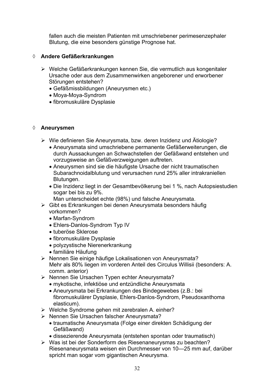fallen auch die meisten Patienten mit umschriebener perimesenzephaler Blutung, die eine besonders günstige Prognose hat.

#### ¡ **Andere Gefäßerkrankungen**

- ¾ Welche Gefäßerkrankungen kennen Sie, die vermutlich aus kongenitaler Ursache oder aus dem Zusammenwirken angeborener und erworbener Störungen entstehen?
	- Gefäßmissbildungen (Aneurysmen etc.)
	- Mova-Mova-Syndrom
	- fibromuskuläre Dysplasie

#### ¡ **Aneurysmen**

- ¾ Wie definieren Sie Aneurysmata, bzw. deren Inzidenz und Ätiologie?
	- Aneurysmata sind umschriebene permanente Gefäßerweiterungen, die durch Aussackungen an Schwachstellen der Gefäßwand entstehen und vorzugsweise an Gefäßverzweigungen auftreten.
	- Aneurysmen sind sie die häufigste Ursache der nicht traumatischen Subarachnoidalblutung und verursachen rund 25% aller intrakraniellen Blutungen.
	- Die Inzidenz liegt in der Gesamtbevölkerung bei 1 %, nach Autopsiestudien sogar bei bis zu 9%.
		- Man unterscheidet echte (98%) und falsche Aneurysmata.
- ¾ Gibt es Erkrankungen bei denen Aneurysmata besonders häufig vorkommen?
	- Marfan-Syndrom
	- Ehlers-Danlos-Syndrom Typ IV
	- tuberöse Sklerose
	- fibromuskuläre Dysplasie
	- polyzystische Nierenerkrankung
	- familiäre Häufung
- ¾ Nennen Sie einige häufige Lokalisationen von Aneurysmata? Mehr als 80% liegen im vorderen Anteil des Circulus Willisii (besonders: A. comm. anterior)
- ¾ Nennen Sie Ursachen Typen echter Aneurysmata?
	- mykotische, infektiöse und entzündliche Aneurysmata
	- Aneurysmata bei Erkrankungen des Bindegewebes (z.B.: bei fibromuskulärer Dysplasie, Ehlers-Danlos-Syndrom, Pseudoxanthoma elasticum).
- ¾ Welche Syndrome gehen mit zerebralen A. einher?
- ¾ Nennen Sie Ursachen falscher Aneurysmata?
	- traumatische Aneurysmata (Folge einer direkten Schädigung der Gefäßwand)
	- dissezierende Aneurysmata (entstehen spontan oder traumatisch)
- ¾ Was ist bei der Sonderform des Riesenaneurysmas zu beachten? Riesenaneurysmata weisen ein Durchmesser von 10—25 mm auf, darüber spricht man sogar vom gigantischen Aneurysma.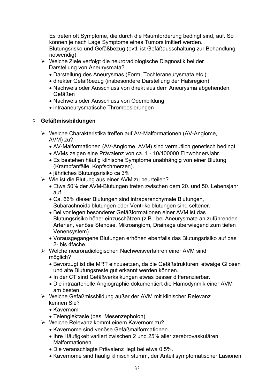Es treten oft Symptome, die durch die Raumforderung bedingt sind, auf. So können je nach Lage Symptome eines Tumors imitiert werden. Blutungsrisko und Gefäßbezug (evtl. ist Gefäßausschaltung zur Behandlung notwendig)

- ¾ Welche Ziele verfolgt die neuroradiologische Diagnostik bei der Darstellung von Aneurysmata?
	- Darstellung des Aneurysmas (Form, Tochteraneurysmata etc.)
	- direkter Gefäßbezug (insbesondere Darstellung der Halsregion)
	- Nachweis oder Ausschluss von direkt aus dem Aneurysma abgehenden Gefäßen
	- Nachweis oder Ausschluss von Ödembildung
	- intraaneurysmatische Thrombosierungen

#### ¡ **Gefäßmissbildungen**

- ¾ Welche Charakteristika treffen auf AV-Malformationen (AV-Angiome, AVM) zu?
	- AV-Malformationen (AV-Angiome, AVM) sind vermutlich genetisch bedingt.
	- x AVMs zeigen eine Prävalenz von ca. 1 10/100000 Einwohner/Jahr.
	- Es bestehen häufig klinische Symptome unabhängig von einer Blutung (Krampfanfälle, Kopfschmerzen).
	- x jährliches Blutungsrisiko ca 3%
- ¾ Wie ist die Blutung aus einer AVM zu beurteilen?
	- x Etwa 50% der AVM-Blutungen treten zwischen dem 20. und 50. Lebensjahr auf.
	- Ca. 66% dieser Blutungen sind intraparenchymale Blutungen, Subarachnoidalblutungen oder Ventrikelblutungen sind seltener.
	- Bei vorliegen besonderer Gefäßformationen einer AVM ist das Blutungsrisiko höher einzuschätzen (z.B.: bei Aneurysmata an zuführenden Arterien, venöse Stenose, Mikroangiom, Drainage überwiegend zum tiefen Venensystem).
	- x Vorausgegangene Blutungen erhöhen ebenfalls das Blutungsrisiko auf das 2- bis 4fache.
- ¾ Welche neuroradiologischen Nachweisverfahren einer AVM sind möglich?
	- Bevorzugt ist die MRT einzusetzen, da die Gefäßstrukturen, etwaige Gliosen und alte Blutungsreste gut erkannt werden können.
	- In der CT sind Gefäßverkalkungen etwas besser differenzierbar.
	- x Die intraarterielle Angiographie dokumentiert die Hämodynmik einer AVM am besten.
- ¾ Welche Gefäßmissbildung außer der AVM mit klinischer Relevanz kennen Sie?
	- Kavernom
	- Telengiektasie (bes. Mesenzepholon)
- ¾ Welche Relevanz kommt einem Kavernom zu?
	- Kavernome sind venöse Gefäßmalformationen.
	- Ihre Häufigkeit variiert zwischen 2 und 25% aller zerebrovaskulären Malformationen.
	- Die veranschlagte Prävalenz liegt bei etwa 0.5%.
	- Kavernome sind häufig klinisch stumm, der Anteil symptomatischer Läsionen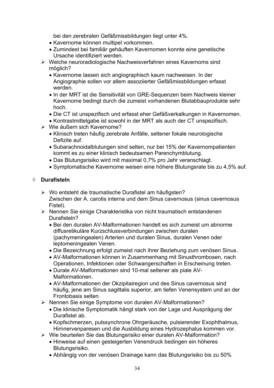bei den zerebralen Gefäßmissbildungen liegt unter 4%.

- Kavernome können multipel vorkommen.
- Zumindest bei familiär gehäuften Kavernomen konnte eine genetische Ursache identifiziert werden.
- ¾ Welche neuroradiologische Nachweisverfahren eines Kavernoms sind möglich?
	- Kavernome lassen sich angiographisch kaum nachweisen. In der Angiographie sollen vor allem assoziierter Gefäßmissbildungen erfasst werden.
	- In der MRT ist die Sensitivität von GRE-Sequenzen beim Nachweis kleiner Kavernome bedingt durch die zumeist vorhandenen Blutabbauprodukte sehr hoch.
	- x Die CT ist unspezifisch und erfasst eher Gefäßverkalkungen in Kavernomen.
	- Kontrastmittelgabe ist sowohl in der MRT als auch der CT unspezifisch.
- $\triangleright$  Wie äußern sich Kavernome?
	- Klinisch treten häufig zerebrale Anfälle, seltener fokale neurologische Defizite auf.
	- Subarachnoidalblutungen sind selten, nur bei 15% der Kavernompatienten kommt es zu einer klinisch bedeutsamen Parenchymblutung.
	- Das Blutungsrisiko wird mit maximal 0,7% pro Jahr veranschlagt.
	- Symptomatische Kavernome weisen eine höhere Blutungsrate bis zu 4,5% auf.

#### ¡ **Durafisteln**

- ¾ Wo entsteht die traumatische Durafistel am häufigsten? Zwischen der A. carotis interna und dem Sinus cavernosus (sinus cavernosus Fistel).
- ¾ Nennen Sie einige Charakteristika von nicht traumatisch entstandenen Durafisteln?
	- x Bei den duralen AV-Malformationen handelt es sich zumeist um abnorme diffusretikuläre Kurzschlussverbindungen zwischen duralen (pachymeningealen) Arterien und duralen Sinus, duralen Venen oder leptomeningealen Venen.
	- Die Bezeichnung erfolgt zumeist nach ihrer Beziehung zum venösen Sinus.
	- AV-Malformationen können in Zusammenhang mit Sinusthrombosen, nach Operationen, Infektionen oder Schwangerschaften in Erscheinung treten.
	- x Durale AV-Malformationen sind 10-mal seltener als piale AV- Malformationen.
	- x AV-Malformationen der Okzipitairegion und des Sinus cavernosus sind häufig, jene am Sinus sagittalis superior, am tiefen Venensystem und an der Frontobasis selten.
- ¾ Nennen Sie einige Symptome von duralen AV-Malformationen?
	- Die klinische Symptomatik hängt stark von der Lage und Ausprägung der Durafistel ab.
	- Kopfschmerzen, pulssynchrone Ohrgeräusche, pulsierender Exophthalmus, Hirnnervenparesen und die Ausbildung eines Hydrozephalus kommen vor.
- ¾ Wie beurteilen Sie das Blutungsrisiko einer duralen AV-Malformation?
	- Hinweise auf einen gesteigerten Venendruck bedingen ein höheres Blutungsrisiko.
	- Abhängig von der venösen Drainage kann das Blutungsrisiko bis zu 50%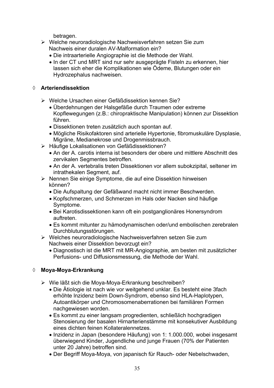betragen.

- ¾ Welche neuroradiologische Nachweisverfahren setzen Sie zum Nachweis einer duralen AV-Malformation ein?
	- Die intraarterielle Angiographie ist die Methode der Wahl.
	- In der CT und MRT sind nur sehr ausgeprägte Fisteln zu erkennen, hier lassen sich eher die Komplikationen wie Ödeme, Blutungen oder ein Hydrozephalus nachweisen.

#### ¡ **Arteriendissektion**

- ¾ Welche Ursachen einer Gefäßdissektion kennen Sie?
	- Überdehnungen der Halsgefäße durch Traumen oder extreme Kopflewegungen (z.B.: chiropraktische Manipulation) können zur Dissektion führen.
	- Dissektionen treten zusätzlich auch spontan auf.
	- Mögliche Risikofaktoren sind arterielle Hypertonie, fibromuskuläre Dysplasie, Migräne, Medianekrose und Drogenmissbrauch.
- ¾ Häufige Lokalisationen von Gefäßdissektionen?
	- An der A. carotis interna ist besonders der obere und mittlere Abschnitt des zervikalen Segmentes betroffen.
	- An der A. vertebralis treten Dissektionen vor allem subokzipital, seltener im intrathekalen Segment, auf.
- ¾ Nennen Sie einige Symptome, die auf eine Dissektion hinweisen können?
	- Die Aufspaltung der Gefäßwand macht nicht immer Beschwerden.
	- Kopfschmerzen, und Schmerzen im Hals oder Nacken sind häufige Symptome.
	- Bei Karotisdissektionen kann oft ein postganglionäres Honersyndrom auftreten.
	- Es kommt mitunter zu hämodynamischen oder/und embolischen zerebralen Durchblutungsstörungen.
- ¾ Welches neuroradiologische Nachweisverfahren setzen Sie zum Nachweis einer Dissektion bevorzugt ein?
	- x Diagnostisch ist die MRT mit MR-Angiographie, am besten mit zusätzlicher Perfusions- und Diffusionsmessung, die Methode der Wahl.

#### ¡ **Moya-Moya-Erkrankung**

- ¾ Wie läßt sich die Moya-Moya-Erkrankung beschreiben?
	- Die Ätiologie ist nach wie vor weitgehend unklar. Es besteht eine 3fach erhöhte lnzidenz beim Down-Syndrom, ebenso sind HLA-Haplotypen, Autoantikörper und Chromosomenaberrationen bei familiären Formen nachgewiesen worden.
	- Es kommt zu einer langsam progredienten, schließlich hochgradigen Stenosierung der basalen Hirnarterienstämme mit konsekutiver Ausbildung eines dichten feinen Kollateralennetzes.
	- Inzidenz in Japan (besondere Häufung) von 1: 1.000.000, wobei insgesamt überwiegend Kinder, Jugendliche und junge Frauen (70% der Patienten unter 20 Jahre) betroffen sind.
	- Der Begriff Moya-Moya, von japanisch für Rauch- oder Nebelschwaden,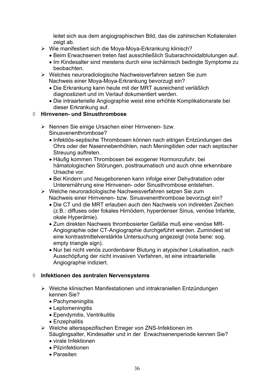leitet sich aus dem angiographischen Bild, das die zahlreichen Kollateralen zeigt ab.

- ¾ Wie manifestiert sich die Moya-Moya-Erkrankung klinisch?
	- Beim Erwachsenen treten fast ausschließlich Subarachnoidalblutungen auf.
	- Im Kindesalter sind meistens durch eine ischämisch bedingte Symptome zu beobachten.
- ¾ Welches neuroradiologische Nachweisverfahren setzen Sie zum Nachweis einer Moya-Moya-Erkrankung bevorzugt ein?
	- Die Erkrankung kann heute mit der MRT ausreichend verläßlich diagnostiziert und im Verlauf dokumentiert werden.
	- Die intraarterielle Angiographie weist eine erhöhte Komplikationsrate bei dieser Erkrankung auf.

#### ¡ **Hirnvenen- und Sinusthrombose**

- ¾ Nennen Sie einige Ursachen einer Hirnvenen- bzw. Sinusvenenthrombose?
	- Infektiös-septische Thrombosen können nach eitrigen Entzündungen des Ohrs oder der Nasennebenhöhlen, nach Meningitiden oder nach septischer Streuung auftreten.
	- Häufig kommen Thrombosen bei exogener Hormonzufuhr, bei hämatologischen Störungen, posttraumatisch und auch ohne erkennbare Ursache vor.
	- Bei Kindern und Neugeborenen kann infolge einer Dehydratation oder Unterernährung eine Hirnvenen- oder Sinusthrombose entstehen.
- ¾ Welche neuroradiologische Nachweisverfahren setzen Sie zum Nachweis einer Hirnvenen- bzw. Sinusvenenthrombose bevorzugt ein?
	- Die CT und die MRT erlauben auch den Nachweis von indirekten Zeichen (z.B.: diffuses oder fokales Hirnödem, hyperdenser Sinus, venöse Infarkte, okale Hyperämie).
	- Zum direkten Nachweis thrombosierter Gefäße muß eine venöse MR-Angiographie oder CT-Angiographie durchgeführt werden. Zumindest ist eine kontrastmittelverstärkte Untersuchung angezeigt (nota bene: sog. empty triangle sign).
	- Nur bei nicht venös zuordenbarer Blutung in atypischer Lokalisation, nach Ausschöpfung der nicht invasiven Verfahren, ist eine intraarterielle Angiographie indiziert.

#### ¡ **Infektionen des zentralen Nervensystems**

- ¾ Welche klinischen Manifestationen und intrakraniellen Entzündungen kennen Sie?
	- $\bullet$  Pachymeningitis
	- $\bullet$  Leptomeningitis
	- Ependymitis, Ventrikulitis
	- Enzephalitis
- ¾ Welche altersspezifischen Erreger von ZNS-Infektionen im Säuglingsalter, Kindesalter und in der Erwachsenenperiode kennen Sie?
	- $\bullet$  virale Infektionen
	- $\bullet$  Pilzinfektionen
	- Parasiten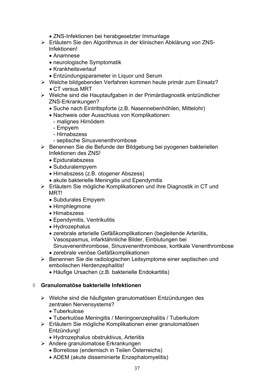- ZNS-Infektionen bei herabgesetzter Immunlage
- ¾ Erläutern Sie den Algorithmus in der klinischen Abklärung von ZNS-Infektionen!
	- Anamnese
	- neurologische Symptomatik
	- Krankheitsverlauf
	- Entzündungsparameter in Liquor und Serum
- ¾ Welche bildgebenden Verfahren kommen heute primär zum Einsatz?  $\bullet$  CT versus MRT
- ¾ Welche sind die Hauptaufgaben in der Primärdiagnostik entzündlicher ZNS-Erkrankungen?
	- Suche nach Eintrittspforte (z.B. Nasennebenhöhlen, Mittelohr)
	- Nachweis oder Ausschluss von Komplikationen:
		- malignes Hirnödem
		- Empyem
		- Hirnabszess
		- septische Sinusvenenthrombose
- ¾ Benennen Sie die Befunde der Bildgebung bei pyogenen bakteriellen Infektionen des ZNS!
	- Epiduralabszess
	- Subduralempyem
	- Hirnabszess (z.B. otogener Abszess)
	- akute bakterielle Meningitis und Ependymitis
- ¾ Erläutern Sie mögliche Komplikationen und ihre Diagnostik in CT und MRT!
	- Subdurales Empyem
	- $\bullet$  Hirnphlegmone
	- Hirnabszess
	- Ependymitis, Ventrikulitis
	- Hydrozephalus
	- x zerebrale arterielle Gefäßkomplikationen (begleitende Arteriitis, Vasospasmus, infarktähnliche Bilder, Einblutungen bei Sinusvenenthrombose, Sinusvenenthrombose, kortikale Venenthrombose
	- zerebrale venöse Gefäßkomplikationen
- ¾ Benennen Sie die radiologischen Leitsymptome einer septischen und embolischen Herdenzephalitis!
	- Häufige Ursachen (z.B. bakterielle Endokartitis)

### ¡ **Granulomatöse bakterielle Infektionen**

- ¾ Welche sind die häufigsten granulomatösen Entzündungen des zentralen Nervensystems?
	- $\bullet$  Tuberkulose
	- Tuberkulöse Meningitis / Meningoenzephalitis / Tuberkulom
- ¾ Erläutern Sie mögliche Komplikationen einer granulomatösen Entzündung!
	- Hydrozephalus obstruktivus, Arteriitis
- ¾ Andere granulomatose Erkrankungen
	- x Borreliose (endemisch in Teilen Österreichs)
	- ADEM (akute disseminierte Enzephalomyelitis)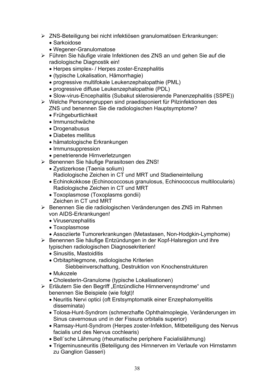- ¾ ZNS-Beteiligung bei nicht infektiösen granulomatösen Erkrankungen:
	- Sarkoidose
	- Wegener-Granulomatose
- ¾ Führen Sie häufige virale Infektionen des ZNS an und gehen Sie auf die radiologische Diagnostik ein!
	- Herpes simplex- / Herpes zoster-Enzephalitis
	- x (typische Lokalisation, Hämorrhagie)
	- progressive multifokale Leukenzephalopathie (PML)
	- progressive diffuse Leukenzephalopathie (PDL)
	- Slow-virus-Encephalitis (Subakut sklerosierende Panenzephalitis (SSPE))
- ¾ Welche Personengruppen sind praedisponiert für Pilzinfektionen des ZNS und benennen Sie die radiologischen Hauptsymptome?
	- Frühgeburtlichkeit
	- Immunschwäche
	- Drogenabusus
	- Diabetes mellitus
	- hämatologische Erkrankungen
	- Immunsuppression
	- penetrierende Hirnverletzungen
- ¾ Benennen Sie häufige Parasitosen des ZNS!
	- Zystizerkose (Taenia solium) Radiologische Zeichen in CT und MRT und Stadieneinteilung
	- Echinokokkose (Echinococcosus granulosus, Echinococcus multilocularis) Radiologische Zeichen in CT und MRT
	- Toxoplasmose (Toxoplasms gondii) Zeichen in CT und MRT
- ¾ Benennen Sie die radiologischen Veränderungen des ZNS im Rahmen von AIDS-Erkrankungen!
	- Virusenzephalitis
	- Toxoplasmose
	- Assoziierte Tumorerkrankungen (Metastasen, Non-Hodgkin-Lymphome)
- ¾ Benennen Sie häufige Entzündungen in der Kopf-Halsregion und ihre typischen radiologischen Diagnosekriterien!
	- Sinusitis, Mastoiditis
	- Orbitaphlegmone, radiologische Kriterien
		- Siebbeinverschattung, Destruktion von Knochenstrukturen
	- $\bullet$  Mukozele
	- Cholesterin-Granulome (typische Lokalisationen)
- ¾ Erläutern Sie den Begriff "Entzündliche Hirnnervensyndrome" und benennen Sie Beispiele (wie folgt)!
	- Neuritis Nervi optici (oft Erstsymptomatik einer Enzephalomyelitis disseminata)
	- Tolosa-Hunt-Syndrom (schmerzhafte Ophthalmoplegie, Veränderungen im Sinus cavernosus und in der Fissura orbitalis superior)
	- Ramsay-Hunt-Syndrom (Herpes zoster-Infektion, Mitbeteiligung des Nervus facialis und des Nervus cochlearis)
	- Bell'sche Lähmung (rheumatische periphere Facialislähmung)
	- Trigeminusneuritis (Beteiligung des Hirnnerven im Verlaufe von Hirnstamm zu Ganglion Gasseri)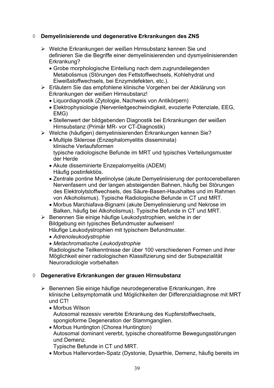# ¡ **Demyelinisierende und degenerative Erkrankungen des ZNS**

- ¾ Welche Erkrankungen der weißen Hirnsubstanz kennen Sie und definieren Sie die Begriffe einer demyelinisierenden und dysmyelinisierenden Erkrankung?
	- Grobe morphologische Einteilung nach dem zugrundeliegenden Metabolismus (Störungen des Fettstoffwechsels, Kohlehydrat und Eiweißstoffwechsels, bei Enzymdefekten, etc.).
- ¾ Erläutern Sie das empfohlene klinische Vorgehen bei der Abklärung von Erkrankungen der weißen Hirnsubstanz!
	- Liquordiagnostik (Zytologie, Nachweis von Antikörpern)
	- Elektrophysiologie (Nervenleitgeschwindigkeit, evozierte Potenziale, EEG, EMG)
	- Stellenwert der bildgebenden Diagnostik bei Erkrankungen der weißen Hirnsubstanz (Primär MR- vor CT-Diagnostik)
- ¾ Welche (häufigen) demyelinisierenden Erkrankungen kennen Sie?
	- Multiple Sklerose (Enzephalomyelitis disseminata) klinische Verlaufsformen typische radiologische Befunde im MRT und typisches Verteilungsmuster der Herde
	- Akute disseminierte Enzepalomyelitis (ADEM) Häufig postinfektiös.
	- Zentrale pontine Myelinolyse (akute Demyelinisierung der pontocerebellaren Nervenfasern und der langen absteigenden Bahnen, häufig bei Störungen des Elektrolytstoffwechsels, des Säure-Basen-Haushaltes und im Rahmen von Alkoholismus). Typische Radiologische Befunde in CT und MRT.
	- Morbus Marchiafava-Bignami (akute Demyelinisierung und Nekrose im Balken, häufig bei Alkoholismus). Typische Befunde in CT und MRT.
- ¾ Benennen Sie einige häufige Leukodystrophien, welche in der Bildgebung ein typisches Befundmuster aufweisen! Häufige Leukodystrophien mit typischem Befundmuster.
	- x *Adrenoleukodystrophie*
	- x *Metachromatische Leukodystrophie*

Radiologische Teilkenntnisse der über 100 verschiedenen Formen und ihrer Möglichkeit einer radiologischen Klassifizierung sind der Subspezialität Neuroradiologie vorbehalten

# ¡ **Degenerative Erkrankungen der grauen Hirnsubstanz**

- ¾ Benennen Sie einige häufige neurodegenerative Erkrankungen, ihre klinische Leitsymptomatik und Möglichkeiten der Differenzialdiagnose mit MRT und CT!
	- Morbus Wilson Autosomal rezessiv vererbte Erkrankung des Kupferstoffwechsels, spongioforme Degeneration der Stammganglien.
	- Morbus Huntington (Chorea Huntington) Autosomal dominant vererbt, typische choreatiforme Bewegungsstörungen und Demenz.

Typische Befunde in CT und MRT.

• Morbus Hallervorden-Spatz (Dystonie, Dysarthie, Demenz, häufig bereits im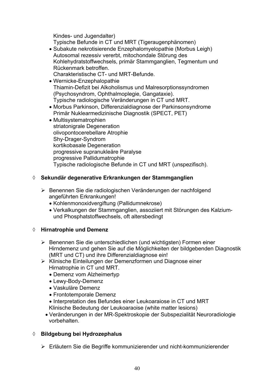Kindes- und Jugendalter) Typische Befunde in CT und MRT (Tigeraugenphänomen)

- Subakute nekrotisierende Enzephalomyelopathie (Morbus Leigh) Autosomal rezessiv vererbt, mitochondale Störung des Kohlehydratstoffwechsels, primär Stammganglien, Tegmentum und Rückenmark betroffen. Charakteristische CT- und MRT-Befunde.
- Wernicke-Enzephalopathie Thiamin-Defizit bei Alkoholismus und Malresorptionssyndromen (Psychosyndrom, Ophthalmoplegie, Gangataxie). Typische radiologische Veränderungen in CT und MRT.
- Morbus Parkinson, Differenzialdiagnose der Parkinsonsyndrome Primär Nuklearmedizinische Diagnostik (SPECT, PET)
- Multisystematrophien striatonigrale Degeneration olivopontocerebellare Atrophie Shy-Drager-Syndrom kortikobasale Degeneration progressive supranukleäre Paralyse progressive Pallidumatrophie Typische radiologische Befunde in CT und MRT (unspezifisch).

# ¡ **Sekundär degenerative Erkrankungen der Stammganglien**

- ¾ Benennen Sie die radiologischen Veränderungen der nachfolgend angeführten Erkrankungen!
	- Kohlenmonoxidvergiftung (Pallidumnekrose)
	- x Verkalkungen der Stammganglien, assoziiert mit Störungen des Kalziumund Phosphatstoffwechsels, oft altersbedingt

# ¡ **Hirnatrophie und Demenz**

- ¾ Benennen Sie die unterschiedlichen (und wichtigsten) Formen einer Hirndemenz und gehen Sie auf die Möglichkeiten der bildgebenden Diagnostik (MRT und CT) und ihre Differenzialdiagnose ein!
- ¾ Klinische Einteilungen der Demenzformen und Diagnose einer Hirnatrophie in CT und MRT.
	- Demenz vom Alzheimertyp
	- Lewy-Body-Demenz
	- Vaskuläre Demenz
	- Frontotemporale Demenz
	- Interpretation des Befundes einer Leukoaraiose in CT und MRT Klinische Bedeutung der Leukoaraoise (white matter lesions)
	- x Veränderungen in der MR-Spektroskopie der Subspezialität Neuroradiologie vorbehalten.

# ¡ **Bildgebung bei Hydrozephalus**

¾ Erläutern Sie die Begriffe kommunizierender und nicht-kommunizierender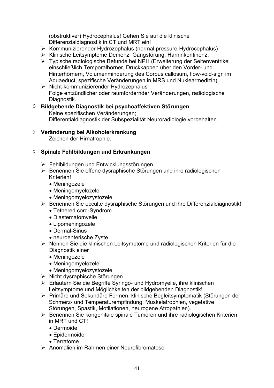(obstruktiver) Hydrocephalus! Gehen Sie auf die klinische Differenzialdiagnostik in CT und MRT ein!

- ¾ Kommunizierender Hydrozephalus (normal pressure-Hydrocephalus)
- ¾ Klinische Leitsymptome Demenz, Gangstörung, Harninkontinenz.
- ¾ Typische radiologische Befunde bei NPH (Erweiterung der Seitenventrikel einschließlich Temporalhörner, Druckkappen über den Vorder- und Hinterhörnern, Volumenminderung des Corpus callosum, flow-void-sign im Aquaeduct, spezifische Veränderungen in MRS und Nuklearmedizin).
- $\triangleright$  Nicht-kommunizierender Hydrozephalus Folge entzündlicher oder raumfordernder Veränderungen, radiologische Diagnostik.
- **¸ Bildgebende Diagnostik bei psychoaffektiven Störungen** Keine spezifischen Veränderungen; Differentialdiagnostik der Subspezialität Neuroradiologie vorbehalten.
- **¸ Veränderung bei Alkoholerkrankung**

Zeichen der Hirnatrophie.

### ¡ **Spinale Fehlbildungen und Erkrankungen**

- ¾ Fehlbildungen und Entwicklungsstörungen
- ¾ Benennen Sie offene dysraphische Störungen und ihre radiologischen Kriterien!
	- Meningozele
	- Meningomyelozele
	- Meningomyelozystozele
- ¾ Benennen Sie occulte dysraphische Störungen und ihre Differenzialdiagnostik!
	- Tethered cord-Syndrom
	- Diastematomyelie
	- Lipomeningozele
	- Dermal-Sinus
	- neuroenterische Zyste
- ¾ Nennen Sie die klinischen Leitsymptome und radiologischen Kriterien für die Diagnostik einer
	- Meningozele
	- Meningomyelozele
	- Meningomyelozystozele
- ¾ Nicht dysraphische Störungen
- ¾ Erläutern Sie die Begriffe Syringo- und Hydromyelie, ihre klinischen Leitsymptome und Möglichkeiten der bildgebenden Diagnostik!
- ¾ Primäre und Sekundäre Formen, klinische Begleitsymptomatik (Störungen der Schmerz- und Temperaturempfindung, Muskelatrophien, vegetative Störungen, Spastik, Motilationen, neurogene Atropathien).
- ¾ Benennen Sie kongenitale spinale Tumoren und ihre radiologischen Kriterien in MRT und CT!
	- Dermoide
	- $\bullet$  Epidermoide
	- Terratome
- ¾ Anomalien im Rahmen einer Neurofibromatose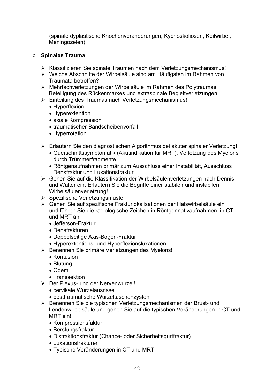(spinale dyplastische Knochenveränderungen, Kyphoskoliosen, Keilwirbel, Meningozelen).

# ¡ **Spinales Trauma**

- ¾ Klassifizieren Sie spinale Traumen nach dem Verletzungsmechanismus!
- ¾ Welche Abschnitte der Wirbelsäule sind am Häufigsten im Rahmen von Traumata betroffen?
- ¾ Mehrfachverletzungen der Wirbelsäule im Rahmen des Polytraumas, Beteiligung des Rückenmarkes und extraspinale Begleitverletzungen.
- ¾ Einteilung des Traumas nach Verletzungsmechanismus!
	- Hyperflexion
	- Hyperextention
	- axiale Kompression
	- traumatischer Bandscheibenvorfall
	- Hyperrotation
- ¾ Erläutern Sie den diagnostischen Algorithmus bei akuter spinaler Verletzung!
	- Querschnittssymptomatik (Akutindikation für MRT), Verletzung des Myelons durch Trümmerfragmente
	- Röntgenaufnahmen primär zum Ausschluss einer Instabilität, Ausschluss Densfraktur und Luxationsfraktur
- ¾ Gehen Sie auf die Klassifikation der Wirbelsäulenverletzungen nach Dennis und Walter ein. Erläutern Sie die Begriffe einer stabilen und instabilen Wirbelsäulenverletzung!
- ¾ Spezifische Verletzungsmuster
- ¾ Gehen Sie auf spezifische Frakturlokalisationen der Halswirbelsäule ein und führen Sie die radiologische Zeichen in Röntgennativaufnahmen, in CT und MRT an!
	- Jefferson-Fraktur
	- x Densfrakturen
	- Doppelseitige Axis-Bogen-Fraktur
	- Hyperextentions- und Hyperflexionsluxationen
- ¾ Benennen Sie primäre Verletzungen des Myelons!
	- Kontusion
	- Blutung
	- $\bullet$  Ödem
	- Transsektion
- ¾ Der Plexus- und der Nervenwurzel!
	- cervikale Wurzelausrisse
	- posttraumatische Wurzeltaschenzysten
- ¾ Benennen Sie die typischen Verletzungsmechanismen der Brust- und Lendenwirbelsäule und gehen Sie auf die typischen Veränderungen in CT und MRT ein!
	- Kompressionsfaktur
	- Berstungsfraktur
	- Distraktionsfraktur (Chance- oder Sicherheitsgurtfraktur)
	- Luxationsfrakturen
	- Typische Veränderungen in CT und MRT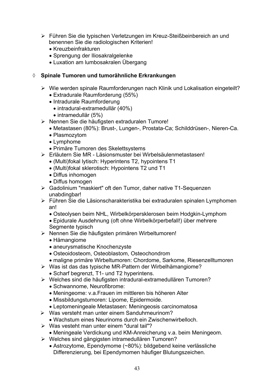- ¾ Führen Sie die typischen Verletzungen im Kreuz-Steißbeinbereich an und benennen Sie die radiologischen Kriterien!
	- $\bullet$  Kreuzbeinfrakturen
	- Sprengung der Iliosakralgelenke
	- Luxation am lumbosakralen Übergang

# ¡ **Spinale Tumoren und tumorähnliche Erkrankungen**

- ¾ Wie werden spinale Raumforderungen nach Klinik und Lokalisation eingeteilt? • Extradurale Raumforderung (55%)
	- Intradurale Raumforderung
		- intradural-extramedullär (40%)
		- $\bullet$  intramedullär (5%)
- ¾ Nennen Sie die häufigsten extraduralen Tumore!
	- x Metastasen (80%): Brust-, Lungen-, Prostata-Ca; Schilddrüsen-, Nieren-Ca.
	- Plasmozytom
	- $\bullet$  Lymphome
	- Primäre Tumoren des Skelettsystems
- ¾ Erläutern Sie MR Läsionsmuster bei Wirbelsäulenmetastasen!
	- x (Multi)fokal lytisch: Hyperintens T2, hypointens T1
	- x (Multi)fokal sklerotisch: Hypointens T2 und T1
	- Diffus inhomogen
	- Diffus homogen
- ¾ Gadolinium "maskiert" oft den Tumor, daher native T1-Sequenzen unabdingbar!
- ¾ Führen Sie die Läsionscharakteristika bei extraduralen spinalen Lymphomen an!
	- Osteolysen beim NHL, Wirbelkörpersklerosen beim Hodgkin-Lymphom
	- Epidurale Ausdehnung (oft ohne Wirbelkörperbefall!) über mehrere Segmente typisch
- ¾ Nennen Sie die häufigsten primären Wirbeltumoren!
	- Hämangiome
	- aneurysmatische Knochenzyste
	- Osteoidosteom, Osteoblastom, Osteochondrom
	- maligne primäre Wirbeltumoren: Chordome, Sarkome, Riesenzelltumoren
- ¾ Was ist das das typische MR-Pattern der Wirbelhämangiome?
	- Scharf begrenzt, T1- und T2 hyperintens.
- ¾ Welches sind die häufigsten intradural-extramedullären Tumoren?
	- Schwannome, Neurofibrome:
	- Meningeome: v.a.Frauen im mittleren bis höheren Alter
	- Missbildungstumoren: Lipome, Epidermoide.
	- Leptomeningeale Metastasen: Meningeosis carcinomatosa
- $\triangleright$  Was versteht man unter einem Sanduhrneurinom?
	- Wachstum eines Neurinoms durch ein Zwischenwirbelloch.
- $\triangleright$  Was vesteht man unter einem "dural tail"?
	- Meningeale Verdickung und KM-Anreicherung v.a. beim Meningeom.
- ¾ Welches sind gängigsten intramedullären Tumoren?
	- Astrozytome, Ependymome (~80%): bildgebend keine verlässliche Differenzierung, bei Ependymomen häufiger Blutungszeichen.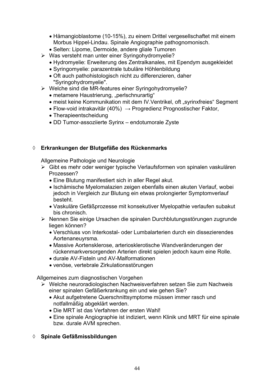- Hämangioblastome (10-15%), zu einem Drittel vergesellschaftet mit einem Morbus Hippel-Lindau. Spinale Angiographie pathognomonisch.
- Selten: Lipome, Dermoide, andere gliale Tumoren
- ¾ Was versteht man unter einer Syringohydromyelie?
	- Hydromyelie: Erweiterung des Zentralkanales, mit Ependym ausgekleidet
	- Syringomyelie: parazentrale tubuläre Höhlenbildung
	- Oft auch pathohistologisch nicht zu differenzieren, daher "Syringohydromyelie".
- ¾ Welche sind die MR-features einer Syringohydromyelie?
	- metamere Haustrierung, "perlschnurartig"
	- meist keine Kommunikation mit dem IV.Ventrikel, oft "syrinxfreies" Segment
	- $\bullet$  Flow-void intrakavitär (40%)  $\rightarrow$  Progredienz Prognostischer Faktor,
	- Therapieentscheidung
	- DD Tumor-assoziierte Syrinx endotumorale Zyste

### ¡ **Erkrankungen der Blutgefäße des Rückenmarks**

Allgemeine Pathologie und Neurologie

- ¾ Gibt es mehr oder weniger typische Verlaufsformen von spinalen vaskulären Prozessen?
	- Eine Blutung manifestiert sich in aller Regel akut.
	- Ischämische Myelomalazien zeigen ebenfalls einen akuten Verlauf, wobei jedoch in Vergleich zur Blutung ein etwas prolongierter Symptomverlauf besteht.
	- Vaskuläre Gefäßprozesse mit konsekutiver Myelopathie verlaufen subakut bis chronisch.
- ¾ Nennen Sie einige Ursachen die spinalen Durchblutungsstörungen zugrunde liegen können?
	- Verschluss von Interkostal- oder Lumbalarterien durch ein dissezierendes Aortenaneuyrsma.
	- Massive Aortensklerose, arteriosklerotische Wandveränderungen der rückenmarkversorgenden Arterien direkt spielen jedoch kaum eine Rolle.
	- x durale AV-Fisteln und AV-Malformationen
	- venöse, vertebrale Zirkulationsstörungen

Allgemeines zum diagnostischen Vorgehen

- ¾ Welche neuroradiologischen Nachweisverfahren setzen Sie zum Nachweis einer spinalen Gefäßerkrankung ein und wie gehen Sie?
	- Akut aufgetretene Querschnittsymptome müssen immer rasch und notfallmäßig abgeklärt werden.
	- Die MRT ist das Verfahren der ersten Wahl!
	- Eine spinale Angiographie ist indiziert, wenn Klinik und MRT für eine spinale bzw. durale AVM sprechen.

# ¡ **Spinale Gefäßmissbildungen**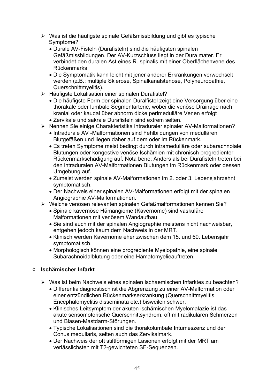- $\triangleright$  Was ist die häufigste spinale Gefäßmissbildung und gibt es typische Symptome?
	- Durale AV-Fisteln (Durafisteln) sind die häufigsten spinalen Gefäßmissbildungen. Der AV-Kurzschluss liegt in der Dura mater. Er verbindet den duralen Ast eines R. spinalis mit einer Oberflächenvene des Rückenmarks
	- Die Symptomatik kann leicht mit jener anderer Erkrankungen verwechselt werden (z.B.: multiple Sklerose, Spinalkanalstenose, Polyneuropathie, Querschnittmyelitis).
- ¾ Häufigste Lokalisation einer spinalen Durafistel?
	- Die häufigste Form der spinalen Duralfistel zeigt eine Versorgung über eine thorakale oder lumbale Segmentarterie, wobei die venöse Drainage nach kranial oder kaudal über abnorm dicke perimedulläre Venen erfolgt
	- Zervikale und sakrale Durafisteln sind extrem selten.
- ¾ Nennen Sie einige Charakteristika intraduraler spinaler AV-Malformationen?
	- Intradurale AV -Malformationen sind Fehlbildungen von medullären Blutgefäßen und liegen daher auf dem oder im Rückenmark.
	- Es treten Symptome meist bedingt durch intramedulläre oder subarachnoiale Blutungen oder kongestive venöse Ischämien mit chronisch progredienter Rückenmarkschädigung auf. Nota bene: Anders als bei Durafisteln treten bei den intraduralen AV-Malformationen Blutungen im Rückenmark oder dessen Umgebung auf.
	- Zumeist werden spinale AV-Malformationen im 2. oder 3. Lebensjahrzehnt symptomatisch.
	- Der Nachweis einer spinalen AV-Malformationen erfolgt mit der spinalen Angiographie AV-Malformationen.
- ¾ Welche venösen relevanten spinalen Gefäßmalformationen kennen Sie?
	- Spinale kavernöse Hämangiome (Kavernome) sind vaskuläre Malformationen mit venösem Wandaufbau.
	- Sie sind auch mit der spinalen Angiographie meistens nicht nachweisbar, entgehen jedoch kaum dem Nachweis in der MRT.
	- Klinisch werden Kavernome eher zwischen dem 15. und 60. Lebensjahr symptomatisch.
	- Morphologisch können eine progrediente Myelopathie, eine spinale Subarachnoidalblutung oder eine Hämatomyelieauftreten.

# ¡ **Ischämischer Infarkt**

- ¾ Was ist beim Nachweis eines spinalen ischaemischen Infarktes zu beachten?
	- Differentialdiagnostisch ist die Abgrenzung zu einer AV-Malformation oder einer entzündlichen Rückenmarkserkrankung (Querschnittmyelitis, Encephalomyelitis disseminata etc.) bisweilen schwer.
	- Klinisches Leitsymptom der akuten ischämischen Myelomalazie ist das akute sensomotorische Querschnittsyndrom, oft mit radikulären Schmerzen und Blasen-Mastdarm-Störungen.
	- Typische Lokalisationen sind die thorakolumbale Intumeszenz und der Conus medullaris, selten auch das Zervikalmark.
	- Der Nachweis der oft stiftförmigen Läsionen erfolgt mit der MRT am verlässlichsten mit T2-gewichteten SE-Sequenzen.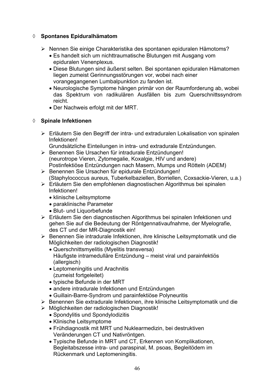# ¡ **Spontanes Epiduralhämatom**

- ¾ Nennen Sie einige Charakteristika des spontanen epiduralen Hämotoms?
	- x Es handelt sich um nichttraumatische Blutungen mit Ausgang vom epiduralen Venenplexus.
	- Diese Blutungen sind äußerst selten. Bei spontanen epiduralen Hämatomen liegen zumeist Gerinnungsstörungen vor, wobei nach einer vorangegangenen Lumbalpunktion zu fanden ist.
	- Neurologische Symptome hängen primär von der Raumforderung ab, wobei das Spektrum von radikulären Ausfällen bis zum Querschnittssyndrom reicht.
	- Der Nachweis erfolgt mit der MRT.

# ¡ **Spinale Infektionen**

¾ Erläutern Sie den Begriff der intra- und extraduralen Lokalisation von spinalen Infektionen!

Grundsätzliche Einteilungen in intra- und extradurale Entzündungen.

- ¾ Benennen Sie Ursachen für intradurale Entzündungen! (neurotrope Vieren, Zytomegalie, Koxalgie, HIV und andere) Postinfektiöse Entzündungen nach Masern, Mumps und Rötteln (ADEM)
- ¾ Benennen Sie Ursachen für epidurale Entzündungen! (Staphylococcus aureus, Tuberkelbaziellen, Borriellen, Coxsackie-Vieren, u.a.)
- ¾ Erläutern Sie den empfohlenen diagnostischen Algorithmus bei spinalen Infektionen!
	- klinische Leitsymptome
	- paraklinische Parameter
	- Blut- und Liquorbefunde
- ¾ Erläutern Sie den diagnostischen Algorithmus bei spinalen Infektionen und gehen Sie auf die Bedeutung der Röntgennativaufnahme, der Myelografie, des CT und der MR-Diagnostik ein!
- ¾ Benennen Sie intradurale Infektionen, ihre klinische Leitsymptomatik und die Möglichkeiten der radiologischen Diagnostik!
	- Querschnittsmyelitis (Myelitis transversa) Häufigste intramedulläre Entzündung – meist viral und parainfektiös (allergisch)
	- Leptomeningitis und Arachnitis (zumeist fortgeleitet)
	- typische Befunde in der MRT
	- andere intradurale Infektionen und Entzündungen
	- x Guillain-Barre-Syndrom und parainfektiöse Polyneuritis
- ¾ Benennen Sie extradurale Infektionen, ihre klinische Leitsymptomatik und die
- ¾ Möglichkeiten der radiologischen Diagnostik!
	- Spondylitis und Spondylodizitis
	- Klinische Leitsymptome
	- x Frühdiagnostik mit MRT und Nuklearmedizin, bei destruktiven Veränderungen CT und Nativröntgen.
	- Typische Befunde in MRT und CT, Erkennen von Komplikationen, Begleitabszesse intra- und paraspinal, M. psoas, Begleitödem im Rückenmark und Leptomeningitis.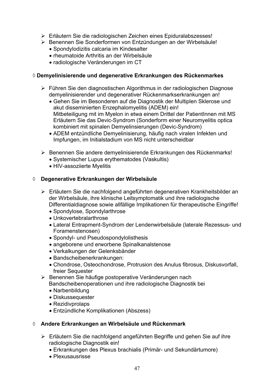- ¾ Erläutern Sie die radiologischen Zeichen eines Epiduralabszesses!
- ¾ Benennen Sie Sonderformen von Entzündungen an der Wirbelsäule!
	- Spondylodizitis calcaria im Kindesalter
	- rheumatoide Arthritis an der Wirbelsäule
	- radiologische Veränderungen im CT

### ¡ **Demyelinisierende und degenerative Erkrankungen des Rückenmarkes**

- ¾ Führen Sie den diagnostischen Algorithmus in der radiologischen Diagnose demyelinisierender und degenerativer Rückenmarkserkrankungen an!
	- Gehen Sie im Besonderen auf die Diagnostik der Multiplen Sklerose und akut disseminierten Enzephalomyelitis (ADEM) ein! Mitbeteiligung mit im Myelon in etwa einem Drittel der PatientInnen mit MS Erläutern Sie das Devic-Syndrom (Sonderform einer Neuromyelitis optica kombiniert mit spinalen Demyelinsierungen (Devic-Syndrom)
	- ADEM entzündliche Demyelinisierung, häufig nach viralen Infekten und Impfungen, im Initialstadium von MS nicht unterscheidbar
- ¾ Benennen Sie andere demyelinisierende Erkrankungen des Rückenmarks!
	- Systemischer Lupus erythematodes (Vaskultis)
	- HIV-assoziierte Myelitis

### ¡ **Degenerative Erkrankungen der Wirbelsäule**

- ¾ Erläutern Sie die nachfolgend angeführten degenerativen Krankheitsbilder an der Wirbelsäule, ihre klinische Leitsymptomatik und ihre radiologische Differentialdiagnose sowie allfällige Implikationen für therapeutische Eingriffe!
	- Spondylose, Spondylarthrose
	- Unkovertebralarthrose
	- Lateral Entrapment-Syndrom der Lendenwirbelsäule (laterale Rezessus- und Foramenstenosen)
	- Spondyl- und Pseudospondylolisthesis
	- angeborene und erworbene Spinalkanalstenose
	- Verkalkungen der Gelenksbänder
	- Bandscheibenerkrankungen:
	- Chondrose, Osteochondrose, Protrusion des Anulus fibrosus, Diskusvorfall, freier Sequester
- ¾ Benennen Sie häufige postoperative Veränderungen nach Bandscheibenoperationen und ihre radiologische Diagnostik bei
	- Narbenbildung
	- Diskussequester
	- $\bullet$  Rezidivprolaps
	- Entzündliche Komplikationen (Abszess)

### ¡ **Andere Erkrankungen an Wirbelsäule und Rückenmark**

- ¾ Erläutern Sie die nachfolgend angeführten Begriffe und gehen Sie auf ihre radiologische Diagnostik ein!
	- Erkrankungen des Plexus brachialis (Primär- und Sekundärtumore)
	- Plexusausrisse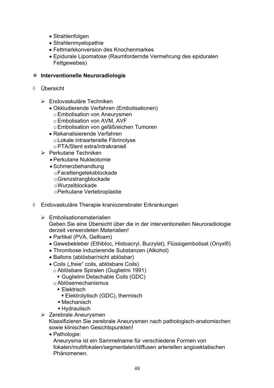- $\bullet$  Strahlenfolgen
- Strahlenmyelopathie
- Fettmarkkonversion des Knochenmarkes
- Epidurale Lipomatose (Raumfordernde Vermehrung des epiduralen Fettgewebes)

### **Interventionelle Neuroradiologie**

- ¡ Übersicht
	- ¾ Endovaskuläre Techniken
		- Okkludierende Verfahren (Embolisationen)
			- o Embolisation von Aneurysmen
			- o Embolisation von AVM, AVF
			- o Embolisation von gefäßreichen Tumoren
		- Rekanalisierende Verfahren o Lokale intraarterielle Fibrinolyse o PTA/Stent extra/intrakraniell
	- ¾ Perkutane Techniken
		- Perkutane Nukleotomie
		- Schmerzbehandlung
			- o Facettengeleksblockade
			- o Grenzstrangblockade
			- o Wurzelblockade
			- o Perkutane Vertebroplastie
- $\Diamond$  Endovaskuläre Therapie kraniozerebraler Erkrankungen
	- $\triangleright$  Embolisationsmaterialien

Geben Sie eine Übersicht über die in der interventionellen Neuroradiologie derzeit verwendeten Materialien!

- Partikel (PVA, Gelfoam)
- x Gewebekleber (Ethibloc, Histoacryl, Bucrylat), Flüssigembolisat (Onyx®)
- Thrombose induzierende Substanzen (Alkohol)
- Ballons (ablösbar/nicht ablösbar)
- Coils ("freie" coils, ablösbare Coils)
	- o Ablösbare Spiralen (Guglielmi 1991)
		- Guglielmi Detachable Coils (GDC)
	- o Ablösemechanismus
		- Elektrisch
			- Elektrolytisch (GDC), thermisch
		- Mechanisch
		- **Hydraulisch**
- ¾ Zerebrale Aneurysmen

Klassifizieren Sie zerebrale Aneurysmen nach pathologisch-anatomischen sowie klinischen Gesichtspunkten!

• Pathologie:

Aneurysma ist ein Sammelname für verschiedene Formen von fokalen/multifokalen/segmentalen/diffusen arteriellen angioektatischen Phänomenen.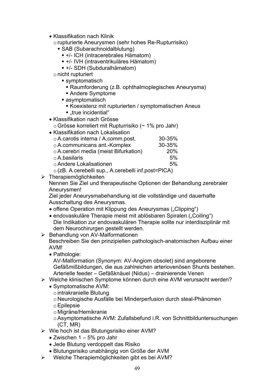- Klassifikation nach Klinik
	- o rupturierte Aneurysmen (sehr hohes Re-Rupturrisiko)
		- SAB (Subarachnoidalblutung)
			- +/- ICH (intracerebrales Hämatom)
			- +/- IVH (intraventrikuläres Hämatom)
			- +/- SDH (Subduralhämatom)
	- o nicht rupturiert
		- symptomatisch
			- Raumforderung (z.B. ophthalmoplegisches Aneurysma)
			- Andere Symptome
		- asymptomatisch
			- Koexistenz mit rupturierten / symptomatischen Aneus
			- $\blacksquare$ .true incidential"
- Klassifikation nach Grösse o Grösse korreliert mit Rupturrisiko (~ 1% pro Jahr)
- Klassifikation nach Lokalisation
	- o A.carotis interna / A.comm.post. 30-35% o A.communicans ant.-Komplex 30-35% o A.cerebri media (meist Bifurkation) 20%  $\circ$  A.basilaris 5% o Andere Lokalisationen 5% o (zB. A.cerebelli sup., A.cerebelli inf.post=PICA)
- $\triangleright$  Therapiemöglichkeiten

Nennen Sie Ziel und therapeutische Optionen der Behandlung zerebraler Aneurysmen!

Ziel jeder Aneurysmabehandlung ist die vollständige und dauerhafte Ausschaltung des Aneurysmas.

- offene Operation mit Klippung des Aneurysmas ("Clipping")
- endovaskuläre Therapie meist mit ablösbaren Spiralen ("Coiling") Die Indikation zur endovaskulären Therapie sollte nur interdisziplinär mit dem Neurochirurgen gestellt werden.
- ¾ Behandlung von AV-Malformationen

Beschreiben Sie den prinzipiellen pathologisch-anatomischen Aufbau einer AVM!

• Pathologie:

AV-Malformation (Synonym: AV-Angiom obsolet) sind angeborene Gefäßmißbildungen, die aus zahlreichen arteriovenösen Shunts bestehen. Arterielle feeder – Gefäßknäuel (Nidus) – drainierende Venen

- ¾ Welche klinischen Symptome können durch eine AVM verursacht werden?
	- Symptomatische AVM:
		- o intrakranielle Blutung
		- o Neurologische Ausfälle bei Minderperfusion durch steal-Phänomen
		- o Epilepsie
		- o Migräne/Hemikranie
		- o Asymptomatische AVM: Zufallsbefund i.R. von Schnittbilduntersuchungen (CT, MR)
- $\triangleright$  Wie hoch ist das Blutungsrisiko einer AVM?
	- $\bullet$  Zwischen 1 5% pro Jahr
	- Jede Blutung verdoppelt das Risiko
	- x Blutungsrisiko unabhängig von Größe der AVM
- ¾ Welche Therapiemöglichkeiten gibt es bei AVM?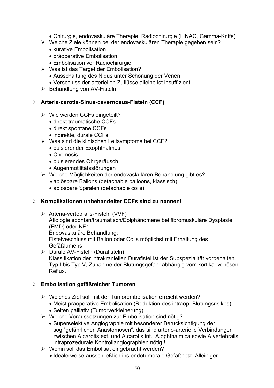- x Chirurgie, endovaskuläre Therapie, Radiochirurgie (LINAC, Gamma-Knife)
- ¾ Welche Ziele können bei der endovaskulären Therapie gegeben sein?
	- $\bullet$  kurative Embolisation
	- präoperative Embolisation
	- Embolisation vor Radiochirurgie
- $\triangleright$  Was ist das Target der Embolisation?
	- Ausschaltung des Nidus unter Schonung der Venen
	- Verschluss der arteriellen Zuflüsse alleine ist insuffizient
- ¾ Behandlung von AV-Fisteln

# ¡ **Arteria-carotis-Sinus-cavernosus-Fisteln (CCF)**

- $\triangleright$  Wie werden CCFs eingeteilt?
	- direkt traumatische CCFs
	- direkt spontane CCFs
	- indirekte, durale CCFs
- ¾ Was sind die klinischen Leitsymptome bei CCF?
	- pulsierender Exophthalmus
	- $\bullet$  Chemosis
	- pulsierendes Ohrgeräusch
	- Augenmotilitätsstörungen
- ¾ Welche Möglichkeiten der endovaskulären Behandlung gibt es?
	- ablösbare Ballons (detachable balloons, klassisch)
	- ablösbare Spiralen (detachable coils)

# ¡ **Komplikationen unbehandelter CCFs sind zu nennen!**

- ¾ Arteria-vertebralis-Fisteln (VVF) Ätiologie spontan/traumatisch/Epiphänomene bei fibromuskuläre Dysplasie (FMD) oder NF1 Endovaskuläre Behandlung: Fistelveschluss mit Ballon oder Coils möglichst mit Erhaltung des Gefäßlumens
- ¾ Durale AV-Fisteln (Durafisteln) Klassifikation der intrakraniellen Durafistel ist der Subspezialität vorbehalten. Typ I bis Typ V, Zunahme der Blutungsgefahr abhängig vom kortikal-venösen Reflux.

# ¡ **Embolisation gefäßreicher Tumoren**

- ¾ Welches Ziel soll mit der Tumorembolisation erreicht werden?
	- Meist präoperative Embolisation (Reduktion des intraop. Blutungsrisikos)
	- Selten palliativ (Tumorverkleinerung).
- ¾ Welche Voraussetzungen zur Embolisation sind nötig?
	- Superselektive Angiographie mit besonderer Berücksichtigung der sog."gefährlichen Anastomosen", das sind arterio-arterielle Verbindungen zwischen A.carotis ext. und A.carotis int., A.ophthalmica sowie A.vertebralis. intraprozedurale Kontrollangiographien nötig !
- ¾ Wohin soll das Embolisat eingebracht werden?
	- Idealerweise ausschließlich ins endotumorale Gefäßnetz. Alleiniger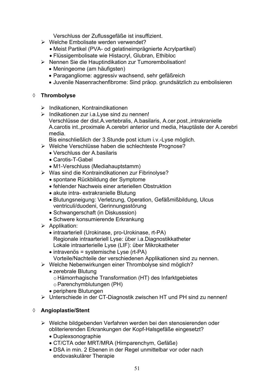Verschluss der Zuflussgefäße ist insuffizient.

- $\triangleright$  Welche Embolisate werden verwendet?
	- Meist Partikel (PVA- od gelatineimprägnierte Acrylpartikel)
	- Flüssigembolisate wie Histacryl, Glubran, Ethibloc
- ¾ Nennen Sie die Hauptindikation zur Tumorembolisation!
	- Meningeome (am häufigsten)
	- Paragangliome: aggressiv wachsend, sehr gefäßreich
	- Juvenile Nasenrachenfibrome: Sind präop. grundsätzlich zu embolisieren

### ¡ **Thrombolyse**

- ¾ Indikationen, Kontraindikationen
- $\triangleright$  Indikationen zur i.a. Lyse sind zu nennen! Verschlüsse der dist.A.vertebralis, A.basilaris, A.cer.post.,intrakranielle A.carotis int.,proximale A.cerebri anterior und media, Hauptäste der A.cerebri media.

Bis einschließlich der 3.Stunde post ictum i.v.-Lyse möglich.

- ¾ Welche Verschlüsse haben die schlechteste Prognose?
	- Verschluss der A.basilaris
	- Carotis-T-Gabel
	- M1-Verschluss (Mediahauptstamm)
- ¾ Was sind die Kontraindikationen zur Fibrinolyse?
	- spontane Rückbildung der Symptome
	- fehlender Nachweis einer arteriellen Obstruktion
	- akute intra- extrakranielle Blutung
	- x Blutungsneigung: Verletzung, Operation, Gefäßmißbildung, Ulcus ventriculi/duodeni, Gerinnungsstörung
	- Schwangerschaft (in Diskusssion)
	- Schwere konsumierende Erkrankung
- $\triangleright$  Applikation:
	- intraarteriell (Urokinase, pro-Urokinase, rt-PA) Regionale intraarteriell Lyse: über i.a.Diagnostikkatheter Lokale intraarterielle Lyse (LIF): über Mikrokatheter
	- $\bullet$  intravenös = systemische Lyse (rt-PA) Vorteile/Nachteile der verschiedenen Applikationen sind zu nennen.
- ¾ Welche Nebenwirkungen einer Thrombolyse sind möglich?
	- zerebrale Blutung
		- o Hämorrhagische Transformation (HT) des Infarktgebietes
		- o Parenchymblutungen (PH)
	- periphere Blutungen
- ¾ Unterschiede in der CT-Diagnostik zwischen HT und PH sind zu nennen!

# ¡ **Angioplastie/Stent**

- ¾ Welche bildgebenden Verfahren werden bei den stenosierenden oder obliterierenden Erkrankungen der Kopf-Halsgefäße eingesetzt?
	- Duplexsonographie
	- x CT/CTA oder MRT/MRA (Hirnparenchym, Gefäße)
	- DSA in min. 2 Ebenen in der Regel unmittelbar vor oder nach endovaskulärer Therapie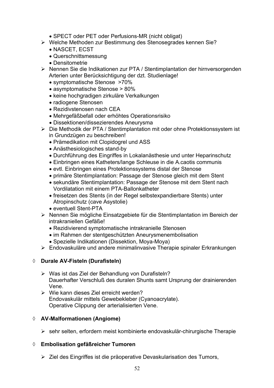- SPECT oder PET oder Perfusions-MR (nicht obligat)
- ¾ Welche Methoden zur Bestimmung des Stenosegrades kennen Sie?
	- NASCET, ECST
	- Querschnittsmessung
	- Densitometrie
- ¾ Nennen Sie die Indikationen zur PTA / Stentimplantation der hirnversorgenden Arterien unter Berücksichtigung der dzt. Studienlage!
	- symptomatische Stenose >70%
	- asymptomatische Stenose > 80%
	- keine hochgradigen zirkuläre Verkalkungen
	- radiogene Stenosen
	- Rezidivstenosen nach CEA
	- Mehrgefäßbefall oder erhöhtes Operationsrisiko
	- Dissektionen/dissezierendes Aneurysma
- ¾ Die Methodik der PTA / Stentimplantation mit oder ohne Protektionssystem ist in Grundzügen zu beschreiben!
	- Prämedikation mit Clopidogrel und ASS
	- Anästhesiologisches stand-by
	- Durchführung des Eingriffes in Lokalanästhesie und unter Heparinschutz
	- Einbringen eines Katheters/lange Schleuse in die A.caotis communis
	- evtl. Einbringen eines Protektionssystems distal der Stenose
	- primäre Stentimplantation: Passage der Stenose gleich mit dem Stent
	- sekundäre Stentimplantation: Passage der Stenose mit dem Stent nach Vordilatation mit einem PTA-Ballonkatheter
	- freisetzen des Stents (in der Regel selbstexpandierbare Stents) unter Atropinschutz (cave Asystolie)
	- eventuell Stent-PTA
- ¾ Nennen Sie mögliche Einsatzgebiete für die Stentimplantation im Bereich der intrakraniellen Gefäße!
	- Rezidivierend symptomatische intrakranielle Stenosen
	- im Rahmen der stentgeschützten Aneurysmenembolisation
	- Spezielle Indikationen (Dissektion, Moya-Moya)
- ¾ Endovaskuläre und andere minimalinvasive Therapie spinaler Erkrankungen

# ¡ **Durale AV-Fisteln (Durafisteln)**

- $\triangleright$  Was ist das Ziel der Behandlung von Durafisteln? Dauerhafter Verschluß des duralen Shunts samt Ursprung der drainierenden Vene.
- ¾ Wie kann dieses Ziel erreicht werden? Endovaskulär mittels Gewebekleber (Cyanoacrylate). Operative Clippung der arterialisierten Vene.

# ¡ **AV-Malformationen (Angiome)**

¾ sehr selten, erfordern meist kombinierte endovaskulär-chirurgische Therapie

# ¡ **Embolisation gefäßreicher Tumoren**

¾ Ziel des Eingriffes ist die präoperative Devaskularisation des Tumors,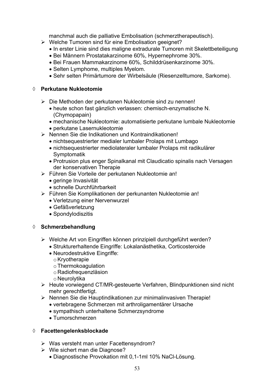manchmal auch die palliative Embolisation (schmerztherapeutisch).

- ¾ Welche Tumoren sind für eine Embolisation geeignet?
	- In erster Linie sind dies maligne extradurale Tumoren mit Skelettbeteiligung
	- x Bei Männern Prostatakarzinome 60%, Hypernephrome 30%.
	- x Bei Frauen Mammakarzinome 60%, Schilddrüsenkarzinome 30%.
	- Selten Lymphome, multiples Myelom.
	- Sehr selten Primärtumore der Wirbelsäule (Riesenzelltumore, Sarkome).

### ¡ **Perkutane Nukleotomie**

- ¾ Die Methoden der perkutanen Nukleotomie sind zu nennen!
	- x heute schon fast gänzlich verlassen: chemisch-enzymatische N. (Chymopapain)
	- mechanische Nukleotomie: automatisierte perkutane lumbale Nukleotomie
	- perkutane Lasernukleotomie
- ¾ Nennen Sie die Indikationen und Kontraindikationen!
	- nichtsequestrierter medialer lumbaler Prolaps mit Lumbago
	- x nichtsequestrierter mediolateraler lumbaler Prolaps mit radikulärer Symptomatik
	- Protrusion plus enger Spinalkanal mit Claudicatio spinalis nach Versagen der konservativen Therapie
- ¾ Führen Sie Vorteile der perkutanen Nukleotomie an!
	- geringe Invasivität
	- schnelle Durchführbarkeit
- ¾ Führen Sie Komplikationen der perkunanten Nukleotomie an!
	- Verletzung einer Nervenwurzel
	- Gefäßverletzung
	- Spondylodiszitis

### ¡ **Schmerzbehandlung**

- ¾ Welche Art von Eingriffen können prinzipiell durchgeführt werden?
	- Strukturerhaltende Eingriffe: Lokalanästhetika, Corticosteroide
	- Neurodestruktive Eingriffe:
		- o Kryotherapie
		- o Thermokoagulation
		- o Radiofrequenzläsion
		- o Neurolytika
- ¾ Heute vorwiegend CT/MR-gesteuerte Verfahren, Blindpunktionen sind nicht mehr gerechtfertigt.
- ¾ Nennen Sie die Hauptindikationen zur minimalinvasiven Therapie!
	- vertebragene Schmerzen mit arthroligamentärer Ursache
		- sympathisch unterhaltene Schmerzsyndrome
	- Tumorschmerzen

### ¡ **Facettengelenksblockade**

- $\triangleright$  Was versteht man unter Facettensyndrom?
- $\triangleright$  Wie sichert man die Diagnose?
	- x Diagnostische Provokation mit 0,1-1ml 10% NaCl-Lösung.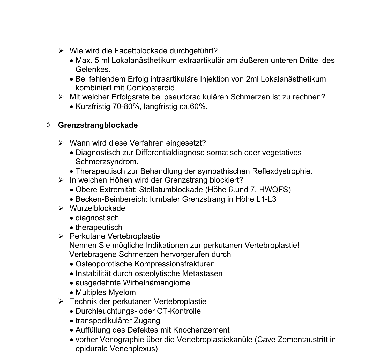- ¾ Wie wird die Facettblockade durchgeführt?
	- x Max. 5 ml Lokalanästhetikum extraartikulär am äußeren unteren Drittel des Gelenkes.
	- x Bei fehlendem Erfolg intraartikuläre Injektion von 2ml Lokalanästhetikum kombiniert mit Corticosteroid.
- ¾ Mit welcher Erfolgsrate bei pseudoradikulären Schmerzen ist zu rechnen?
	- x Kurzfristig 70-80%, langfristig ca.60%.

### ¡ **Grenzstrangblockade**

- ¾ Wann wird diese Verfahren eingesetzt?
	- Diagnostisch zur Differentialdiagnose somatisch oder vegetatives Schmerzsyndrom.
	- Therapeutisch zur Behandlung der sympathischen Reflexdystrophie.
- ¾ In welchen Höhen wird der Grenzstrang blockiert?
	- x Obere Extremität: Stellatumblockade (Höhe 6.und 7. HWQFS)
	- Becken-Beinbereich: lumbaler Grenzstrang in Höhe L1-L3
- ¾ Wurzelblockade
	- $\bullet$  diagnostisch
	- $\bullet$  therapeutisch
- ¾ Perkutane Vertebroplastie
	- Nennen Sie mögliche Indikationen zur perkutanen Vertebroplastie! Vertebragene Schmerzen hervorgerufen durch
	- Osteoporotische Kompressionsfrakturen
	- Instabilität durch osteolytische Metastasen
	- ausgedehnte Wirbelhämangiome
	- Multiples Myelom
- ¾ Technik der perkutanen Vertebroplastie
	- Durchleuchtungs- oder CT-Kontrolle
	- transpedikulärer Zugang
	- Auffüllung des Defektes mit Knochenzement
	- x vorher Venographie über die Vertebroplastiekanüle (Cave Zementaustritt in epidurale Venenplexus)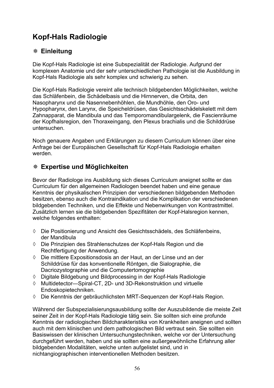# **Kopf-Hals Radiologie**

# **Einleitung**

Die Kopf-Hals Radiologie ist eine Subspezialität der Radiologie. Aufgrund der komplexen Anatomie und der sehr unterschiedlichen Pathologie ist die Ausbildung in Kopf-Hals Radiologie als sehr komplex und schwierig zu sehen.

Die Kopf-Hals Radiologie vereint alle technisch bildgebenden Möglichkeiten, welche das Schläfenbein, die Schädelbasis und die Hirnnerven, die Orbita, den Nasopharynx und die Nasennebenhöhlen, die Mundhöhle, den Oro- und Hypopharynx, den Larynx, die Speicheldrüsen, das Gesichtsschädelskelett mit dem Zahnapparat, die Mandibula und das Temporomandibulargelenk, die Fascienräume der Kopfhalsregion, den Thoraxeingang, den Plexus brachialis und die Schilddrüse untersuchen.

Noch genauere Angaben und Erklärungen zu diesem Curriculum können über eine Anfrage bei der Europäischen Gesellschaft für Kopf-Hals Radiologie erhalten werden.

# **Expertise und Möglichkeiten**

Bevor der Radiologe ins Ausbildung sich dieses Curriculum aneignet sollte er das Curriculum für den allgemeinen Radiologen beendet haben und eine genaue Kenntnis der physikalischen Prinzipien der verschiedenen bildgebenden Methoden besitzen, ebenso auch die Kontraindikation und die Komplikation der verschiedenen bildgebenden Techniken, und die Effekte und Nebenwirkungen von Kontrastmittel. Zusätzlich lernen sie die bildgebenden Spezifitäten der Kopf-Halsregion kennen, welche folgendes enthalten:

- ¡ Die Positionierung und Ansicht des Gesichtsschädels, des Schläfenbeins, der Mandibula
- ¡ Die Prinzipien des Strahlenschutzes der Kopf-Hals Region und die Rechtfertigung der Anwendung.
- $\Diamond$  Die mittlere Expositionsdosis an der Haut, an der Linse und an der Schilddrüse für das konventionelle Röntgen, die Sialographie, die Dacriozystographie und die Computertomographie
- $\lozenge$  Digitale Bildgebung und Bildprocessing in der Kopf-Hals Radiologie
- $\Diamond$  Multidetector—Spiral-CT, 2D- und 3D-Rekonstruktion und virtuelle Endoskopietechniken.
- ¡ Die Kenntnis der gebräuchlichsten MRT-Sequenzen der Kopf-Hals Region.

Während der Subspezialisierungsausbildung sollte der Auszubildende die meiste Zeit seiner Zeit in der Kopf-Hals Radiologie tätig sein. Sie sollten sich eine profunde Kenntnis der radiologischen Bildcharakteristika von Krankheiten aneignen und sollten auch mit dem klinischen und dem pathologischen Bild vertraut sein. Sie sollten ein Basiswissen der klinischen Untersuchungstechniken, welche vor der Untersuchung durchgeführt werden, haben und sie sollten eine außergewöhnliche Erfahrung aller bildgebenden Modalitäten, welche unten aufgelistet sind, und in nichtangiographischen interventionellen Methoden besitzen.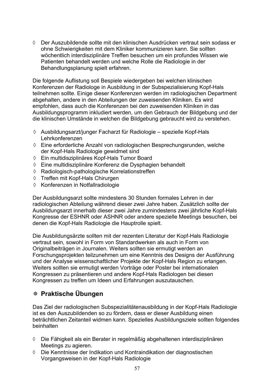$\Diamond$  Der Auszubildende sollte mit den klinischen Ausdrücken vertraut sein sodass er ohne Schwierigkeiten mit dem Kliniker kommunizieren kann. Sie sollten wöchentlich interdisziplinäre Treffen besuchen um ein profundes Wissen wie Patienten behandelt werden und welche Rolle die Radiologie in der Behandlungsplanung spielt erfahren.

Die folgende Auflistung soll Bespiele wiedergeben bei welchen klinischen Konferenzen der Radiologe in Ausbildung in der Subspezialisierung Kopf-Hals teilnehmen sollte. Einige dieser Konferenzen werden im radiologischen Department abgehalten, andere in den Abteilungen der zuweisenden Kliniken. Es wird empfohlen, dass auch die Konferenzen bei den zuweisenden Kliniken in das Ausbildungsprogramm inkludiert werden, um den Gebrauch der Bildgebung und der die klinischen Umstände in welchen die Bildgebung gebraucht wird zu verstehen.

- $\Diamond$  Ausbildungsarzt/junger Facharzt für Radiologie spezielle Kopf-Hals Lehrkonferenzen
- $\Diamond$  Eine erforderliche Anzahl von radiologischen Besprechungsrunden, welche der Kopf-Hals Radiologie gewidmet sind
- ¡ Ein multidisziplinäres Kopf-Hals Tumor Board
- $\Diamond$  Eine multidisziplinäre Konferenz die Dysphagien behandelt
- $\Diamond$  Radiologisch-pathologische Korrelationstreffen
- ¡ Treffen mit Kopf-Hals Chirurgen
- $\Diamond$  Konferenzen in Notfallradiologie

Der Ausbildungsarzt sollte mindestens 30 Stunden formales Lehren in der radiologischen Abteilung während dieser zwei Jahre haben. Zusätzlich sollte der Ausbildungsarzt innerhalb dieser zwei Jahre zumindestens zwei jährliche Kopf-Hals Kongresse der ESHNR oder ASHNR oder andere spezielle Meetings besuchen, bei denen die Kopf-Hals Radiologie die Hauptrolle spielt.

Die Ausbildungsärzte sollten mit der rezenten Literatur der Kopf-Hals Radiologie vertraut sein, sowohl in Form von Standardwerken als auch in Form von Originalbeiträgen in Journalen. Weiters sollten sie ermutigt werden an Forschungsprojekten teilzunehmen um eine Kenntnis des Designs der Ausführung und der Analyse wissenschaftlicher Projekte der Kopf-Hals Region zu erlangen. Weiters sollten sie ermutigt werden Vorträge oder Poster bei internationalen Kongressen zu präsentieren und andere Kopf-Hals Radiologen bei diesen Kongressen zu treffen um Ideen und Erfahrungen auszutauschen.

# **Praktische Übungen**

Das Ziel der radiologischen Subspezialitätenausbildung in der Kopf-Hals Radiologie ist es den Auszubildenden so zu fördern, dass er dieser Ausbildung einen beträchtlichen Zeitanteil widmen kann. Spezielles Ausbildungsziele sollten folgendes beinhalten

- $\Diamond$  Die Fähigkeit als ein Berater in regelmäßig abgehaltenen interdisziplinären Meetings zu agieren.
- ¡ Die Kenntnisse der Indikation und Kontraindikation der diagnostischen Vorgangsweisen in der Kopf-Hals Radiologie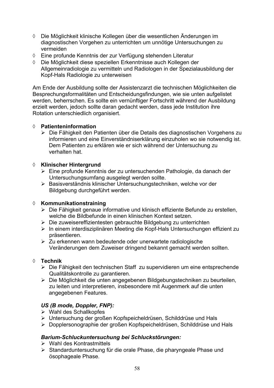- ¡ Die Möglichkeit klinische Kollegen über die wesentlichen Änderungen im diagnostischen Vorgehen zu unterrichten um unnötige Untersuchungen zu vermeiden
- ♦ Eine profunde Kenntnis der zur Verfügung stehenden Literatur
- ¡ Die Möglichkeit diese speziellen Erkenntnisse auch Kollegen der Allgemeinradiologie zu vermitteln und Radiologen in der Spezialausbildung der Kopf-Hals Radiologie zu unterweisen

Am Ende der Ausbildung sollte der Assistenzarzt die technischen Möglichkeiten die Besprechungsformalitäten und Entscheidungsfindungen, wie sie unten aufgelistet werden, beherrschen. Es sollte ein vernünftiger Fortschritt während der Ausbildung erzielt werden, jedoch sollte daran gedacht werden, dass jede Institution ihre Rotation unterschiedlich organisiert.

### ¡ **Patienteninformation**

¾ Die Fähigkeit den Patienten über die Details des diagnostischen Vorgehens zu informieren und eine Einverständniserklärung einzuholen wo sie notwendig ist. Dem Patienten zu erklären wie er sich während der Untersuchung zu verhalten hat.

### ¡ **Klinischer Hintergrund**

- ¾ Eine profunde Kenntnis der zu untersuchenden Pathologie, da danach der Untersuchungsumfang ausgelegt werden sollte.
- ¾ Basisverständnis klinischer Untersuchungstechniken, welche vor der Bildgebung durchgeführt werden.

### ¡ **Kommunikationstraining**

- ¾ Die Fähigkeit genaue informative und klinisch effiziente Befunde zu erstellen, welche die Bildbefunde in einen klinischen Kontext setzen.
- ¾ Die zuweisereffizientesten gebrauchte Bildgebung zu unterrichten
- ¾ In einem interdisziplinären Meeting die Kopf-Hals Untersuchungen effizient zu präsentieren.
- $\geq$  Zu erkennen wann bedeutende oder unerwartete radiologische Veränderungen dem Zuweiser dringend bekannt gemacht werden sollten.

### ¡ **Technik**

- ¾ Die Fähigkeit den technischen Staff zu supervidieren um eine entsprechende Qualitätskontrolle zu garantieren.
- ¾ Die Möglichkeit die unten angegebenen Bildgebungstechniken zu beurteilen, zu leiten und interpretieren, insbesondere mit Augenmerk auf die unten angegebenen Features.

# *US (B mode, Doppler, FNP):*

- $\triangleright$  Wahl des Schallkopfes
- ¾ Untersuchung der großen Kopfspeicheldrüsen, Schilddrüse und Hals
- ¾ Dopplersonographie der großen Kopfspeicheldrüsen, Schilddrüse und Hals

# *Barium-Schluckuntersuchung bei Schluckstörungen:*

- $\triangleright$  Wahl des Kontrastmittels
- ¾ Standarduntersuchung für die orale Phase, die pharyngeale Phase und ösophageale Phase.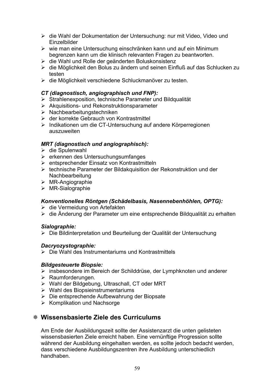- ¾ die Wahl der Dokumentation der Untersuchung: nur mit Video, Video und Einzelbilder
- ¾ wie man eine Untersuchung einschränken kann und auf ein Minimum begrenzen kann um die klinisch relevanten Fragen zu beantworten.
- ¾ die Wahl und Rolle der geänderten Boluskonsistenz
- ¾ die Möglichkeit den Bolus zu ändern und seinen Einfluß auf das Schlucken zu testen
- ¾ die Möglichkeit verschiedene Schluckmanöver zu testen.

### *CT (diagnostisch, angiographisch und FNP):*

- $\triangleright$  Strahlenexposition, technische Parameter und Bildqualität
- $\triangleright$  Akquisitions- und Rekonstruktionsparameter
- ¾ Nachbearbeitungstechniken
- ¾ der korrekte Gebrauch von Kontrastmittel
- ¾ Indikationen um die CT-Untersuchung auf andere Körperregionen auszuweiten

### *MRT (diagnostisch und angiographisch):*

- ¾ die Spulenwahl
- ¾ erkennen des Untersuchungsumfanges
- ¾ entsprechender Einsatz von Kontrastmitteln
- ¾ technische Parameter der Bildakquisition der Rekonstruktion und der Nachbearbeitung
- ¾ MR-Angiographie
- ¾ MR-Sialographie

### *Konventionelles Röntgen (Schädelbasis, Nasennebenhöhlen, OPTG):*

- ¾ die Vermeidung von Artefakten
- ¾ die Änderung der Parameter um eine entsprechende Bildqualität zu erhalten

### *Sialographie:*

¾ Die Bildinterpretation und Beurteilung der Qualität der Untersuchung

### *Dacryozystographie:*

¾ Die Wahl des Instrumentariums und Kontrastmittels

### *Bildgesteuerte Biopsie:*

- ¾ insbesondere im Bereich der Schilddrüse, der Lymphknoten und anderer
- ¾ Raumforderungen.
- ¾ Wahl der Bildgebung, Ultraschall, CT oder MRT
- $\triangleright$  Wahl des Biopsieinstrumentariums
- ¾ Die entsprechende Aufbewahrung der Biopsate
- $\triangleright$  Komplikation und Nachsorge

# **Wissensbasierte Ziele des Curriculums**

Am Ende der Ausbildungszeit sollte der Assistenzarzt die unten gelisteten wissensbasierten Ziele erreicht haben. Eine vernünftige Progression sollte während der Ausbildung eingehalten werden, es sollte jedoch bedacht werden, dass verschiedene Ausbildungszentren ihre Ausbildung unterschiedlich handhaben.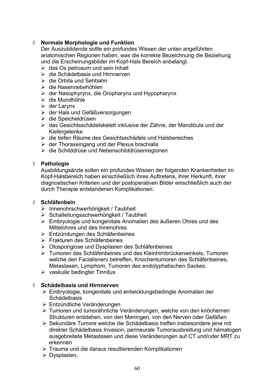# ¡ **Normale Morphologie und Funktion**

Der Auszubildende sollte ein profundes Wissen der unten angeführten anatomischen Regionen haben, was die korrekte Bezeichnung die Beziehung und die Erscheinungsbilder im Kopf-Hals Bereich anbelangt.

- $\triangleright$  das Os petrosum und sein Inhalt
- $\triangleright$  die Schädelbasis und Hirnnerven
- ¾ die Orbita und Sehbahn
- ¾ die Nasennebehöhlen
- ¾ der Nasophyrynx, die Oropharynx und Hypopharynx
- $\triangleright$  die Mundhöhle
- $\triangleright$  der Larynx
- ¾ der Hals und Gefäßversorgungen
- ¾ die Speicheldrüsen
- ¾ das Gesichtsschädelskelett inklusive der Zähne, der Mandibula und der Kiefergelenke
- ¾ die tiefen Räume des Gesichtsschädels und Halsbereiches
- $\triangleright$  der Thoraxeingang und der Plexus brachialis
- ¾ die Schilddrüse und Nebenschilddrüsenregionen

### ¡ **Pathologie**

Ausbildungsärzte sollen ein profundes Wissen der folgenden Krankenheiten im Kopf-Halsbereich haben einschließlich ihres Auftretens, ihrer Herkunft, ihrer diagnostischen Kriterien und der postoperativen Bilder einschließlich auch der durch Therapie entstandenen Komplikationen:

#### ¡ **Schläfenbein**

- ¾ Innenohrschwerhörigkeit / Taubheit
- ¾ Schalleitungsschwerhörigkeit / Taubheit
- ¾ Embryologie und kongenitale Anomalien des äußeren Ohres und des Mittelohres und des Innenohres
- ¾ Entzündungen des Schläfenbeines
- ¾ Frakturen des Schläfenbeines
- ¾ Otospongiose und Dysplasien des Schläfenbeines
- ¾ Tumoren des Schläfenbeines und des Kleinhirnbrückenwinkels, Tumoren welche den Facialisnerv betreffen, Knochentumoren des Schläfenbeines, Metastasen, Lymphom, Tumoren des endolyphatischen Sackes.
- $\triangleright$  vaskulär bedingter Tinnitus

### **♦ Schädelbasis und Hirnnerven**

- ¾ Embryologie, kongenitale und entwicklungsbedingte Anomalien der Schädelbasis
- ¾ Entzündliche Veränderungen
- ¾ Tumoren und tumorähnliche Veränderungen, welche von den knöchernen Strukturen entstehen, von den Meningen, von den Nerven oder Gefäßen
- ¾ Sekundäre Tumore welche die Schädelbasis treffen insbesondere jene mit direkter Schädelbasis Invasion, perineurale Tumorausbreitung und hämatogen ausgebreitete Metastasen und diese Veränderungen auf CT und/oder MRT zu erkennen
- ¾ Trauma und die daraus resultierenden Komplikationen
- $\triangleright$  Dysplasien,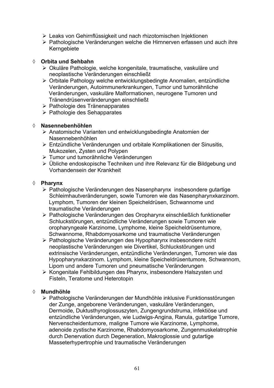- ¾ Leaks von Gehirnflüssigkeit und nach rhizotomischen Injektionen
- ¾ Pathologische Veränderungen welche die Hirnnerven erfassen und auch ihre Kerngebiete

### ¡ **Orbita und Sehbahn**

- ¾ Okuläre Pathologie, welche kongenitale, traumatische, vaskuläre und neoplastische Veränderungen einschließt
- ¾ Orbitale Pathology welche entwicklungsbedingte Anomalien, entzündliche Veränderungen, Autoimmunerkrankungen, Tumor und tumorähnliche Veränderungen, vaskuläre Malformationen, neurogene Tumoren und Tränendrüsenveränderungen einschließt
- ¾ Pathologie des Tränenapparates
- ¾ Pathologie des Sehapparates

### ¡ **Nasennebenhöhlen**

- ¾ Anatomische Varianten und entwicklungsbedingte Anatomien der Nasennebenhöhlen
- ¾ Entzündliche Veränderungen und orbitale Komplikationen der Sinusitis, Mukozelen, Zysten und Polypen
- ¾ Tumor und tumorähnliche Veränderungen
- ¾ Übliche endoskopische Techniken und ihre Relevanz für die Bildgebung und Vorhandensein der Krankheit

### ¡ **Pharynx**

- ¾ Pathologische Veränderungen des Nasenpharynx insbesondere gutartige Schleimhautveränderungen, sowie Tumoren wie das Nasenpharynxkarzinom. Lymphom, Tumoren der kleinen Speicheldrüsen, Schwannome und traumatische Veränderungen
- ¾ Pathologische Veränderungen des Oropharynx einschließlich funktioneller Schluckstörungen, entzündliche Veränderungen sowie Tumoren wie oropharyngeale Karzinome, Lymphome, kleine Speicheldrüsentumore, Schwannome, Rhabdomyosarkome und traumatische Veränderungen
- ¾ Pathologische Veränderungen des Hypopharynx insbesondere nicht neoplastische Veränderungen wie Divertikel, Schluckstörungen und extrinsische Veränderungen, entzündliche Veränderungen, Tumoren wie das Hypopharynxkarzinom. Lymphom, kleine Speicheldrüsentumore, Schwannom, Lipom und andere Tumoren und pneumatische Veränderungen
- ¾ Kongenitale Fehlbildungen des Pharynx, insbesondere Halszysten und Fisteln, Teratome und Heterotopin

### ¡ **Mundhöhle**

¾ Pathologische Veränderungen der Mundhöhle inklusive Funktionsstörungen der Zunge, angeborene Veränderungen, vaskuläre Veränderungen, Dermoide, Duktusthyroglossuszyten, Zungengrundstruma, infektiöse und entzündliche Veränderungen, wie Ludwigs-Angina, Ranula, gutartige Tumore, Nervenscheidentumore, maligne Tumore wie Karzinome, Lymphome, adenoide zystische Karzinome, Rhabdomyosarkome, Zungenmuskelatrophie durch Denervation durch Degeneration, Makroglossie und gutartige Masseterhypertrophie und traumatische Veränderungen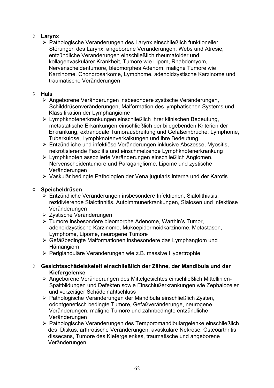# ¡ **Larynx**

¾ Pathologische Veränderungen des Larynx einschließlich funktioneller Störungen des Larynx, angeborene Veränderungen, Webs und Atresie, entzündliche Veränderungen einschließlich rheumatoider und kollagenvaskulärer Krankheit, Tumore wie Lipom, Rhabdomyom, Nervenscheidentumore, bleomorphes Adenom, maligne Tumore wie Karzinome, Chondrosarkome, Lymphome, adenoidzystische Karzinome und traumatische Veränderungen

# ¡ **Hals**

- ¾ Angeborene Veränderungen insbesondere zystische Veränderungen, Schilddrüsenveränderungen, Malformation des lymphatischen Systems und Klassifikation der Lymphangiome
- ¾ Lymphknotenerkrankungen einschließlich ihrer klinischen Bedeutung, metastatische Erkankungen einschließlich der bildgebenden Kriterien der Erkrankung, extranodale Tumorausbreitung und Gefäßeinbrüche, Lymphome, Tuberkulose, Lymphknotenverkalkungen und ihre Bedeutung
- ¾ Entzündliche und infektiöse Veränderungen inklusive Abszesse, Myositis, nekrotisierende Fasziitis und einschmelzende Lymphknotenerkrankung
- ¾ Lymphknoten assoziierte Veränderungen einschließlich Angiomen, Nervenscheidentumore und Paragangliome, Lipome und zystische Veränderungen
- ¾ Vaskulär bedingte Pathologien der Vena jugularis interna und der Karotis

# ¡ **Speicheldrüsen**

- ¾ Entzündliche Veränderungen insbesondere Infektionen, Sialolithiasis, rezidivierende Sialotinnitis, Autoimmunerkrankungen, Sialosen und infektiöse Veränderungen
- ¾ Zystische Veränderungen
- ¾ Tumore insbesondere bleomorphe Adenome, Warthin's Tumor, adenoidzystische Karzinome, Mukoepidermoidkarzinome, Metastasen, Lymphome, Lipome, neurogene Tumore
- ¾ Gefäßbedingte Malformationen insbesondere das Lymphangiom und Hämangiom
- ¾ Periglanduläre Veränderungen wie z.B. massive Hypertrophie
- ¡ **Gesichtsschädelskelett einschließlich der Zähne, der Mandibula und der Kiefergelenke** 
	- ¾ Angeborene Veränderungen des Mittelgesichtes einschließlich Mittellinien- Spaltbildungen und Defekten sowie Einschlußerkrankungen wie Zephalozelen und vorzeitiger Schädelnahtschluss
	- ¾ Pathologische Veränderungen der Mandibula einschließlich Zysten, odontgenetisch bedingte Tumore, Gefäßveränderunge, neurogene Veränderungen, maligne Tumore und zahnbedingte entzündliche Veränderungen
	- ¾ Pathologische Veränderungen des Temporomandibulargelenke einschließlich des Diskus, arthrotische Veränderungen, avaskuläre Nekrose, Osteoarthritis dissecans, Tumore des Kiefergelenkes, traumatische und angeborene Veränderungen.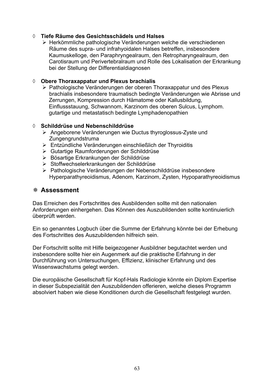### ¡ **Tiefe Räume des Gesichtsschädels und Halses**

¾ Herkömmliche pathologische Veränderungen welche die verschiedenen Räume des supra- und infrahyoidalen Halses betreffen, insbesondere Kaumuskelloge, den Paraphryngealraum, den Retropharyngealraum, den Carotisraum und Perivertebralraum und Rolle des Lokalisation der Erkrankung bei der Stellung der Differentialdiagnosen

### ¡ **Obere Thoraxappatur und Plexus brachialis**

¾ Pathologische Veränderungen der oberen Thoraxappatur und des Plexus brachialis insbesondere traumatisch bedingte Veränderungen wie Abrisse und Zerrungen, Kompression durch Hämatome oder Kallusbildung, Einflussstauung, Schwannom, Karzinom des oberen Sulcus, Lymphom. gutartige und metastatisch bedingte Lymphadenopathien

### ¡ **Schilddrüse und Nebenschilddrüse**

- ¾ Angeborene Veränderungen wie Ductus thyroglossus-Zyste und Zungengrundstruma
- ¾ Entzündliche Veränderungen einschließlich der Thyroiditis
- ¾ Gutartige Raumforderungen der Schilddrüse
- ¾ Bösartige Erkrankungen der Schilddrüse
- ¾ Stoffwechselerkrankungen der Schilddrüse
- ¾ Pathologische Veränderungen der Nebenschilddrüse insbesondere Hyperparathyreoidismus, Adenom, Karzinom, Zysten, Hypoparathyreoidismus

# **Assessment**

Das Erreichen des Fortschrittes des Ausbildenden sollte mit den nationalen Anforderungen einhergehen. Das Können des Auszubildenden sollte kontinuierlich überprüft werden.

Ein so genanntes Logbuch über die Summe der Erfahrung könnte bei der Erhebung des Fortschrittes des Auszubildenden hilfreich sein.

Der Fortschritt sollte mit Hilfe beigezogener Ausbildner begutachtet werden und insbesondere sollte hier ein Augenmerk auf die praktische Erfahrung in der Durchführung von Untersuchungen, Effizienz, klinischer Erfahrung und des Wissenswachstums gelegt werden.

Die europäische Gesellschaft für Kopf-Hals Radiologie könnte ein Diplom Expertise in dieser Subspezialität den Auszubildenden offerieren, welche dieses Programm absolviert haben wie diese Konditionen durch die Gesellschaft festgelegt wurden.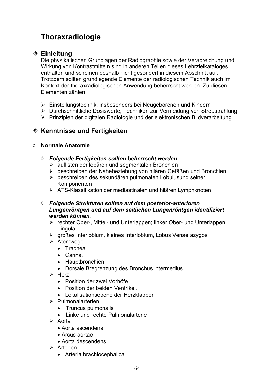# **Thoraxradiologie**

# **Einleitung**

Die physikalischen Grundlagen der Radiographie sowie der Verabreichung und Wirkung von Kontrastmitteln sind in anderen Teilen dieses Lehrzielkataloges enthalten und scheinen deshalb nicht gesondert in diesem Abschnitt auf. Trotzdem sollten grundlegende Elemente der radiologischen Technik auch im Kontext der thoraxradiologischen Anwendung beherrscht werden. Zu diesen Elementen zählen:

- ¾ Einstellungstechnik, insbesonders bei Neugeborenen und Kindern
- ¾ Durchschnittliche Dosiswerte, Techniken zur Vermeidung von Streustrahlung
- ¾ Prinzipien der digitalen Radiologie und der elektronischen Bildverarbeitung

# **Kenntnisse und Fertigkeiten**

### ¡ **Normale Anatomie**

- ¡ *Folgende Fertigkeiten sollten beherrscht werden* 
	- ¾ auflisten der lobären und segmentalen Bronchien
	- ¾ beschreiben der Nahebeziehung von hilären Gefäßen und Bronchien
	- ¾ beschreiben des sekundären pulmonalen Lobulusund seiner Komponenten
	- ¾ ATS-Klassifikation der mediastinalen und hilären Lymphknoten
- ¡ *Folgende Strukturen sollten auf dem posterior-anterioren Lungenröntgen und auf dem seitlichen Lungenröntgen identifiziert werden können.* 
	- ¾ rechter Ober-, Mittel- und Unterlappen; linker Ober- und Unterlappen; **Lingula**
	- ¾ großes Interlobium, kleines Interlobium, Lobus Venae azygos
	- $\triangleright$  Atemwege
		- Trachea
		- $\bullet$  Carina,
		- Hauptbronchien
		- Dorsale Bregrenzung des Bronchus intermedius.
	- $\triangleright$  Herz:
		- Position der zwei Vorhöfe
		- Position der beiden Ventrikel,
		- Lokalisationsebene der Herzklappen
	- $\triangleright$  Pulmonalarterien
		- Truncus pulmonalis
		- Linke und rechte Pulmonalarterie
	- $\triangleright$  Aorta
		- Aorta ascendens
		- Arcus aortae
		- Aorta descendens
	- $\triangleright$  Arterien
		- Arteria brachiocephalica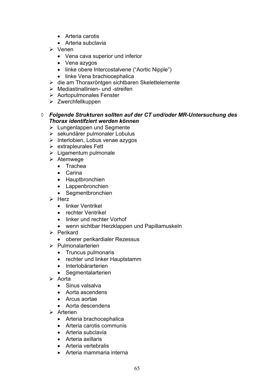- Arteria carotis
- Arteria subclavia
- ¾ Venen
	- Vena cava superior und inferior
	- Vena azygos
	- linke obere Intercostalvene ("Aortic Nipple")
	- linke Vena brachiocephalica
- ¾ die am Thoraxröntgen sichtbaren Skelettelemente
- $\triangleright$  Mediastinallinien- und -streifen
- $\triangleright$  Aortopulmonales Fenster
- ¾ Zwerchfellkuppen
- ¡ *Folgende Strukturen sollten auf der CT und/oder MR-Untersuchung des Thorax identifziert werden können* 
	- $\triangleright$  Lungenlappen und Segmente
	- ¾ sekundärer pulmonaler Lobulus
	- $\triangleright$  Interlobien, Lobus venae azygos
	- $\triangleright$  extrapleurales Fett
	- $\triangleright$  Ligamentum pulmonale
	- $\triangleright$  Atemwege
		- Trachea
		- Carina
		- Hauptbronchien
		- Lappenbronchien
		- Segmentbronchien
	- $\triangleright$  Herz
		- linker Ventrikel
		- rechter Ventrikel
		- linker und rechter Vorhof
		- wenn sichtbar Herzklappen und Papillamuskeln
	- $\triangleright$  Perikard
		- oberer perikardialer Rezessus
	- ¾ Pulmonalarterien
		- Truncus pulmonaris
		- rechter und linker Hauptstamm
		- Interlobärarterien
		- Segmentalarterien
	- $\triangleright$  Aorta
		- Sinus valsalva
		- Aorta ascendens
		- Arcus aortae
		- Aorta descendens
	- $\triangleright$  Arterien
		- Arteria brachocephalica
		- Arteria carotis communis
		- Arteria subclavia
		- Arteria axillaris
		- Arteria vertebralis
		- Arteria mammaria interna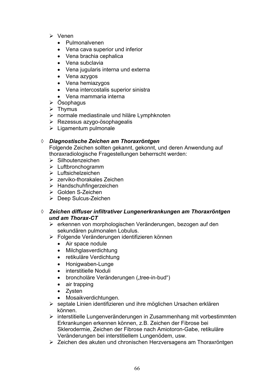- ¾ Venen
	- Pulmonalvenen
	- Vena cava superior und inferior
	- Vena brachia cephalica
	- $\bullet$  Vena subclavia
	- Vena jugularis interna und externa
	- Vena azygos
	- Vena hemiazygos
	- Vena intercostalis superior sinistra
	- Vena mammaria interna
- $\triangleright$  Ösophagus
- $\triangleright$  Thymus
- ¾ normale mediastinale und hiläre Lymphknoten
- $\triangleright$  Rezessus azygo-ösophagealis
- $\triangleright$  Ligamentum pulmonale

# ¡ *Diagnostische Zeichen am Thoraxröntgen*

Folgende Zeichen sollten gekannt, gekonnt, und deren Anwendung auf thoraxradiologische Fragestellungen beherrscht werden:

- ¾ Silhoutenzeichen
- ¾ Luftbronchogramm
- ¾ Luftsichelzeichen
- $\triangleright$  zerviko-thorakales Zeichen
- ¾ Handschuhfingerzeichen
- ¾ Golden S-Zeichen
- ¾ Deep Sulcus-Zeichen
- ¡ *Zeichen diffuser infiltrativer Lungenerkrankungen am Thoraxröntgen und am Thorax-CT*
	- ¾ erkennen von morphologischen Veränderungen, bezogen auf den sekundären pulmonalen Lobulus.
	- ¾ Folgende Veränderungen identifizieren können
		- Air space nodule
		- Milchglasverdichtung
		- retikuläre Verdichtung
		- Honigwaben-Lunge
		- interstitielle Noduli
		- broncholäre Veränderungen ("tree-in-bud")
		- $\bullet$  air trapping
		- $\bullet$  Zysten
		- Mosaikverdichtungen.
	- ¾ septale Linien identifizieren und ihre möglichen Ursachen erklären können.
	- ¾ interstitielle Lungenveränderungen in Zusammenhang mit vorbestimmten Erkrankungen erkennen können, z.B. Zeichen der Fibrose bei Sklerodermie, Zeichen der Fibrose nach Amiotoron-Gabe, retikuläre Veränderungen bei interstitiellem Lungenödem, usw.
	- ¾ Zeichen des akuten und chronischen Herzversagens am Thoraxröntgen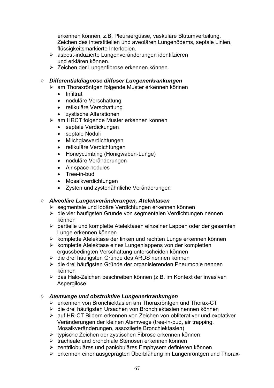erkennen können, z.B. Pleuraergüsse, vaskuläre Blutumverteilung, Zeichen des interstitiellen und aveolären Lungenödems, septale Linien, flüssigkeitsmarkierte Interlobien.

- ¾ asbest-induzierte Lungenveränderungen identifzieren und erklären können.
- ¾ Zeichen der Lungenfibrose erkennen können.

### ¡ *Differentialdiagnose diffuser Lungenerkrankungen*

- ¾ am Thoraxröntgen folgende Muster erkennen können
	- Infiltrat
	- noduläre Verschattung
	- retikuläre Verschattung
	- zystische Alterationen
- ¾ am HRCT folgende Muster erkennen können
	- septale Verdickungen
	- septale Noduli
	- Milchglasverdichtungen
	- retikuläre Verdichtungen
	- Honeycumbing (Honigwaben-Lunge)
	- noduläre Veränderungen
	- Air space nodules
	- Tree-in-bud
	- Mosaikverdichtungen
	- Zysten und zystenähnliche Veränderungen

# ¡ *Alveoläre Lungenveränderungen, Atelektasen*

- ¾ segmentale und lobäre Verdichtungen erkennen können
- ¾ die vier häufigsten Gründe von segmentalen Verdichtungen nennen können
- ¾ partielle und komplette Atelektasen einzelner Lappen oder der gesamten Lunge erkennen können
- ¾ komplette Atelektase der linken und rechten Lunge erkennen können
- $\triangleright$  komplette Atelektase eines Lungenlappens von der kompletten ergussbedingten Verschattung unterscheiden können
- ¾ die drei häufigsten Gründe des ARDS nennen können
- ¾ die drei häufigsten Gründe der organisierenden Pneumonie nennen können
- ¾ das Halo-Zeichen beschreiben können (z.B. im Kontext der invasiven Aspergilose

# ¡ *Atemwege und obstruktive Lungenerkrankungen*

- ¾ erkennen von Bronchiektasien am Thoraxröntgen und Thorax-CT
- ¾ die drei häufigsten Ursachen von Bronchiektasien nennen können
- ¾ auf HR-CT Bildern erkennen von Zeichen von obliterativer und exotativer Veränderungen der kleinen Atemwege (tree-in-bud, air trapping, Mosaikveränderungen, assoziierte Bronchiektasien)
- ¾ typische Zeichen der zystischen Fibrose erkennen können
- ¾ tracheale und bronchiale Stenosen erkennen können
- ¾ zentrilobuläres und panlobuläres Emphysem definieren können
- ¾ erkennen einer ausgeprägten Überblähung im Lungenröntgen und Thorax-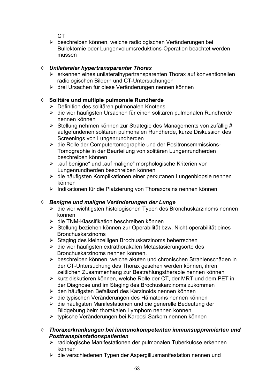$C<sub>T</sub>$ 

¾ beschreiben können, welche radiologischen Veränderungen bei Bullektomie oder Lungenvolumsreduktions-Operation beachtet werden müssen

# ¡ *Unilateraler hypertransparenter Thorax*

- $\triangleright$  erkennen eines unilateralhypertransparenten Thorax auf konventionellen radiologischen Bildern und CT-Untersuchungen
- ¾ drei Ursachen für diese Veränderungen nennen können

# ¡ **Solitäre und multiple pulmonale Rundherde**

- ¾ Definition des solitären pulmonalen Knotens
- ¾ die vier häufigsten Ursachen für einen solitären pulmonalen Rundherde nennen können
- ¾ Stellung nehmen können zur Strategie des Managements von zufällig # aufgefundenen solitären pulmonalen Rundherde, kurze Diskussion des Screenings von Lungenrundherden
- ¾ die Rolle der Computertomographie und der Positronsemmissions-Tomographie in der Beurteilung von solitären Lungenrundherden beschreiben können
- $\geq$  "auf benigne" und "auf maligne" morphologische Kriterien von Lungenrundherden beschreiben können
- ¾ die häufigsten Komplikationen einer perkutanen Lungenbiopsie nennen können
- ¾ Indikationen für die Platzierung von Thoraxdrains nennen können

# ¡ *Benigne und maligne Veränderungen der Lunge*

- ¾ die vier wichtigsten histologischen Typen des Bronchuskarzinoms nennen können
- $\triangleright$  die TNM-Klassifikation beschreiben können
- ¾ Stellung beziehen können zur Operabilität bzw. Nicht-operabilität eines **Bronchuskarzinoms**
- ¾ Staging des kleinzelligen Brochuskarzinoms beherrschen
- ¾ die vier häufigsten extrathorakalen Metastasierungsorte des Bronchuskarzinoms nennen können.
- ¾ beschreiben können, welche akuten und chronischen Strahlenschäden in der CT-Untersuchung des Thorax gesehen werden können, ihren zeitlichen Zusammenhang zur Bestrahlungstherapie nennen können
- ¾ kurz diskutieren können, welche Rolle der CT, der MRT und dem PET in der Diagnose und im Staging des Brochuskarzinoms zukommen
- ¾ den häufigsten Befallsort des Karzinoids nennen können
- ¾ die typischen Veränderungen des Hämatoms nennen können
- ¾ die häufigsten Manifestationen und die generelle Bedeutung der Bildgebung beim thorakalen Lymphom nennen können
- ¾ typische Veränderungen bei Karposi Sarkom nennen können

# ¡ *Thoraxerkrankungen bei immunokompetenten immunsuppremierten und Posttransplantationspatienten*

- ¾ radiologische Manifestationen der pulmonalen Tuberkulose erkennen können
- ¾ die verschiedenen Typen der Aspergillusmanifestation nennen und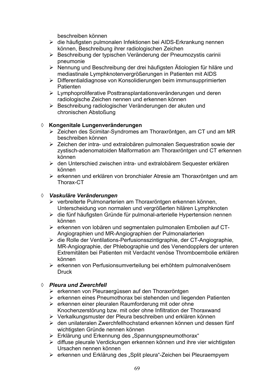beschreiben können

- ¾ die häufigsten pulmonalen Infektionen bei AIDS-Erkrankung nennen können, Beschreibung ihrer radiologischen Zeichen
- ¾ Beschreibung der typischen Veränderung der Pneumozystis carinii pneumonie
- ¾ Nennung und Beschreibung der drei häufigsten Ätiologien für hiläre und mediastinale Lymphknotenvergrößerungen in Patienten mit AIDS
- ¾ Differentialdiagnose von Konsolidierungen beim immunsupprimierten **Patienten**
- ¾ Lymphoproliferative Posttransplantationsveränderungen und deren radiologische Zeichen nennen und erkennen können
- ¾ Beschreibung radiologischer Veränderungen der akuten und chronischen Abstoßung

# ¡ **Kongenitale Lungenveränderungen**

- ¾ Zeichen des Scimitar-Syndromes am Thoraxröntgen, am CT und am MR beschreiben können
- ¾ Zeichen der intra- und extralobären pulmonalen Sequestration sowie der zystisch-adenomatoiden Malformation am Thoraxröntgen und CT erkennen können
- ¾ den Unterschied zwischen intra- und extralobärem Sequester erklären können
- $\triangleright$  erkennen und erklären von bronchialer Atresie am Thoraxröntgen und am Thorax-CT

# ¡ *Vaskuläre Veränderungen*

- ¾ verbreiterte Pulmonarterien am Thoraxröntgen erkennen können, Unterscheidung von normalen und vergrößerten hilären Lymphknoten
- ¾ die fünf häufigsten Gründe für pulmonal-arterielle Hypertension nennen können
- ¾ erkennen von lobären und segmentalen pulmonalen Embolien auf CT- Angiographien und MR-Angiographien der Pulmonalarterien
- ¾ die Rolle der Ventilations-Perfusionsszintigraphie, der CT-Angiographie, MR-Angiographie, der Phlebographie und des Venendopplers der unteren Extremitäten bei Patienten mit Verdacht venöse Thromboembolie erklären können
- ¾ erkennen von Perfusionsumverteilung bei erhöhtem pulmonalvenösem Druck

# ¡ *Pleura und Zwerchfell*

- ¾ erkennen von Pleuraergüssen auf den Thoraxröntgen
- ¾ erkennen eines Pneumothorax bei stehenden und liegenden Patienten
- ¾ erkennen einer pleuralen Raumforderung mit oder ohne Knochenzerstörung bzw. mit oder ohne Infiltration der Thoraxwand
- ¾ Verkalkungsmuster der Pleura beschreiben und erklären können
- ¾ den unilateralen Zwerchfellhochstand erkennen können und dessen fünf wichtigsten Gründe nennen können
- $\triangleright$  Erklärung und Erkennung des "Spannungspneumothorax"
- ¾ diffuse pleurale Verdickungen erkennen können und ihre vier wichtigsten Ursachen nennen können
- ¾ erkennen und Erklärung des "Split pleura"-Zeichen bei Pleuraempyem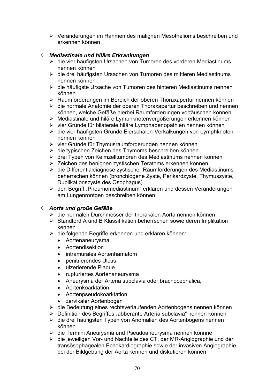¾ Veränderungen im Rahmen des malignen Mesothelioms beschreiben und erkennen können

# ¡ *Mediastinale und hiläre Erkrankungen*

- ¾ die vier häufigsten Ursachen von Tumoren des vorderen Mediastinums nennen können
- ¾ die drei häufigsten Ursachen von Tumoren des mittleren Mediastinums nennen können
- ¾ die häufigste Ursache von Tumoren des hinteren Mediastinums nennen können
- ¾ Raumforderungen im Bereich der oberen Thoraxapertur nennen können
- ¾ die normale Anatomie der oberen Thoraxapertur beschreiben und nennen können, welche Gefäße hierbei Raumforderungen vortäuschen können
- ¾ Mediastinale und hiläre Lymphknotenvergößerungen erkennen können
- ¾ vier Gründe für bilaterale hiläre Lymphadenopathien nennen können
- ¾ die vier häufigsten Gründe Eierschalen-Verkalkungen von Lymphknoten nennen können
- ¾ vier Gründe für Thymusraumforderungen nennen können
- ¾ die typischen Zeichen des Thymoms beschreiben können
- ¾ drei Typen von Keimzelltumoren des Mediastinums nennen können
- ¾ Zeichen des benignen zystischen Teratoms erkennen können
- ¾ die Differentialdiagnose zystischer Raumforderungen des Mediastinums beherrschen können (bronchiogene Zyste, Perikardzyste, Thymuszyste, Duplikationszyste des Ösophagus)
- ▶ den Begriff "Pneumomediastinum" erklären und dessen Veränderungen am Lungenröntgen beschreiben können

# ¡ *Aorta und große Gefäße*

- ¾ die normalen Durchmesser der thorakalen Aorta nennen können
- $\triangleright$  Standford A und B Klassifikation beherrschen sowie deren Implikation kennen
- ¾ die folgende Begriffe erkennen und erklären können:
	- Aortenaneurysma
	- Aortendisektion
	- intramurales Aortenhämatom
	- penitrierendes Ulcus
	- ulzerierende Plaque
	- rupturiertes Aortenaneurysma
	- Aneurysma der Arteria subclavia oder brachocephalica,
	- Aortenkoarktation
	- Aortenpseudokoarktation
	- zervikaler Aortenbogen
- ¾ die Bedeutung eines rechtsverlaufenden Aortenbogens nennen können
- ¾ Definition des Begriffes "abberante Arteria subclavia" nennen können
- ¾ die drei häufigsten Typen von Anomalien des Aortenbogens nennen können
- ¾ die Termini Aneurysma und Pseudoaneurysma nennen könnne
- ¾ die jeweiligen Vor- und Nachteile des CT, der MR-Angiographie und der transösophagealen Echokardiographie sowie der invasiven Angiographie bei der Bildgebung der Aorta kennen und diskutieren können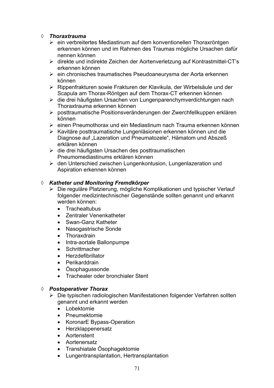### ¡ *Thoraxtrauma*

- ¾ ein verbreitertes Mediastinum auf dem konventionellen Thoraxröntgen erkennen können und im Rahmen des Traumas mögliche Ursachen dafür nennen können
- ¾ direkte und indirekte Zeichen der Aortenverletzung auf Kontrastmittel-CT's erkennen können
- ¾ ein chronisches traumatisches Pseudoaneurysma der Aorta erkennen können
- ¾ Rippenfrakturen sowie Frakturen der Klavikula, der Wirbelsäule und der Scapula am Thorax-Röntgen auf dem Thorax-CT erkennen können
- ¾ die drei häufigsten Ursachen von Lungenparenchymverdichtungen nach Thoraxtrauma erkennen können
- ¾ posttraumatische Positionsveränderungen der Zwerchfellkuppen erklären können
- ¾ einen Pneumothorax und ein Mediastinum nach Trauma erkennen können
- ¾ Kavitäre posttraumatische Lungenläsionen erkennen können und die Diagnose auf "Lazeration und Pneumatozele", Hämatom und Abszeß erklären können
- ¾ die drei häufigsten Ursachen des posttraumatischen Pneumomediastinums erklären können
- ¾ den Unterschied zwischen Lungenkontusion, Lungenlazeration und Aspiration erkennen können

### ¡ *Katheter und Monitoring Fremdkörper*

- ¾ Die reguläre Platzierung, mögliche Komplikationen und typischer Verlauf folgender medizintechnischer Gegenstände sollten genannt und erkannt werden können:
	- **Trachealtubus**
	- Zentraler Venenkatheter
	- Swan-Ganz Katheter
	- Nasogastrische Sonde
	- Thoraxdrain
	- Intra-aortale Ballonpumpe
	- Schrittmacher
	- Herzdefibrillator
	- Perikarddrain
	- Ösophagussonde
	- Trachealer oder bronchialer Stent

# ¡ *Postoperativer Thorax*

- ¾ Die typischen radiologischen Manifestationen folgender Verfahren sollten genannt und erkannt werden
	- Lobektomie
	- Pneumektomie
	- KoronarE Bypass-Operation
	- Herzklappenersatz
	- Aortenstent
	- Aortenersatz
	- Transhiatale Ösophagektomie
	- Lungentransplantation, Hertransplantation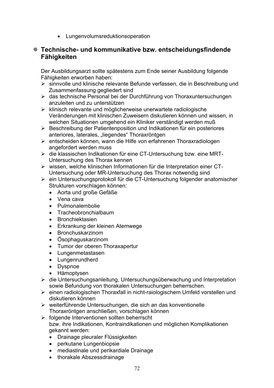• Lungenvolumsreduktionsoperation

# **Technische- und kommunikative bzw. entscheidungsfindende Fähigkeiten**

Der Ausbildungsarzt sollte spätestens zum Ende seiner Ausbildung folgende Fähigkeiten erworben haben:

- ¾ sinnvolle und klinische relevante Befunde verfassen, die in Beschreibung und Zusammenfassung gegliedert sind
- ¾ das technische Personal bei der Durchführung von Thoraxuntersuchungen anzuleiten und zu unterstützen
- $\triangleright$  klinisch relevante und möglicherweise unerwartete radiologische Veränderungen mit klinischen Zuweisern diskutieren können und wissen, in welchen Situationen umgehend ein Kliniker verständigt werden muß
- ¾ Beschreibung der Patientenposition und Indikationen für ein posteriores anteriores, laterales, "liegendes" Thoraxröntgen
- ¾ entscheiden können, wann die Hilfe von erfahrenen Thoraxradiologen angefordert werden muss
- ¾ die klassischen Indikationen für eine CT-Untersuchung bzw. eine MRT- Untersuchung des Thorax kennen
- ¾ wissen, welche klinischen Informationen für die Interpretation einer CT- Untersuchung oder MR-Untersuchung des Thorax notwendig sind
- ¾ ein Untersuchungsprotokoll für die CT-Untersuchung folgender anatomischer Strukturen vorschlagen können:
	- Aorta und große Gefäße
	- Vena cava
	- Pulmonalembolie
	- Tracheobronchialbaum
	- Bronchiektasien
	- Erkrankung der kleinen Atemwege
	- Bronchuskarzinom
	- Ösophaguskarzinom
	- Tumor der oberen Thoraxapertur
	- Lungenmetastasen
	- Lungenrundherd
	- Dyspnoe
	- Hämoptysen
- ¾ die Untersuchungsanleitung, Untersuchungsüberwachung und Interpretation sowie Befundung von thorakalen Untersuchungen beherrschen.
- ¾ einen radiologischen Thoraxfall in nicht-raiologischem Umfeld vorstellen und diskutieren können
- ¾ weiterführende Untersuchungen, die sich an das konventionelle Thoraxröntgen anschließen, vorschlagen können
- ¾ folgende Interventionen sollten beherrscht bzw. ihre Indikationen, Kontraindikationen und möglichen Komplikationen gekannt werden:
	- Drainage pleuraler Flüssigkeiten
	- perkutane Lungenbiopsie
	- mediastinale und perikardiale Drainage
	- thorakale Abszessdrainage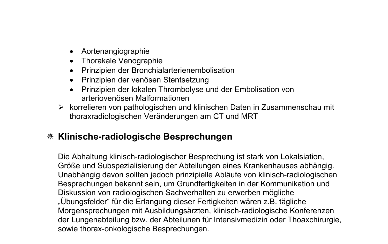- Aortenangiographie
- Thorakale Venographie
- Prinzipien der Bronchialarterienembolisation
- Prinzipien der venösen Stentsetzung
- Prinzipien der lokalen Thrombolyse und der Embolisation von arteriovenösen Malformationen
- ¾ korrelieren von pathologischen und klinischen Daten in Zusammenschau mit thoraxradiologischen Veränderungen am CT und MRT

# **Klinische-radiologische Besprechungen**

Die Abhaltung klinisch-radiologischer Besprechung ist stark von Lokalsiation, Größe und Subspezialisierung der Abteilungen eines Krankenhauses abhängig. Unabhängig davon sollten jedoch prinzipielle Abläufe von klinisch-radiologischen Besprechungen bekannt sein, um Grundfertigkeiten in der Kommunikation und Diskussion von radiologischen Sachverhalten zu erwerben mögliche "Übungsfelder" für die Erlangung dieser Fertigkeiten wären z.B. tägliche Morgensprechungen mit Ausbildungsärzten, klinisch-radiologische Konferenzen der Lungenabteilung bzw. der Abteilunen für Intensivmedizin oder Thoaxchirurgie, sowie thorax-onkologische Besprechungen.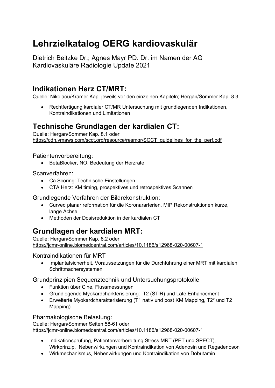# **Lehrzielkatalog OERG kardiovaskulär**

Dietrich Beitzke Dr.; Agnes Mayr PD. Dr. im Namen der AG Kardiovaskuläre Radiologie Update 2021

## **Indikationen Herz CT/MRT:**

Quelle: Nikolaou/Kramer Kap. jeweils vor den einzelnen Kapiteln; Hergan/Sommer Kap. 8.3

• Rechtfertigung kardialer CT/MR Untersuchung mit grundlegenden Indikationen, Kontraindikationen und Limitationen

## **Technische Grundlagen der kardialen CT:**

Quelle: Hergan/Sommer Kap. 8.1 oder https://cdn.ymaws.com/scct.org/resource/resmgr/SCCT\_guidelines\_for\_the\_perf.pdf

Patientenvorbereitung:

• BetaBlocker, NO, Bedeutung der Herzrate

#### Scanverfahren:

- Ca Scoring: Technische Einstellungen
- CTA Herz: KM timing, prospektives und retrospektives Scannen

Grundlegende Verfahren der Bildrekonstruktion:

- Curved planar reformation für die Koronararterien. MIP Rekonstruktionen kurze, lange Achse
- Methoden der Dosisreduktion in der kardialen CT

## **Grundlagen der kardialen MRT:**

Quelle: Hergan/Sommer Kap. 8.2 oder <https://jcmr-online.biomedcentral.com/articles/10.1186/s12968-020-00607-1>

Kontraindikationen für MRT

• Implantatsicherheit, Voraussetzungen für die Durchführung einer MRT mit kardialen Schrittmachersystemen

Grundprinzipien Sequenztechnik und Untersuchungsprotokolle

- Funktion über Cine, Flussmessungen
- Grundlegende Myokardcharkterisierung: T2 (STIR) und Late Enhancement
- Erweiterte Myokardcharakterisierung (T1 nativ und post KM Mapping, T2\* und T2 Mapping)

Pharmakologische Belastung:

Quelle: Hergan/Sommer Seiten 58-61 oder <https://jcmr-online.biomedcentral.com/articles/10.1186/s12968-020-00607-1>

- Indikationsprüfung, Patientenvorbereitung Stress MRT (PET und SPECT), Wirkprinzip, Nebenwirkungen und Kontraindikation von Adenosin und Regadenoson
- Wirkmechanismus, Nebenwirkungen und Kontraindikation von Dobutamin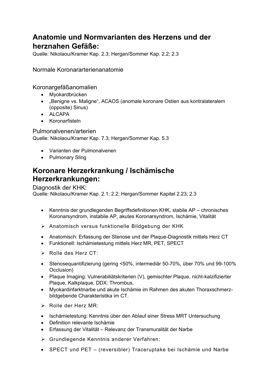## **Anatomie und Normvarianten des Herzens und der herznahen Gefäße:**

Quelle: Nikolaou/Kramer Kap. 2.3; Hergan/Sommer Kap. 2.2; 2.3

Normale Koronararterienanatomie

Koronargefäßanomalien

- Myokardbrücken
- "Benigne vs. Maligne", ACAOS (anomale koronare Ostien aus kontralateralem (opposite) Sinus)
- ALCAPA
- Koronarfisteln

Pulmonalvenen/arterien

Quelle: Nikolaou/Kramer Kap. 7.3; Hergan/Sommer Kap. 5.3

- Varianten der Pulmonalvenen
- Pulmonary Sling

## **Koronare Herzerkrankung / Ischämische Herzerkrankungen:**

Diagnostik der KHK:

Quelle: Nikolaou/Kramer Kap. 2.1; 2.2; Hergan/Sommer Kapitel 2.23; 2.3

- Kenntnis der grundlegenden Begriffsdefinitionen KHK, stabile AP chronisches Koronarsyndrom, instabile AP, akutes Koronarsyndrom, Ischämie, Vitalität
- ➢ Anatomisch versus funktionelle Bildgebung der KHK
- Anatomisch: Erfassung der Stenose und der Plaque-Diagnostik mittels Herz CT
- Funktionell: Ischämietestung mittels Herz MR, PET, SPECT
- ➢ Rolle des Herz CT:
- Stenosequantifizierung (gering <50%, intermediär 50-70%, über 70% und 99-100% Occlusion)
- Plaque Imaging: Vulnerabiliätskriterien (V), gemischter Plaque, nicht-kalzifizierter Plaque, Kalkplaque, DDX: Thrombus,
- Myokardinfarktnarbe und akute Ischämie im Rahmen des akuten Thoraxschmerzbildgebende Charakteristika im CT.
- ➢ Rolle der Herz MR:
- Ischämietestung: Kenntnis über den Ablauf einer Stress MRT Untersuchung
- Definition relevante Ischämie
- Erfassung der Vitalität Relevanz der Transmuralität der Narbe
- ➢ Grundlegende Kenntnis anderer Verfahren:
- SPECT und PET (reversibler) Traceruptake bei Ischämie und Narbe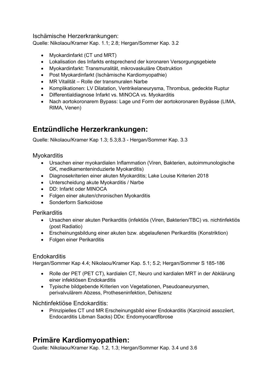Ischämische Herzerkrankungen:

Quelle: Nikolaou/Kramer Kap. 1.1; 2.8; Hergan/Sommer Kap. 3.2

- Myokardinfarkt (CT und MRT)
- Lokalisation des Infarkts entsprechend der koronaren Versorgungsgebiete
- Myokardinfarkt: Transmuralität, mikrovaskuläre Obstruktion
- Post Myokardinfarkt (Ischämische Kardiomyopathie)
- MR Vitalität Rolle der transmuralen Narbe
- Komplikationen: LV Dilatation, Ventrikelaneurysma, Thrombus, gedeckte Ruptur
- Differentialdiagnose Infarkt vs. MINOCA vs. Myokarditis
- Nach aortokoronarem Bypass: Lage und Form der aortokoronaren Bypässe (LIMA, RIMA, Venen)

## **Entzündliche Herzerkrankungen:**

Quelle: Nikolaou/Kramer Kap 1.3; 5.3;8.3 - Hergan/Sommer Kap. 3.3

#### **Myokarditis**

- Ursachen einer myokardialen Inflammation (Viren, Bakterien, autoimmunologische GK, medikamenteninduzierte Myokarditis)
- Diagnosekriterien einer akuten Myokarditis; Lake Louise Kriterien 2018
- Unterscheidung akute Myokarditis / Narbe
- DD: Infarkt oder MINOCA
- Folgen einer akuten/chronischen Myokarditis
- Sonderform Sarkoidose

#### **Perikarditis**

- Ursachen einer akuten Perikarditis (infektiös (Viren, Bakterien/TBC) vs. nichtinfektiös (post Radiatio)
- Erscheinungsbildung einer akuten bzw. abgelaufenen Perikarditis (Konstriktion)
- Folgen einer Perikarditis

#### Endokarditis

Hergan/Sommer Kap 4.4; Nikolaou/Kramer Kap. 5.1; 5.2; Hergan/Sommer S 185-186

- Rolle der PET (PET CT), kardialen CT, Neuro und kardialen MRT in der Abklärung einer infektiösen Endokarditis
- Typische bildgebende Kriterien von Vegetationen, Pseudoaneurysmen, perivalvulärem Abzess, Protheseninfektion, Dehiszenz

#### Nichtinfektiöse Endokarditis:

• Prinzipielles CT und MR Erscheinungsbild einer Endokarditis (Karzinoid assoziiert, Endocarditis Libman Sacks) DDx: Endomyocardfibrose

## **Primäre Kardiomyopathien:**

Quelle: Nikolaou/Kramer Kap. 1.2, 1.3; Hergan/Sommer Kap. 3.4 und 3.6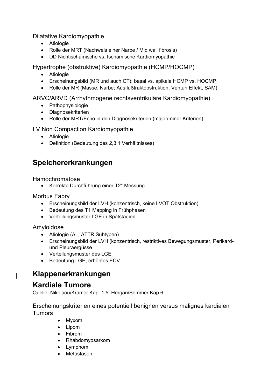#### Dilatative Kardiomyopathie

- Ätiologie
- Rolle der MRT (Nachweis einer Narbe / Mid wall fibrosis)
- DD Nichtischämische vs. Ischämische Kardiomyopathie

#### Hypertrophe (obstruktive) Kardiomyopathie (HCMP/HOCMP)

- Ätiologie
- Erscheinungsbild (MR und auch CT): basal vs. apikale HCMP vs. HOCMP
- Rolle der MR (Masse, Narbe; Ausflußtraktobstruktion, Venturi Effekt, SAM)

#### ARVC/ARVD (Arrhythmogene rechtsventrikuläre Kardiomyopathie)

- Pathophysiologie
- Diagnosekriterien
- Rolle der MRT/Echo in den Diagnosekriterien (major/minor Kriterien)

#### LV Non Compaction Kardiomyopathie

- Ätiologie
- Definition (Bedeutung des 2,3:1 Verhältnisses)

## **Speichererkrankungen**

#### Hämochromatose

• Korrekte Durchführung einer T2\* Messung

#### Morbus Fabry

- Erscheinungsbild der LVH (konzentrisch, keine LVOT Obstruktion)
- Bedeutung des T1 Mapping in Frühphasen
- Verteilungsmuster LGE in Spätstadien

#### Amyloidose

- Ätiologie (AL, ATTR Subtypen)
- Erscheinungsbild der LVH (konzentrisch, restriktives Bewegungsmuster, Perikardund Pleuraergüsse
- Verteilungsmuster des LGE
- Bedeutung LGE, erhöhtes ECV

## **Klappenerkrankungen**

## **Kardiale Tumore**

Quelle: Nikolaou/Kramer Kap. 1.5; Hergan/Sommer Kap 6

Erscheinungskriterien eines potentiell benignen versus malignes kardialen Tumors

- Myxom
- Lipom
- Fibrom
- Rhabdomyosarkom
- Lymphom
- Metastasen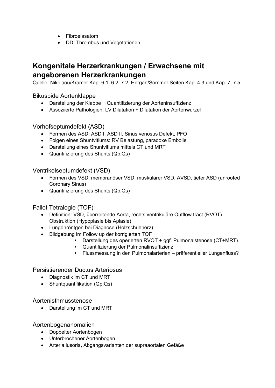- Fibroelasatom
- DD: Thrombus und Vegetationen

## **Kongenitale Herzerkrankungen / Erwachsene mit angeborenen Herzerkrankungen**

Quelle: Nikolaou/Kramer Kap. 6.1, 6.2, 7.2; Hergan/Sommer Seiten Kap. 4.3 und Kap. 7; 7.5

#### Bikuspide Aortenklappe

- Darstellung der Klappe + Quantifizierung der Aorteninsuffizienz
- Assoziierte Pathologien: LV Dilatation + Dilatation der Aortenwurzel

#### Vorhofseptumdefekt (ASD)

- Formen des ASD: ASD I, ASD II, Sinus venosus Defekt, PFO
- Folgen eines Shuntvitiums: RV Belastung, paradoxe Embolie
- Darstellung eines Shuntvitiums mittels CT und MRT
- Quantifizierung des Shunts (Qp:Qs)

#### Ventrikelseptumdefekt (VSD)

- Formen des VSD: membranöser VSD, muskulärer VSD, AVSD, tiefer ASD (unroofed Coronary Sinus)
- Quantifizierung des Shunts (Qp:Qs)

#### Fallot Tetralogie (TOF)

- Definition: VSD, überreitende Aorta, rechts ventrikuläre Outflow tract (RVOT) Obstruktion (Hypoplasie bis Aplasie)
- Lungenröntgen bei Diagnose (Holzschuhherz)
- Bildgebung im Follow up der korrigierten TOF
	- Darstellung des operierten RVOT + ggf. Pulmonalstenose (CT+MRT)
	- Quantifizierung der Pulmonalinsuffizienz
	- Flussmessung in den Pulmonalarterien präferentieller Lungenfluss?

#### Persistierender Ductus Arteriosus

- Diagnostik im CT und MRT
- Shuntquantifikation (Qp:Qs)

#### Aortenisthmusstenose

• Darstellung im CT und MRT

Aortenbogenanomalien

- Doppelter Aortenbogen
- Unterbrochener Aortenbogen
- Arteria lusoria, Abgangsvarianten der supraaortalen Gefäße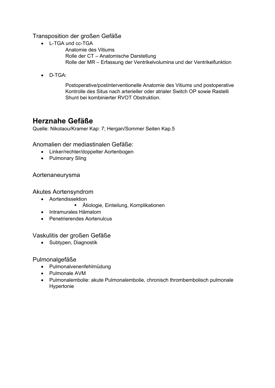#### Transposition der großen Gefäße

- L-TGA und cc-TGA
- Anatomie des Vitiums Rolle der CT – Anatomische Darstellung Rolle der MR – Erfassung der Ventrikelvolumina und der Ventrikelfunktion
- D-TGA:

Postoperative/postinterventionelle Anatomie des Vitiums und postoperative Kontrolle des Situs nach arterieller oder atrialer Switch OP sowie Rastelli Shunt bei kombinierter RVOT Obstruktion.

## **Herznahe Gefäße**

Quelle: Nikolaou/Kramer Kap: 7; Hergan/Sommer Seiten Kap.5

Anomalien der mediastinalen Gefäße:

- Linker/rechter/doppelter Aortenbogen
- Pulmonary Sling

### Aortenaneurysma

### Akutes Aortensyndrom

- Aortendissektion
	- Ätiologie, Einteilung, Komplikationen
- Intramurales Hämatom
- Penetrierendes Aortenulcus

#### Vaskulitis der großen Gefäße

• Subtypen, Diagnostik

#### Pulmonalgefäße

- Pulmonalvenenfehlmüdung
- Pulmonale AVM
- Pulmonalembolie: akute Pulmonalembolie, chronisch thrombembolisch pulmonale Hypertonie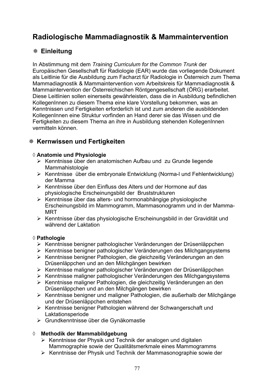## **Radiologische Mammadiagnostik & Mammaintervention**

### **Einleitung**

In Abstimmung mit dem *Training Curriculum for the Common Trunk* der Europäischen Gesellschaft für Radiologie (EAR) wurde das vorliegende Dokument als Leitlinie für die Ausbildung zum Facharzt für Radiologie in Österreich zum Thema Mammadiagnostik & Mammaintervention vom Arbeitskreis für Mammadiagnostik & Mammaintervention der Österreichischen Röntgengesellschaft (ÖRG) erarbeitet. Diese Leitlinien sollen einerseits gewährleisten, dass die in Ausbildung befindlichen KollegenInnen zu diesem Thema eine klare Vorstellung bekommen, was an Kenntnissen und Fertigkeiten erforderlich ist und zum anderen die ausbildenden KollegenInnen eine Struktur vorfinden an Hand derer sie das Wissen und die Fertigkeiten zu diesem Thema an ihre in Ausbildung stehenden KollegenInnen vermitteln können.

## **Kernwissen und Fertigkeiten**

#### ¡ **Anatomie und Physiologie**

- ¾ Kenntnisse über den anatomischen Aufbau und zu Grunde liegende Mammahistologie
- ¾ Kenntnisse über die embryonale Entwicklung (Norma-l und Fehlentwicklung) der Mamma
- ¾ Kenntnisse über den Einfluss des Alters und der Hormone auf das physiologische Erscheinungsbild der Bruststrukturen
- ¾ Kenntnisse über das alters- und hormonabhängige physiologische Erscheinungsbild im Mammogramm, Mammasonogramm und in der Mamma-MRT
- ¾ Kenntnisse über das physiologische Erscheinungsbild in der Gravidität und während der Laktation

#### ¡ **Pathologie**

- ¾ Kenntnisse benigner pathologischer Veränderungen der Drüsenläppchen
- ¾ Kenntnisse benigner pathologischer Veränderungen des Milchgangsystems
- ¾ Kenntnisse benigner Pathologien, die gleichzeitig Veränderungen an den Drüsenläppchen und an den Milchgängen bewirken
- ¾ Kenntnisse maligner pathologischer Veränderungen der Drüsenläppchen
- ¾ Kenntnisse maligner pathologischer Veränderungen des Milchgangsystems
- ¾ Kenntnisse maligner Pathologien, die gleichzeitig Veränderungen an den Drüsenläppchen und an den Milchgängen bewirken
- ¾ Kenntnisse benigner und maligner Pathologien, die außerhalb der Milchgänge und der Drüsenläppchen entstehen
- ¾ Kenntnisse benigner Pathologien während der Schwangerschaft und Laktationsperiode
- ¾ Grundkenntnisse über die Gynäkomastie

#### ¡ **Methodik der Mammabildgebung**

- $\triangleright$  Kenntnisse der Physik und Technik der analogen und digitalen Mammographie sowie der Qualitätsmerkmale eines Mammogramms
- ¾ Kenntnisse der Physik und Technik der Mammasonographie sowie der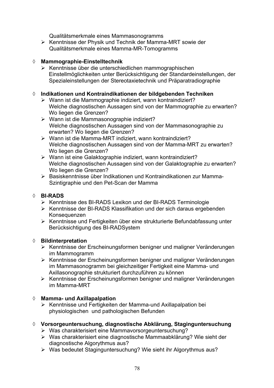Qualitätsmerkmale eines Mammasonogramms

¾ Kenntnisse der Physik und Technik der Mamma-MRT sowie der Qualitätsmerkmale eines Mamma-MR-Tomogramms

#### ¡ **Mammographie-Einstelltechnik**

¾ Kenntnisse über die unterschiedlichen mammographischen Einstellmöglichkeiten unter Berücksichtigung der Standardeinstellungen, der Spezialeinstellungen der Stereotaxietechnik und Präparatradiographie

#### ¡ **Indikationen und Kontraindikationen der bildgebenden Techniken**

- ¾ Wann ist die Mammographie indiziert, wann kontraindiziert? Welche diagnostischen Aussagen sind von der Mammographie zu erwarten? Wo liegen die Grenzen?
- ¾ Wann ist die Mammasonographie indiziert? Welche diagnostischen Aussagen sind von der Mammasonographie zu erwarten? Wo liegen die Grenzen?
- ¾ Wann ist die Mamma-MRT indiziert, wann kontraindiziert? Welche diagnostischen Aussagen sind von der Mamma-MRT zu erwarten? Wo liegen die Grenzen?
- ¾ Wann ist eine Galaktographie indiziert, wann kontraindiziert? Welche diagnostischen Aussagen sind von der Galaktographie zu erwarten? Wo liegen die Grenzen?
- ¾ Basiskenntnisse über Indikationen und Kontraindikationen zur Mamma- Szintigraphie und den Pet-Scan der Mamma

#### ¡ **BI-RADS**

- ¾ Kenntnisse des BI-RADS Lexikon und der BI-RADS Terminologie
- ¾ Kenntnisse der BI-RADS Klassifikation und der sich daraus ergebenden Konsequenzen
- ¾ Kenntnisse und Fertigkeiten über eine strukturierte Befundabfassung unter Berücksichtigung des BI-RADSystem

#### ¡ **Bildinterpretation**

- ¾ Kenntnisse der Erscheinungsformen benigner und maligner Veränderungen im Mammogramm
- ¾ Kenntnisse der Erscheinungsformen benigner und maligner Veränderungen im Mammasonogramm bei gleichzeitiger Fertigkeit eine Mamma- und Axillasonographie strukturiert durchzuführen zu können
- ¾ Kenntnisse der Erscheinungsformen benigner und maligner Veränderungen im Mamma-MRT

#### ¡ **Mamma- und Axillapalpation**

¾ Kenntnisse und Fertigkeiten der Mamma-und Axillapalpation bei physiologischen und pathologischen Befunden

#### ¡ **Vorsorgeuntersuchung, diagnostische Abklärung, Staginguntersuchung**

- ¾ Was charakterisiert eine Mammavorsorgeuntersuchung?
- ¾ Was charakterisiert eine diagnostische Mammaabklärung? Wie sieht der diagnostische Algorythmus aus?
- ¾ Was bedeutet Staginguntersuchung? Wie sieht ihr Algorythmus aus?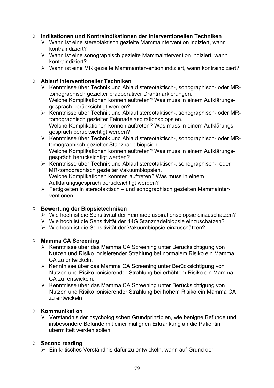#### ¡ **Indikationen und Kontraindikationen der interventionellen Techniken**

- ¾ Wann ist eine stereotaktisch gezielte Mammaintervention indiziert, wann kontraindiziert?
- ¾ Wann ist eine sonographisch gezielte Mammaintervention indiziert, wann kontraindiziert?
- ¾ Wann ist eine MR gezielte Mammaintervention indiziert, wann kontraindiziert?

#### ¡ **Ablauf interventioneller Techniken**

- ¾ Kenntnisse über Technik und Ablauf stereotaktisch-, sonographisch- oder MR tomographisch gezielter präoperativer Drahtmarkierungen. Welche Komplikationen können auftreten? Was muss in einem Aufklärungs gespräch berücksichtigt werden?
- ¾ Kenntnisse über Technik und Ablauf stereotaktisch-, sonographisch- oder MR tomographisch gezielter Feinnadelaspirationsbiopsien. Welche Komplikationen können auftreten? Was muss in einem Aufklärungs gespräch berücksichtigt werden?
- ¾ Kenntnisse über Technik und Ablauf stereotaktisch-, sonographisch- oder MR tomographisch gezielter Stanznadelbiopsien. Welche Komplikationen können auftreten? Was muss in einem Aufklärungsgespräch berücksichtigt werden?
- ¾ Kenntnisse über Technik und Ablauf stereotaktisch-, sonographisch- oder MR-tomographisch gezielter Vakuumbiopsien. Welche Komplikationen könnten auftreten? Was muss in einem Aufklärungsgespräch berücksichtigt werden?
- $\triangleright$  Fertigkeiten in stereotaktisch und sonographisch gezielten Mammainterventionen

#### ¡ **Bewertung der Biopsietechniken**

- ¾ Wie hoch ist die Sensitivität der Feinnadelaspirationsbiopsie einzuschätzen?
- ¾ Wie hoch ist die Sensitivität der 14G Stanznadelbiopsie einzuschätzen?
- ¾ Wie hoch ist die Sensitivität der Vakuumbiopsie einzuschätzen?

#### ¡ **Mamma CA Screening**

- ¾ Kenntnisse über das Mamma CA Screening unter Berücksichtigung von Nutzen und Risiko ionisierender Strahlung bei normalem Risiko ein Mamma CA zu entwickeln.
- ¾ Kenntnisse über das Mamma CA Screening unter Berücksichtigung von Nutzen und Risiko ionisierender Strahlung bei erhöhtem Risiko ein Mamma CA zu entwickeln,
- ¾ Kenntnisse über das Mamma CA Screening unter Berücksichtigung von Nutzen und Risiko ionisierender Strahlung bei hohem Risiko ein Mamma CA zu entwickeln

#### ¡ **Kommunikation**

¾ Verständnis der psychologischen Grundprinzipien, wie benigne Befunde und insbesondere Befunde mit einer malignen Erkrankung an die Patientin übermittelt werden sollen

#### ¡ **Second reading**

¾ Ein kritisches Verständnis dafür zu entwickeln, wann auf Grund der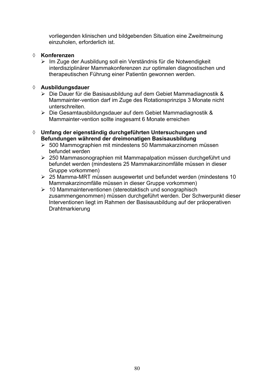vorliegenden klinischen und bildgebenden Situation eine Zweitmeinung einzuholen, erforderlich ist.

#### ¡ **Konferenzen**

¾ Im Zuge der Ausbildung soll ein Verständnis für die Notwendigkeit interdisziplinärer Mammakonferenzen zur optimalen diagnostischen und therapeutischen Führung einer Patientin gewonnen werden.

#### ¡ **Ausbildungsdauer**

- ¾ Die Dauer für die Basisausbildung auf dem Gebiet Mammadiagnostik & Mammainter-vention darf im Zuge des Rotationsprinzips 3 Monate nicht unterschreiten.
- ¾ Die Gesamtausbildungsdauer auf dem Gebiet Mammadiagnostik & Mammainter-vention sollte insgesamt 6 Monate erreichen
- ¡ **Umfang der eigenständig durchgeführten Untersuchungen und Befundungen während der dreimonatigen Basisausbildung**
	- $\geq 500$  Mammographien mit mindestens 50 Mammakarzinomen müssen befundet werden
	- ¾ 250 Mammasonographien mit Mammapalpation müssen durchgeführt und befundet werden (mindestens 25 Mammakarzinomfälle müssen in dieser Gruppe vorkommen)
	- ¾ 25 Mamma-MRT müssen ausgewertet und befundet werden (mindestens 10 Mammakarzinomfälle müssen in dieser Gruppe vorkommen)
	- ¾ 10 Mammainterventionen (stereotaktisch und sonographisch zusammengenommen) müssen durchgeführt werden. Der Schwerpunkt dieser Interventionen liegt im Rahmen der Basisausbildung auf der präoperativen Drahtmarkierung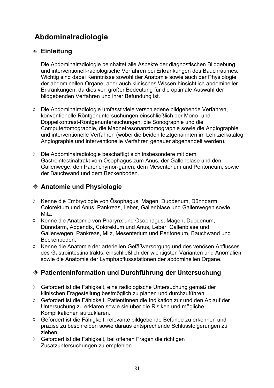## **Abdominalradiologie**

### **Einleitung**

Die Abdominalradiologie beinhaltet alle Aspekte der diagnostischen Bildgebung und interventionell-radiologische Verfahren bei Erkrankungen des Bauchraumes. Wichtig sind dabei Kenntnisse sowohl der Anatomie sowie auch der Physiologie der abdominellen Organe, aber auch klinisches Wissen hinsichtlich abdomineller Erkrankungen, da dies von großer Bedeutung für die optimale Auswahl der bildgebenden Verfahren und ihrer Befundung ist.

- ¡ Die Abdominalradiologie umfasst viele verschiedene bildgebende Verfahren, konventionelle Röntgenuntersuchungen einschließlich der Mono- und Doppelkontrast-Röntgenuntersuchungen, die Sonographie und die Computertomographie, die Magnetresonanztomographie sowie die Angiographie und interventionelle Verfahren (wobei die beiden letztgenannten im Lehrzielkatalog Angiographie und interventionelle Verfahren genauer abgehandelt werden).
- $\Diamond$  Die Abdominalradiologie beschäftigt sich insbesondere mit dem Gastrointestinaltrakt vom Ösophagus zum Anus, der Gallenblase und den Gallenwege, den Parenchymor-ganen, dem Mesenterium und Peritoneum, sowie der Bauchwand und dem Beckenboden.

### **Anatomie und Physiologie**

- ¡ Kenne die Embryologie von Ösophagus, Magen, Duodenum, Dünndarm, Colorektum und Anus, Pankreas, Leber, Gallenblase und Gallenwegen sowie Milz.
- $\Diamond$  Kenne die Anatomie von Pharynx und Ösophagus, Magen, Duodenum, Dünndarm, Appendix, Colorektum und Anus, Leber, Gallenblase und Gallenwegen, Pankreas, Milz, Mesenterium und Peritoneum, Bauchwand und Beckenboden.
- ¡ Kenne die Anatomie der arteriellen Gefäßversorgung und des venösen Abflusses des Gastrointestinaltrakts, einschließlich der wichtigsten Varianten und Anomalien sowie die Anatomie der Lymphabflussstationen der abdominellen Organe.

## **Patienteninformation und Durchführung der Untersuchung**

- $\Diamond$  Gefordert ist die Fähigkeit, eine radiologische Untersuchung gemäß der klinischen Fragestellung bestmöglich zu planen und durchzuführen.
- $\Diamond$  Gefordert ist die Fähigkeit. PatientInnen die Indikation zur und den Ablauf der Untersuchung zu erklären sowie sie über die Risiken und mögliche Komplikationen aufzuklären.
- ♦ Gefordert ist die Fähigkeit, relevante bildgebende Befunde zu erkennen und präzise zu beschreiben sowie daraus entsprechende Schlussfolgerungen zu ziehen.
- $\Diamond$  Gefordert ist die Fähigkeit, bei offenen Fragen die richtigen Zusatzuntersuchungen zu empfehlen.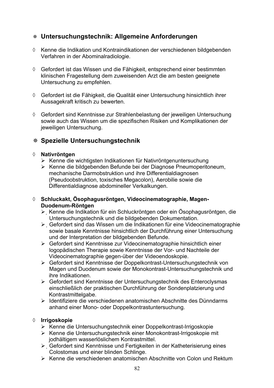### **Untersuchungstechnik: Allgemeine Anforderungen**

- $\Diamond$  Kenne die Indikation und Kontraindikationen der verschiedenen bildgebenden Verfahren in der Abominalradiologie.
- $\Diamond$  Gefordert ist das Wissen und die Fähigkeit, entsprechend einer bestimmten klinischen Fragestellung dem zuweisenden Arzt die am besten geeignete Untersuchung zu empfehlen.
- $\Diamond$  Gefordert ist die Fähigkeit, die Qualität einer Untersuchung hinsichtlich ihrer Aussagekraft kritisch zu bewerten.
- $\Diamond$  Gefordert sind Kenntnisse zur Strahlenbelastung der jeweiligen Untersuchung sowie auch das Wissen um die spezifischen Risiken und Komplikationen der jeweiligen Untersuchung.

### **Spezielle Untersuchungstechnik**

#### ¡ **Nativröntgen**

- ¾ Kenne die wichtigsten Indikationen für Nativröntgenuntersuchung
- ¾ Kenne die bildgebenden Befunde bei der Diagnose Pneumoperitoneum, mechanische Darmobstruktion und ihre Differentialdiagnosen (Pseudoobstruktion, toxisches Megacolon), Aerobilie sowie die Differentialdiagnose abdomineller Verkalkungen.
- ¡ **Schluckakt, Ösophagusröntgen, Videocinematographie, Magen- Duodenum-Röntgen** 
	- ¾ ҏKenne die Indikation für ein Schluckröntgen oder ein Ösophagusröntgen, die Untersuchungstechnik und die bildgebenden Dokumentation.
	- ¾ ҏGefordert sind das Wissen um die Indikationen für eine Videocinematographie sowie basale Kenntnisse hinsichtlich der Durchführung einer Untersuchung und der Interpretation der bildgebenden Befunde.
	- ¾ Gefordert sind Kenntnisse zur Videocinematographie hinsichtlich einer logopädischen Therapie sowie Kenntnisse der Vor- und Nachteile der Videocinematographie gegen-über der Videoendoskopie.
	- ¾ Gefordert sind Kenntnisse der Doppelkontrast-Untersuchungstechnik von Magen und Duodenum sowie der Monokontrast-Untersuchungstechnik und ihre Indikationen.
	- ¾ Gefordert sind Kenntnisse der Untersuchungstechnik des Enteroclysmas einschließlich der praktischen Durchführung der Sondenplatzierung und Kontrastmittelgabe.
	- ¾ Identifiziere die verschiedenen anatomischen Abschnitte des Dünndarms anhand einer Mono- oder Doppelkontrastuntersuchung.

#### ¡ **Irrigoskopie**

- ¾ Kenne die Untersuchungstechnik einer Doppelkontrast-Irrigoskopie
- ¾ Kenne die Untersuchungstechnik einer Monokontrast-Irrigoskopie mit jodhältigem wasserlöslichem Kontrastmittel.
- $\triangleright$  Gefordert sind Kenntnisse und Fertigkeiten in der Katheterisierung eines Colostomas und einer blinden Schlinge.
- ¾ Kenne die verschiedenen anatomischen Abschnitte von Colon und Rektum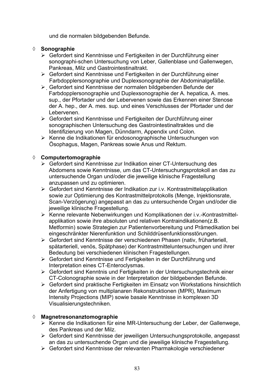und die normalen bildgebenden Befunde.

#### ¡ **Sonographie**

- ¾ Gefordert sind Kenntnisse und Fertigkeiten in der Durchführung einer sonographi-schen Untersuchung von Leber, Gallenblase und Gallenwegen, Pankreas, Milz und Gastrointestinaltrakt.
- ¾ Gefordert sind Kenntnisse und Fertigkeiten in der Durchführung einer Farbdopplersonographie und Duplexsonographie der Abdominalgefäße.
- ¾ ҏGefordert sind Kenntnisse der normalen bildgebenden Befunde der Farbdopplersonographie und Duplexsonographie der A. hepatica, A. mes. sup., der Pfortader und der Lebervenen sowie das Erkennen einer Stenose der A. hep., der A. mes. sup. und eines Verschlusses der Pfortader und der Lebervenen.
- ¾ Gefordert sind Kenntnisse und Fertigkeiten der Durchführung einer sonographischen Untersuchung des Gastrointestinaltraktes und die Identifizierung von Magen, Dünndarm, Appendix und Colon.
- ¾ Kenne die Indikationen für endosonographische Untersuchungen von Ösophagus, Magen, Pankreas sowie Anus und Rektum.

#### ¡ **Computertomographie**

- ¾ Gefordert sind Kenntnisse zur Indikation einer CT-Untersuchung des Abdomens sowie Kenntnisse, um das CT-Untersuchungsprotokoll an das zu untersuchende Organ und/oder die jeweilige klinische Fragestellung anzupassen und zu optimieren.
- ¾ Gefordert sind Kenntnisse der Indikation zur i.v. Kontrastmittelapplikation sowie zur Optimierung des Kontrastmittelprotokolls (Menge, Injektionsrate, Scan-Verzögerung) angepasst an das zu untersuchende Organ und/oder die jeweilige klinische Fragestellung.
- ¾ Kenne relevante Nebenwirkungen und Komplikationen der i.v.-Kontrastmittelapplikation sowie ihre absoluten und relativen Kontraindikationen(z.B. Metformin) sowie Strategien zur Patientenvorbereitung und Prämedikation bei eingeschränkter Nierenfunktion und Schilddrüsenfunktionsstörungen.
- ¾ Gefordert sind Kenntnisse der verschiedenen Phasen (nativ, früharteriell, spätarteriell, venös, Spätphase) der Kontrastmitteluntersuchungen und ihrer Bedeutung bei verschiedenen klinischen Fragestellungen.
- ¾ Gefordert sind Kenntnisse und Fertigkeiten in der Durchführung und Interpretation eines CT-Enteroclysmas.
- ¾ Gefordert sind Kenntnis und Fertigkeiten in der Untersuchungstechnik einer CT-Colonographie sowie in der Interpretation der bildgebenden Befunde.
- ¾ Gefordert sind praktische Fertigkeiten im Einsatz von Workstations hinsichtlich der Anfertigung von multiplanaren Rekonstruktionen (MPR), Maximum Intensity Projections (MIP) sowie basale Kenntnisse in komplexen 3D Visualisierungstechniken.

#### ¡ **Magnetresonanztomographie**

- ¾ Kenne die Indikationen für eine MR-Untersuchung der Leber, der Gallenwege, des Pankreas und der Milz.
- ¾ Gefordert sind Kenntnisse der jeweiligen Untersuchungsprotokolle, angepasst an das zu untersuchende Organ und die jeweilige klinische Fragestellung.
- ¾ Gefordert sind Kenntnisse der relevanten Pharmakologie verschiedener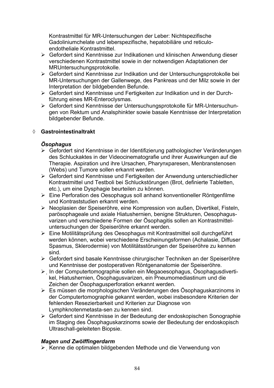Kontrastmittel für MR-Untersuchungen der Leber: Nichtspezifische Gadoliniumchelate und leberspezifische, hepatobiliäre und reticuloendotheliale Kontrastmittel.

- ¾ Gefordert sind Kenntnisse zur Indikationen und klinischen Anwendung dieser verschiedenen Kontrastmittel sowie in der notwendigen Adaptationen der MRUntersuchungsprotokolle.
- ¾ Gefordert sind Kenntnisse zur Indikation und der Untersuchungsprotokolle bei MR-Untersuchungen der Gallenwege, des Pankreas und der Milz sowie in der Interpretation der bildgebenden Befunde.
- ¾ Gefordert sind Kenntnisse und Fertigkeiten zur Indikation und in der Durchführung eines MR-Enteroclysmas.
- ¾ Gefordert sind Kenntnisse der Untersuchungsprotokolle für MR-Untersuchungen von Rektum und Analsphinkter sowie basale Kenntnisse der Interpretation bildgebender Befunde.

#### ¡ **Gastrointestinaltrakt**

#### *Ösophagus*

- ¾ Gefordert sind Kenntnisse in der Identifizierung pathologischer Veränderungen des Schluckaktes in der Videocinematografie und ihrer Auswirkungen auf die Therapie. Aspiration und ihre Ursachen, Pharynxparesen, Menbranstenosen (Webs) und Tumore sollen erkannt werden.
- ¾ Gefordert sind Kenntnisse und Fertigkeiten der Anwendung unterschiedlicher Kontrastmittel und Testboli bei Schluckstörungen (Brot, definierte Tabletten, etc.), um eine Dysphagie beurteilen zu können.
- ¾ Eine Perforation des Oesophagus soll anhand konventioneller Röntgenfilme und Kontraststudien erkannt werden.
- ¾ Neoplasien der Speiseröhre, eine Kompression von außen, Divertikel, Fisteln, parösophageale und axiale Hiatushernien, benigne Strukturen, Oesophagusvarizen und verschiedene Formen der Ösophagitis sollen an Kontrastmitteluntersuchungen der Speiseröhre erkannt werden.
- ¾ Eine Motilitätsprüfung des Oesophagus mit Kontrastmittel soll durchgeführt werden können, wobei verschiedene Erscheinungsformen (Achalasie, Diffuser Spasmus, Sklerodermie) von Motilitätsstörungen der Speiseröhre zu kennen sind.
- ¾ Gefordert sind basale Kenntnisse chirurgischer Techniken an der Speiseröhre und Kenntnisse der postoperativen Röntgenanatomie der Speiseröhre.
- ¾ ҏIn der Computertomographie sollen ein Megaoesophagus, Ösophagusdivertikel, Hiatushernien, Ösophagusvarizen, ein Pneumomediastinum und die Zeichen der Ösophagusperforation erkannt werden.
- ¾ Es müssen die morphologischen Veränderungen des Ösophaguskarzinoms in der Computertomographie gekannt werden, wobei insbesondere Kriterien der fehlenden Resezierbarkeit und Kriterien zur Diagnose von Lymphknotenmetasta-sen zu kennen sind.
- ¾ Gefordert sind Kenntnisse in der Bedeutung der endoskopischen Sonographie im Staging des Ösophaguskarzinoms sowie der Bedeutung der endoskopisch Ultraschall-geleiteten Biopsie.

#### *Magen und Zwölffingerdarm*

¾ ҏKenne die optimalen bildgebenden Methode und die Verwendung von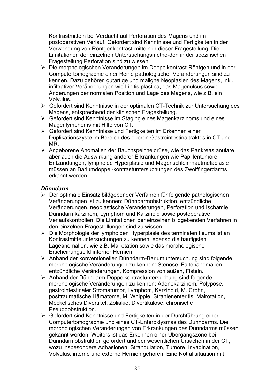Kontrastmitteln bei Verdacht auf Perforation des Magens und im postoperativen Verlauf. Gefordert sind Kenntnisse und Fertigkeiten in der Verwendung von Röntgenkontrast-mitteln in dieser Fragestellung. Die Limitationen der einzelnen Untersuchungsmetho-den in der spezifischen Fragestellung Perforation sind zu wissen.

- ¾ Die morphologischen Veränderungen im Doppelkontrast-Röntgen und in der Computertomographie einer Reihe pathologischer Veränderungen sind zu kennen. Dazu gehören gutartige und maligne Neoplasien des Magens, inkl. infiltrativer Veränderungen wie Linitis plastica, das Magenulcus sowie Änderungen der normalen Position und Lage des Magens, wie z.B. ein Volvulus.
- ¾ Gefordert sind Kenntnisse in der optimalen CT-Technik zur Untersuchung des Magens, entsprechend der klinischen Fragestellung.
- $\triangleright$  Gefordert sind Kenntnisse im Staging eines Magenkarzinoms und eines Magenlymphoms mit Hilfe von CT.
- ¾ Gefordert sind Kenntnisse und Fertigkeiten im Erkennen einer Duplikationszyste im Bereich des oberen Gastrointestinaltraktes in CT und MR.
- ¾ Angeborene Anomalien der Bauchspeicheldrüse, wie das Pankreas anulare, aber auch die Auswirkung anderer Erkrankungen wie Papillentumore, Entzündungen, lymphoide Hyperplasie und Magenschleimhautmetaplasie müssen an Bariumdoppel-kontrastuntersuchungen des Zwölffingerdarms erkannt werden.

#### *Dünndarm*

- ¾ Der optimale Einsatz bildgebender Verfahren für folgende pathologischen Veränderungen ist zu kennen: Dünndarmobstruktion, entzündliche Veränderungen, neoplastische Veränderungen, Perforation und Ischämie, Dünndarmkarzinom, Lymphom und Karzinoid sowie postoperative Verlaufskontrollen. Die Limitationen der einzelnen bildgebenden Verfahren in den einzelnen Fragestellungen sind zu wissen.
- ¾ Die Morphologie der lymphoiden Hyperplasie des terminalen Ileums ist an Kontrastmitteluntersuchungen zu kennen, ebenso die häufigsten Lageanomalien, wie z.B. Malrotation sowie das morphologische Erscheinungsbild interner Hernien.
- ¾ Anhand der konventionellen Dünndarm-Bariumuntersuchung sind folgende morphologische Veränderungen zu kennen: Stenose, Faltenanomalien, entzündliche Veränderungen, Kompression von außen, Fisteln.
- ¾ Anhand der Dünndarm-Doppelkontrastuntersuchung sind folgende morphologische Veränderungen zu kennen: Adenokarzinom, Polypose, gastrointestinaler Stromatumor, Lymphom, Karzinoid, M. Crohn, posttraumatische Hämatome, M. Whipple, Strahlenenteritis, Malrotation, Meckel'sches Divertikel, Zöliakie, Divertikulose, chronische Pseudoobstruktion.
- ¾ Gefordert sind Kenntnisse und Fertigkeiten in der Durchführung einer Computertomographie und eines CT-Enteroklysmas des Dünndarms. Die morphologischen Veränderungen von Erkrankungen des Dünndarms müssen gekannt werden. Weiters ist das Erkennen einer Übergangszone bei Dünndarmobstruktion gefordert und der wesentlichen Ursachen in der CT, wozu insbesondere Adhäsionen, Strangulation, Tumore, Invagination, Volvulus, interne und externe Hernien gehören. Eine Notfallsituation mit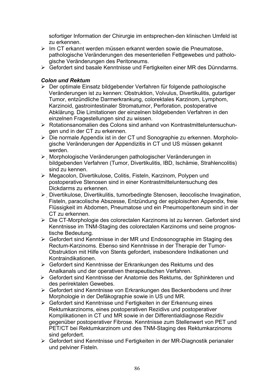sofortiger Information der Chirurgie im entsprechen-den klinischen Umfeld ist zu erkennen.

- ¾ Im CT erkannt werden müssen erkannt werden sowie die Pneumatose, pathologische Veränderungen des mesenteriellen Fettgewebes und pathologische Veränderungen des Peritoneums.
- ¾ Gefordert sind basale Kenntnisse und Fertigkeiten einer MR des Dünndarms.

### *Colon und Rektum*

- ¾ Der optimale Einsatz bildgebender Verfahren für folgende pathologische Veränderungen ist zu kennen: Obstruktion, Volvulus, Divertikulitis, gutartiger Tumor, entzündliche Darmerkrankung, colorektales Karzinom, Lymphom, Karzinoid, gastrointestinaler Stromatumor, Perforation, postoperative Abklärung. Die Limitationen der einzelnen bildgebenden Verfahren in den einzelnen Fragestellungen sind zu wissen.
- ¾ Rotationsanomalien des Colons sind anhand von Kontrastmitteluntersuchungen und in der CT zu erkennen.
- ¾ Die normale Appendix ist in der CT und Sonographie zu erkennen. Morphologische Veränderungen der Appendizitis in CT und US müssen gekannt werden.
- ¾ ҏMorphologische Veränderungen pathologischer Veränderungen in bildgebenden Verfahren (Tumor, Divertikulitis, IBD, Ischämie, Strahlencolitis) sind zu kennen.
- ¾ Megacolon, Divertikulose, Colitis, Fisteln, Karzinom, Polypen und postoperative Stenosen sind in einer Kontrastmitteluntersuchung des Dickdarms zu erkennen.
- ¾ ҏDivertikulose, Divertikulitis, tumorbedingte Stenosen, ileocolische Invagination, Fisteln, paracolische Abszesse, Entzündung der epiploischen Appendix, freie Flüssigkeit im Abdomen, Pneumatose und ein Pneumoperitoneum sind in der CT zu erkennen.
- ¾ Die CT-Morphologie des colorectalen Karzinoms ist zu kennen. Gefordert sind Kenntnisse im TNM-Staging des colorectalen Karzinoms und seine prognostische Bedeutung.
- ¾ Gefordert sind Kenntnisse in der MR und Endosonographie im Staging des Rectum-Karzinoms. Ebenso sind Kenntnisse in der Therapie der Tumor-Obstruktion mit Hilfe von Stents gefordert, insbesondere Indikationen und Kontraindikationen.
- ¾ Gefordert sind Kenntnisse der Erkrankungen des Rektums und des Analkanals und der operativen therapeutischen Verfahren.
- ¾ Gefordert sind Kenntnisse der Anatomie des Rektums, der Sphinkteren und des perirektalen Gewebes.
- ¾ Gefordert sind Kenntnisse von Erkrankungen des Beckenbodens und ihrer Morphologie in der Defäkographie sowie in US und MR.
- ¾ Gefordert sind Kenntnisse und Fertigkeiten in der Erkennung eines Rektumkarzinoms, eines postoperativen Rezidivs und postoperativer Komplikationen in CT und MR sowie in der Differentialdiagnose Rezidiv gegenüber postoperativer Fibrose. Kenntnisse zum Stellenwert von PET und PET/CT bei Rektumkarzinom und des TNM-Staging des Rektumkarzinoms sind gefordert.
- ¾ Gefordert sind Kenntnisse und Fertigkeiten in der MR-Diagnostik perianaler und pelviner Fisteln.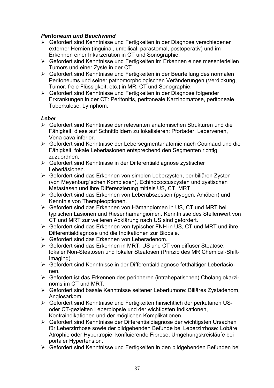#### *Peritoneum und Bauchwand*

- ¾ Gefordert sind Kenntnisse und Fertigkeiten in der Diagnose verschiedener externer Hernien (inguinal, umbilical, parastomal, postoperativ) und im Erkennen einer Inkarzeration in CT und Sonographie.
- ¾ Gefordert sind Kenntnisse und Fertigkeiten im Erkennen eines mesenteriellen Tumors und einer Zyste in der CT.
- ¾ Gefordert sind Kenntnisse und Fertigkeiten in der Beurteilung des normalen Peritoneums und seiner pathomorphologischen Veränderungen (Verdickung, Tumor, freie Flüssigkeit, etc.) in MR, CT und Sonographie.
- ¾ Gefordert sind Kenntnisse und Fertigkeiten in der Diagnose folgender Erkrankungen in der CT: Peritonitis, peritoneale Karzinomatose, peritoneale Tuberkulose, Lymphom.

#### *Leber*

- ¾ Gefordert sind Kenntnisse der relevanten anatomischen Strukturen und die Fähigkeit, diese auf Schnittbildern zu lokalisieren: Pfortader, Lebervenen, Vena cava inferior.
- ¾ Gefordert sind Kenntnisse der Lebersegmentanatomie nach Couinaud und die Fähigkeit, fokale Leberläsionen entsprechend den Segmenten richtig zuzuordnen.
- ¾ Gefordert sind Kenntnisse in der Differentialdiagnose zystischer Leberläsionen.
- ¾ Gefordert sind das Erkennen von simplen Leberzysten, peribiliären Zysten (von Meyenburg´schen Komplexen), Echinococcuszysten und zystischen Metastasen und ihre Differenzierung mittels US, CT, MRT.
- ¾ Gefordert sind das Erkennen von Leberabszessen (pyogen, Amöben) und Kenntnis von Therapieoptionen.
- ¾ Gefordert sind das Erkennen von Hämangiomen in US, CT und MRT bei typischen Läsionen und Riesenhämangiomen. Kenntnisse des Stellenwert von CT und MRT zur weiteren Abklärung nach US sind gefordert.
- ¾ Gefordert sind das Erkennen von typischer FNH in US, CT und MRT und ihre Differentialdiagnose und die Indikationen zur Biopsie.
- $\triangleright$  Gefordert sind das Erkennen von Leberadenom.
- ¾ Gefordert sind das Erkennen in MRT, US und CT von diffuser Steatose, fokaler Non-Steatosen und fokaler Steatosen (Prinzip des MR Chemical-Shift-Imaging).
- ¾ Gefordert sind Kenntnisse in der Differentialdiagnose fetthältiger Leberläsionen.
- ¾ Gefordert ist das Erkennen des peripheren (intrahepatischen) Cholangiokarzinoms im CT und MRT.
- ¾ Gefordert sind basale Kenntnisse seltener Lebertumore: Biliäres Zystadenom, Angiosarkom.
- ¾ Gefordert sind Kenntnisse und Fertigkeiten hinsichtlich der perkutanen USoder CT-gezielten Leberbiopsie und der wichtigsten Indikationen, Kontraindikationen und der möglichen Komplikationen.
- ¾ Gefordert sind Kenntnisse der Differentialdiagnose der wichtigsten Ursachen für Leberzirrhose sowie der bildgebenden Befunde bei Leberzirrhose: Lobäre Atrophie oder Hypertropie, konfluierende Fibrose, Umgehungskreisläufe bei portaler Hypertension.
- ¾ Gefordert sind Kenntnisse und Fertigkeiten in den bildgebenden Befunden bei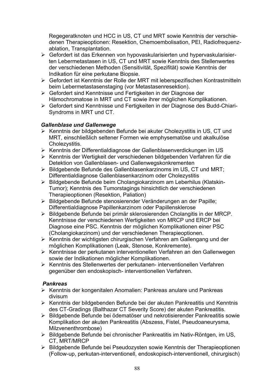Regegeratknoten und HCC in US, CT und MRT sowie Kenntnis der verschiedenen Therapieoptionen: Resektion, Chemoembolisation, PEI, Radiofrequenzablation, Transplantation.

- ¾ Gefordert ist das Erkennen von hypovaskularisierten und hypervaskularisierten Lebermetastasen in US, CT und MRT sowie Kenntnis des Stellenwertes der verschiedenen Methoden (Sensitivität, Spezifität) sowie Kenntnis der Indikation für eine perkutane Biopsie.
- ¾ Gefordert ist Kenntnis der Rolle der MRT mit leberspezifischen Kontrastmitteln beim Lebermetastasenstaging (vor Metastasenresektion).
- ¾ Gefordert sind Kenntnisse und Fertigkeiten in der Diagnose der Hämochromatose in MRT und CT sowie ihrer möglichen Komplikationen.
- ¾ Gefordert sind Kenntnisse und Fertigkeiten in der Diagnose des Budd-Chiari-Syndroms in MRT und CT.

#### *Gallenblase und Gallenwege*

- ¾ Kenntnis der bildgebenden Befunde bei akuter Cholezystitis in US, CT und MRT, einschließlich seltener Formen wie emphysematöse und akalkulöse Cholezystitis.
- ¾ Kenntnis der Differentialdiagnose der Gallenblasenverdickungen im US
- ¾ Kenntnis der Wertigkeit der verschiedenen bildgebenden Verfahren für die Detektion von Gallenblasen- und Gallenwegskonkrementen
- $\triangleright$  Bildgebende Befunde des Gallenblasenkarzinoms im US, CT und MRT; Differentialdiagnose Gallenblasenkarzinom oder Cholezystitis
- ¾ Bildgebende Befunde beim Cholangiokarzinom am Leberhilus (Klatskin-Tumor); Kenntnis des Tumorstagings hinsichtlich der verschiedenen Therapieoptionen (Resektion, Paliation)
- ¾ Bildgebende Befunde stenosierender Veränderungen an der Papille; Differentialdiagnose Papillenkarzinom oder Papillensklerose
- ¾ Bildgebende Befunde bei primär sklerosierenden Cholangitis in der MRCP. Kenntnisse der verschiedenen Wertigkeiten von MRCP und ERCP bei Diagnose eine PSC. Kenntnis der möglichen Komplikationen einer PSC (Cholangiokarzinom) und der verschiedenen Therapieoptionen.
- ¾ Kenntnis der wichtigsten chirurgischen Verfahren am Gallengang und der möglichen Komplikationen (Leak, Stenose, Konkremente).
- ¾ Kenntnisse der perkutanen interventionellen Verfahren an den Gallenwegen sowie der Indikationen möglicher Komplikationen.
- ¾ Kenntnis des Stellenwertes der perkutanen- interventionellen Verfahren gegenüber den endoskopisch- interventionellen Verfahren.

#### *Pankreas*

- ¾ Kenntnis der kongenitalen Anomalien: Pankreas anulare und Pankreas divisum
- ¾ Kenntnis der bildgebenden Befunde bei der akuten Pankreatitis und Kenntnis des CT-Gradings (Balthazar CT Severity Score) der akuten Pankreatitis.
- ¾ Bildgebende Befunde bei ödematöser und nekrotisierender Pankreatitis sowie Komplikation der akuten Pankreatitis (Abszess, Fistel, Pseudoaneurysma, Milzvenenthrombose)
- ¾ Bildgebende Befunde bei chronischer Pankreatitis im Nativ-Röntgen, im US, CT, MRT/MRCP
- ¾ Bildgebende Befunde bei Pseudozysten sowie Kenntnis der Therapieoptionen (Follow-up, perkutan-interventionell, endoskopisch-interventionell, chirurgisch)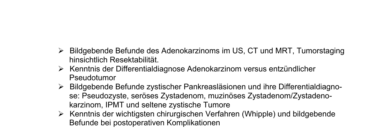- ¾ Bildgebende Befunde des Adenokarzinoms im US, CT und MRT, Tumorstaging hinsichtlich Resektabilität.
- ¾ Kenntnis der Differentialdiagnose Adenokarzinom versus entzündlicher Pseudotumor
- ¾ Bildgebende Befunde zystischer Pankreasläsionen und ihre Differentialdiagnose: Pseudozyste, seröses Zystadenom, muzinöses Zystadenom/Zystadenokarzinom, IPMT und seltene zystische Tumore
- ¾ Kenntnis der wichtigsten chirurgischen Verfahren (Whipple) und bildgebende Befunde bei postoperativen Komplikationen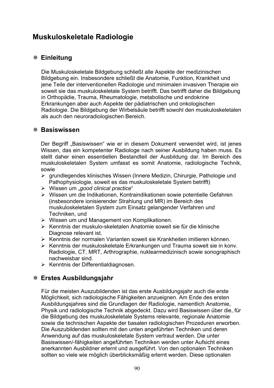## **Muskuloskeletale Radiologie**

## **Einleitung**

Die Muskuloskeletale Bildgebung schließt alle Aspekte der medizinischen Bildgebung ein. Insbesondere schließt die Anatomie, Funktion, Krankheit und jene Teile der interventionellen Radiologie und minimalen invasiven Therapie ein soweit sie das muskuloskeletale System betrifft. Das betrifft daher die Bildgebung in Orthopädie, Trauma, Rheumatologie, metabolische und endokrine Erkrankungen aber auch Aspekte der pädiatrischen und onkologischen Radiologie. Die Bildgebung der Wirbelsäule betrifft sowohl den muskuloskeletalen als auch den neuroradiologischen Bereich.

#### **Basiswissen**

Der Begriff "Basiswissen" wie er in diesem Dokument verwendet wird, ist jenes Wissen, das ein kompetenter Radiologe nach seiner Ausbildung haben muss. Es stellt daher einen essentiellen Bestandteil der Ausbildung dar. Im Bereich des muskuloskeletalen System umfasst es somit Anatomie, radiologische Technik, sowie

- ¾ grundlegendes klinisches Wissen (Innere Medizin, Chirurgie, Pathologie und Pathophysiologie, soweit es das muskuloskeletale System betrifft)
- ¾ Wissen um "*good clinical practice*"
- ¾ Wissen um die Indikationen, Kontraindikationen sowie potentielle Gefahren (insbesondere ionisierender Strahlung und MR) im Bereich des muskuloskeletalen System zum Einsatz gelangender Verfahren und Techniken, und
- ¾ Wissen um und Management von Komplikationen.
- ¾ Kenntnis der muskulo-skeletalen Anatomie soweit sie für die klinische Diagnose relevant ist.
- ¾ Kenntnis der normalen Varianten soweit sie Krankheiten imitieren können.
- ¾ Kenntnis der muskuloskeletale Erkrankungen und Trauma soweit sie in konv. Radiologie, CT, MRT, Arthrographie, nuklearmedizinisch sowie sonographisch nachweisbar sind.
- ¾ Kenntnis der Differentialdiagnosen.

### **Erstes Ausbildungsjahr**

Für die meisten Auszubildenden ist das erste Ausbildungsjahr auch die erste Möglichkeit, sich radiologische Fähigkeiten anzueignen. Am Ende des ersten Ausbildungsjahres sind die Grundlagen der Radiologie, namentlich Anatomie, Physik und radiologische Technik abgedeckt. Dazu wird Basiswissen über die, für die Bildgebung des muskuloskeletale Systems relevante, regionale Anatomie sowie die technischen Aspekte der basalen radiologischen Prozeduren erworben. Die Auszubildenden sollten mit den unten angeführten Techniken und deren Anwendung auf das muskuloskeletale System vertraut werden. Die unter Basiswissen/-fähigkeiten angeführten Techniken werden unter Aufsicht eines anerkannten Ausbildner erlernt und ausgeführt. Von den optionalen Techniken sollten so viele wie möglich überblicksmäßig erlernt werden. Diese optionalen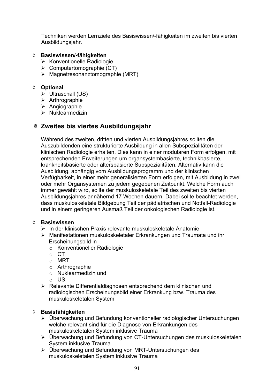Techniken werden Lernziele des Basiswissen/-fähigkeiten im zweiten bis vierten Ausbildungsjahr.

#### ¡ **Basiswissen/-fähigkeiten**

- ¾ Konventionelle Radiologie
- $\triangleright$  Computertomographie (CT)
- $\triangleright$  Magnetresonanztomographie (MRT)

#### ¡ **Optional**

- $\triangleright$  Ultraschall (US)
- $\triangleright$  Arthrographie
- $\triangleright$  Angiographie
- $\triangleright$  Nuklearmedizin

### **Zweites bis viertes Ausbildungsjahr**

Während des zweiten, dritten und vierten Ausbildungsjahres sollten die Auszubildenden eine strukturierte Ausbildung in allen Subspezialitäten der klinischen Radiologie erhalten. Dies kann in einer modularen Form erfolgen, mit entsprechenden Erweiterungen um organsystembasierte, technikbasierte, krankheitsbasierte oder altersbasierte Subspezialitäten. Alternativ kann die Ausbildung, abhängig vom Ausbildungsprogramm und der klinischen Verfügbarkeit, in einer mehr generalisierten Form erfolgen, mit Ausbildung in zwei oder mehr Organsystemen zu jedem gegebenen Zeitpunkt. Welche Form auch immer gewählt wird, sollte der muskuloskeletale Teil des zweiten bis vierten Ausbildungsjahres annähernd 17 Wochen dauern. Dabei sollte beachtet werden, dass muskuloskeletale Bildgebung Teil der pädiatrischen und Notfall-Radiologie und in einem geringeren Ausmaß Teil der onkologischen Radiologie ist.

#### ¡ **Basiswissen**

- ¾ In der klinischen Praxis relevante muskuloskeletale Anatomie
- ¾ Manifestationen muskuloskeletaler Erkrankungen und Traumata und ihr Erscheinungsbild in
	- o Konventioneller Radiologie
	- o CT
	- o MRT
	- o Arthrographie
	- o Nuklearmedizin und
	- o US.
- ¾ Relevante Differentialdiagnosen entsprechend dem klinischen und radiologischen Erscheinungsbild einer Erkrankung bzw. Trauma des muskuloskeletalen System

#### ¡ **Basisfähigkeiten**

- ¾ Überwachung und Befundung konventioneller radiologischer Untersuchungen welche relevant sind für die Diagnose von Erkrankungen des muskuloskeletalen System inklusive Trauma
- ¾ Überwachung und Befundung von CT-Untersuchungen des muskuloskeletalen System inklusive Trauma
- ¾ Überwachung und Befundung von MRT-Untersuchungen des muskuloskeletalen System inklusive Trauma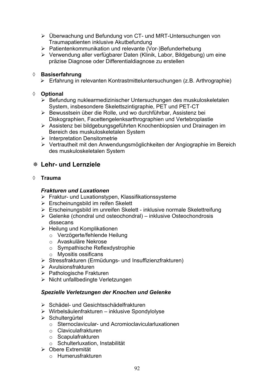- ¾ Überwachung und Befundung von CT- und MRT-Untersuchungen von Traumapatienten inklusive Akutbefundung
- ¾ Patientenkommunikation und relevante (Vor-)Befunderhebung
- ¾ Verwendung aller verfügbarer Daten (Klinik, Labor, Bildgebung) um eine präzise Diagnose oder Differentialdiagnose zu erstellen

#### ¡ **Basiserfahrung**

¾ Erfahrung in relevanten Kontrastmitteluntersuchungen (z.B. Arthrographie)

#### ¡ **Optional**

- ¾ Befundung nuklearmedizinischer Untersuchungen des muskuloskeletalen System, insbesondere Skelettszintigraphie, PET und PET-CT
- ¾ Bewusstsein über die Rolle, und wo durchführbar, Assistenz bei Diskographien, Facettengelenksarthrographien und Vertebroplastie
- ¾ Assistenz bei bildgebungsgeführten Knochenbiopsien und Drainagen im Bereich des muskuloskeletalen System
- $\triangleright$  Interpretation Densitometrie
- ¾ Vertrautheit mit den Anwendungsmöglichkeiten der Angiographie im Bereich des muskuloskeletalen System

### **Lehr- und Lernziele**

#### ¡ **Trauma**

#### *Frakturen und Luxationen*

- ¾ Fraktur- und Luxationstypen, Klassifikationssysteme
- $\triangleright$  Erscheinungsbild im reifen Skelett
- ¾ Erscheinungsbild im unreifen Skelett inklusive normale Skelettreifung
- $\triangleright$  Gelenke (chondral und osteochondral) inklusive Osteochondrosis dissecans
- $\triangleright$  Heilung und Komplikationen
	- o Verzögerte/fehlende Heilung
	- o Avaskuläre Nekrose
	- o Sympathische Reflexdystrophie
	- o Myositis ossificans
- ¾ Stressfrakturen (Ermüdungs- und Insuffizienzfrakturen)
- ¾ Avulsionsfrakturen
- ¾ Pathologische Frakturen
- $\triangleright$  Nicht unfallbedingte Verletzungen

#### *Spezielle Verletzungen der Knochen und Gelenke*

- ¾ Schädel- und Gesichtsschädelfrakturen
- ¾ Wirbelsäulenfrakturen inklusive Spondylolyse
- ¾ Schultergürtel
	- o Sternoclavicular- und Acromioclavicularluxationen
	- o Claviculafrakturen
	- o Scapulafrakturen
	- o Schulterluxation, Instabilität
- ¾ Obere Extremität
	- o Humerusfrakturen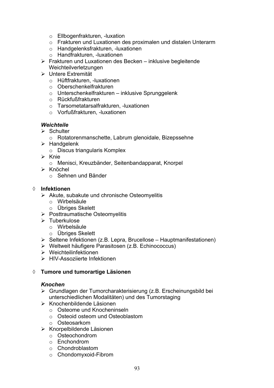- o Ellbogenfrakturen, -luxation
- o Frakturen und Luxationen des proximalen und distalen Unterarm
- o Handgelenksfrakturen, -luxationen
- o Handfrakturen, -luxationen
- $\triangleright$  Frakturen und Luxationen des Becken inklusive begleitende Weichteilverletzungen
- ¾ Untere Extremität
	- o Hüftfrakturen, -luxationen
	- o Oberschenkelfrakturen
	- o Unterschenkelfrakturen inklusive Sprunggelenk
	- o Rückfußfrakturen
	- o Tarsometatarsalfrakturen, -luxationen
	- o Vorfußfrakturen, -luxationen

#### *Weichteile*

- $\triangleright$  Schulter
	- o Rotatorenmanschette, Labrum glenoidale, Bizepssehne
- $\triangleright$  Handgelenk
	- o Discus triangularis Komplex
- $\triangleright$  Knie
	- o Menisci, Kreuzbänder, Seitenbandapparat, Knorpel
- ¾ Knöchel
	- o Sehnen und Bänder

#### ¡ **Infektionen**

- $\triangleright$  Akute, subakute und chronische Osteomyelitis
	- o Wirbelsäule
	- o Übriges Skelett
- ¾ Posttraumatische Osteomyelitis
- $\triangleright$  Tuberkulose
	- o Wirbelsäule
	- o Übriges Skelett
- $\triangleright$  Seltene Infektionen (z.B. Lepra, Brucellose Hauptmanifestationen)
- ¾ Weltweit häufigere Parasitosen (z.B. Echinococcus)
- $\triangleright$  Weichteilinfektionen
- ¾ HIV-Assoziierte Infektionen

#### ¡ **Tumore und tumorartige Läsionen**

#### *Knochen*

- ¾ Grundlagen der Tumorcharakterisierung (z.B. Erscheinungsbild bei unterschiedlichen Modalitäten) und des Tumorstaging
- ¾ Knochenbildende Läsionen
	- o Osteome und Knocheninseln
	- o Osteoid osteom und Osteoblastom
	- o Osteosarkom
- ¾ Knorpelbildende Läsionen
	- o Osteochondrom
	- o Enchondrom
	- o Chondroblastom
	- o Chondomyxoid-Fibrom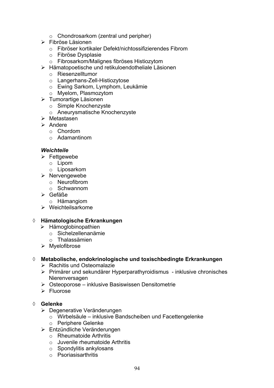- o Chondrosarkom (zentral und peripher)
- $\triangleright$  Fibröse Läsionen
	- o Fibröser kortikaler Defekt/nichtossifizierendes Fibrom
	- o Fibröse Dysplasie
	- o Fibrosarkom/Malignes fibröses Histiozytom
- ¾ Hämatopoetische und retikuloendotheliale Läsionen
	- o Riesenzelltumor
	- o Langerhans-Zell-Histiozytose
	- o Ewing Sarkom, Lymphom, Leukämie
	- o Myelom, Plasmozytom
- $\triangleright$  Tumorartige Läsionen
	- o Simple Knochenzyste
	- o Aneurysmatische Knochenzyste
- $\triangleright$  Metastasen
- $\triangleright$  Andere
	- o Chordom
	- o Adamantinom

#### *Weichteile*

- $\triangleright$  Fettgewebe
	- o Lipom
	- o Liposarkom
- $\triangleright$  Nervengewebe
	- o Neurofibrom
	- o Schwannom
- ¾ Gefäße
- o Hämangiom
- $\triangleright$  Weichteilsarkome

#### ¡ **Hämatologische Erkrankungen**

- ¾ Hämoglobinopathien
	- o Sichelzellenanämie
	- o Thalassämien
- ¾ Myelofibrose

#### ¡ **Metabolische, endokrinologische und toxischbedingte Erkrankungen**

- $\triangleright$  Rachitis und Osteomalazie
- ¾ Primärer und sekundärer Hyperparathyroidismus inklusive chronisches Nierenversagen
- $\triangleright$  Osteoporose inklusive Basiswissen Densitometrie
- ¾ Fluorose

#### ¡ **Gelenke**

- ¾ Degenerative Veränderungen
	- o Wirbelsäule inklusive Bandscheiben und Facettengelenke
	- o Periphere Gelenke
- ¾ Entzündliche Veränderungen
	- o Rheumatoide Arthritis
	- o Juvenile rheumatoide Arthritis
	- o Spondylitis ankylosans
	- o Psoriasisarthritis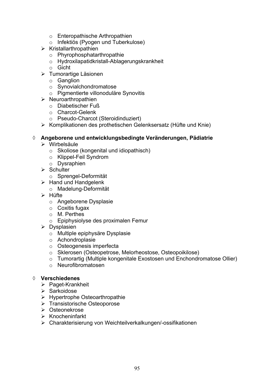- o Enteropathische Arthropathien
- o Infektiös (Pyogen und Tuberkulose)
- $\triangleright$  Kristallarthropathien
	- o Phyrophosphatarthropathie
	- o Hydroxilapatidkristall-Ablagerungskrankheit
	- o Gicht
- ¾ Tumorartige Läsionen
	- o Ganglion
	- o Synovialchondromatose
	- o Pigmentierte villonoduläre Synovitis
- $\triangleright$  Neuroarthropathien
	- o Diabetischer Fuß
	- o Charcot-Gelenk
	- o Pseudo-Charcot (Steroidinduziert)
- ¾ Komplikationen des prothetischen Gelenksersatz (Hüfte und Knie)

#### ¡ **Angeborene und entwicklungsbedingte Veränderungen, Pädiatrie**

- $\triangleright$  Wirbelsäule
	- o Skoliose (kongenital und idiopathisch)
	- o Klippel-Feil Syndrom
	- o Dysraphien
- $\triangleright$  Schulter
	- o Sprengel-Deformität
- $\triangleright$  Hand und Handgelenk
	- o Madelung-Deformität
- $\triangleright$  Hüfte
	- o Angeborene Dysplasie
	- o Coxitis fugax
	- o M. Perthes
	- o Epiphysiolyse des proximalen Femur
- $\triangleright$  Dysplasien
	- o Multiple epiphysäre Dysplasie
	- o Achondroplasie
	- o Osteogenesis imperfecta
	- o Sklerosen (Osteopetrose, Melorheostose, Osteopoikilose)
	- o Tumorartig (Multiple kongenitale Exostosen und Enchondromatose Ollier)
	- o Neurofibromatosen

#### ¡ **Verschiedenes**

- ¾ Paget-Krankheit
- ¾ Sarkoidose
- $\triangleright$  Hypertrophe Osteoarthropathie
- ¾ Transistorische Osteoporose
- ¾ Osteonekrose
- $\triangleright$  Knocheninfarkt
- ¾ Charakterisierung von Weichteilverkalkungen/-ossifikationen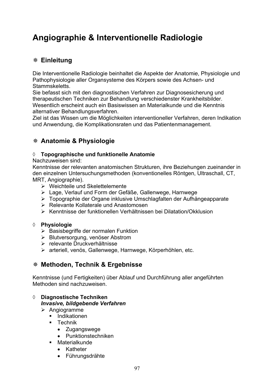# **Angiographie & Interventionelle Radiologie**

## **Einleitung**

Die Interventionelle Radiologie beinhaltet die Aspekte der Anatomie, Physiologie und Pathophysiologie aller Organsysteme des Körpers sowie des Achsen- und Stammskeletts.

Sie befasst sich mit den diagnostischen Verfahren zur Diagnosesicherung und therapeutischen Techniken zur Behandlung verschiedenster Krankheitsbilder. Wesentlich erscheint auch ein Basiswissen an Materialkunde und die Kenntnis alternativer Behandlungsverfahren.

Ziel ist das Wissen um die Möglichkeiten interventioneller Verfahren, deren Indikation und Anwendung, die Komplikationsraten und das Patientenmanagement.

## **Anatomie & Physiologie**

#### ¡ **Topographische und funktionelle Anatomie**

Nachzuweisen sind:

Kenntnisse der relevanten anatomischen Strukturen, ihre Beziehungen zueinander in den einzelnen Untersuchungsmethoden (konventionelles Röntgen, Ultraschall, CT, MRT, Angiographie).

- $\triangleright$  Weichteile und Skelettelemente
- ¾ Lage, Verlauf und Form der Gefäße, Gallenwege, Harnwege
- ¾ Topographie der Organe inklusive Umschlagfalten der Aufhängeapparate
- $\triangleright$  Relevante Kollaterale und Anastomosen
- ¾ Kenntnisse der funktionellen Verhältnissen bei Dilatation/Okklusion

#### ¡ **Physiologie**

- $\triangleright$  Basisbegriffe der normalen Funktion
- ¾ Blutversorgung, venöser Abstrom
- ¾ relevante Druckverhältnisse
- ¾ arteriell, venös, Gallenwege, Harnwege, Körperhöhlen, etc.

### **Methoden, Technik & Ergebnisse**

Kenntnisse (und Fertigkeiten) über Ablauf und Durchführung aller angeführten Methoden sind nachzuweisen.

#### ¡ **Diagnostische Techniken**  *Invasive, bildgebende Verfahren*

- $\triangleright$  Angiogramme
	- **Indikationen**
	- **Technik** 
		- Zugangswege
		- Punktionstechniken
	- Materialkunde
		- Katheter
		- Führungsdrähte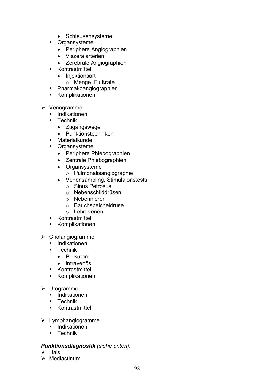- Schleusensysteme
- **•** Organsysteme
	- Periphere Angiographien
	- Viszeralarterien
	- Zerebrale Angiographien
- **Kontrastmittel** 
	- Injektionsart
		- o Menge, Flußrate
- Pharmakoangiographien
- **Komplikationen**
- $\triangleright$  Venogramme
	- **Indikationen**
	- **Technik** 
		- Zugangswege
		- Punktionstechniken
	- **Materialkunde**
	- **•** Organsysteme
		- Periphere Phlebographien
		- Zentrale Phlebographien
		- Organsysteme
			- o Pulmonalisangiographie
		- Venensampling, Stimulaionstests
			- o Sinus Petrosus
			- o Nebenschilddrüsen
			- o Nebennieren
			- o Bauchspeicheldrüse
			- o Lebervenen
	- **EXECUTE:** Kontrastmittel
	- **Komplikationen**
- $\triangleright$  Cholangiogramme
	- **Indikationen**
	- **Technik** 
		- $\bullet$  Perkutan
		- intravenös
	- **Kontrastmittel**
	- Komplikationen
- ¾ Urogramme
	- **Indikationen**
	- **Technik**
	- **Kontrastmittel**
- $\blacktriangleright$  Lymphangiogramme
	- Indikationen
	- Technik

#### *Punktionsdiagnostik (siehe unten):*

- $\triangleright$  Hals
- $\triangleright$  Mediastinum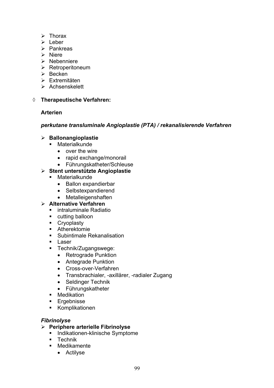- $\triangleright$  Thorax
- ¾ Leber
- $\triangleright$  Pankreas
- $\triangleright$  Niere
- $\triangleright$  Nebenniere
- ¾ Retroperitoneum
- $\triangleright$  Becken
- $\triangleright$  Extremitäten
- $\triangleright$  Achsenskelett

#### $\Diamond$  Therapeutische Verfahren:

#### **Arterien**

#### *perkutane transluminale Angioplastie (PTA) / rekanalisierende Verfahren*

#### ¾ **Ballonangioplastie**

- Materialkunde
	- $\bullet$  over the wire
	- rapid exchange/monorail
	- Führungskatheter/Schleuse

#### ¾ **Stent unterstützte Angioplastie**

- **Materialkunde** 
	- Ballon expandierbar
	- Selbstexpandierend
	- Metalleigenshaften

#### ¾ **Alternative Verfahren**

- **EXECUTE:** intraluminale Radiatio
- cutting balloon
- **Cryoplasty**
- Atherektomie
- **Subintimale Rekanalisation**
- **Laser**
- **Technik/Zugangswege:** 
	- Retrograde Punktion
	- Antegrade Punktion
	- Cross-over-Verfahren
	- Transbrachialer, -axillärer, -radialer Zugang
	- Seldinger Technik
	- Führungskatheter
- **Medikation**
- **Ergebnisse**
- Komplikationen

#### *Fibrinolyse*

- ¾ **Periphere arterielle Fibrinolyse** 
	- **Indikationen-klinische Symptome**
	- **E** Technik
	- **•** Medikamente
		- Actilyse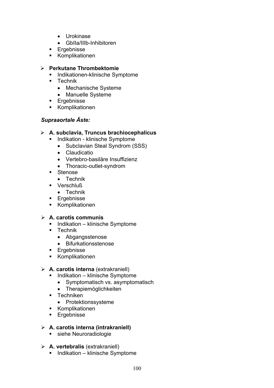- Urokinase
- GbIIa/IIIb-Inhibitoren
- **Ergebnisse**
- **Komplikationen**

#### ¾ **Perkutane Thrombektomie**

- **Indikationen-klinische Symptome**
- $\blacksquare$  Technik
	- Mechanische Systeme
	- Manuelle Systeme
- **Ergebnisse**
- **Komplikationen**

#### *Supraaortale Äste:*

#### ¾ **A. subclavia, Truncus brachiocephalicus**

- **Indikation klinische Symptome** 
	- Subclavian Steal Syndrom (SSS)
	- Claudicatio
	- Vertebro-basiläre Insuffizienz
	- Thoracic-outlet-syndrom
- **Stenose** 
	- $\bullet$  Technik
- **Verschluß** 
	- $\bullet$  Technik
- **Ergebnisse**
- Komplikationen

#### ¾ **A. carotis communis**

- **Indikation klinische Symptome**
- **-** Technik
	- Abgangsstenose
	- Bifurkationsstenose
- **Ergebnisse**
- Komplikationen

#### ¾ **A. carotis interna** (extrakraniell)

- **Indikation klinische Symptome** 
	- Symptomatisch vs. asymptomatisch
	- Therapiemöglichkeiten
- **-** Techniken
	- Protektionssysteme
- Komplikationen
- **Ergebnisse**

#### ¾ **A. carotis interna (intrakraniell)**

- siehe Neuroradiologie
- ¾ **A. vertebralis** (extrakraniell)
	- Indikation klinische Symptome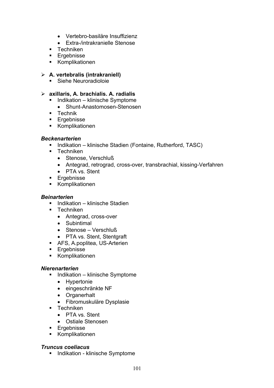- Vertebro-basiläre Insuffizienz
- Extra-/intrakranielle Stenose
- **Techniken**
- **Ergebnisse**
- Komplikationen

#### ¾ **A. vertebralis (intrakraniell)**

Siehe Neuroradioloie

#### ¾ **axillaris, A. brachialis. A. radialis**

- Indikation klinische Symptome
	- Shunt-Anastomosen-Stenosen
- **Technik**
- **Ergebnisse**
- Komplikationen

#### *Beckenarterien*

- **Indikation klinische Stadien (Fontaine, Rutherford, TASC)**
- **Techniken** 
	- Stenose, Verschluß
	- Antegrad, retrograd, cross-over, transbrachial, kissing-Verfahren
	- PTA vs. Stent
- **Ergebnisse**
- Komplikationen

#### *Beinarterien*

- $\blacksquare$ Indikation klinische Stadien
- **Techniken** 
	- Antegrad, cross-over
	- $\bullet$  Subintimal
	- $\bullet$  Stenose Verschluß
	- PTA vs. Stent, Stentgraft
- AFS, A.poplitea, US-Arterien
- **Ergebnisse**
- Komplikationen

#### *Nierenarterien*

- Indikation klinische Symptome
	- Hypertonie
	- eingeschränkte NF
	- Organerhalt
	- Fibromuskuläre Dysplasie
- **F** Techniken
	- PTA vs. Stent
	- Ostiale Stenosen
- **Ergebnisse**
- **Komplikationen**

#### *Truncus coeliacus*

**Indikation - klinische Symptome**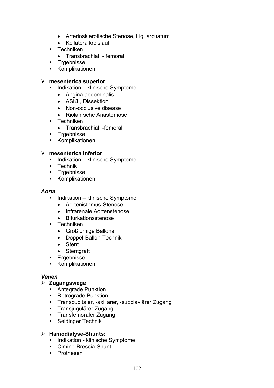- Arteriosklerotische Stenose, Lig. arcuatum
- Kollateralkreislauf
- **Techniken** 
	- Transbrachial, femoral
- **Ergebnisse**
- **Komplikationen**

#### ¾ **mesenterica superior**

- **Indikation klinische Symptome** 
	- Angina abdominalis
	- ASKL, Dissektion
	- Non-occlusive disease
	- Riolan'sche Anastomose
- **Techniken** 
	- Transbrachial, -femoral
- **Ergebnisse**
- Komplikationen

#### ¾ **mesenterica inferior**

- Indikation klinische Symptome
- **Technik**
- **Ergebnisse**
- Komplikationen

#### *Aorta*

- Indikation klinische Symptome
	- Aortenisthmus-Stenose
	- Infrarenale Aortenstenose
	- Bifurkationsstenose
- **Techniken** 
	- Großlumige Ballons
	- Doppel-Ballon-Technik
	- Stent
	- Stentgraft
- **Ergebnisse**
- Komplikationen

#### *Venen*

#### ¾ **Zugangswege**

- Antegrade Punktion
- **Retrograde Punktion**
- Transcubitaler, -axillärer, -subclaviärer Zugang
- Transjugulärer Zugang
- **Transfemoraler Zugang**
- **Seldinger Technik**

#### ¾ **Hämodialyse-Shunts:**

- **Indikation klinische Symptome**
- Cimino-Brescia-Shunt
- **•** Prothesen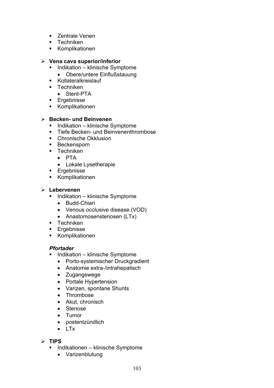- **E** Zentrale Venen
- $\blacksquare$  Techniken
- **Komplikationen**

#### ¾ **Vena cava superior/inferior**

- Indikation klinische Symptome
	- Obere/untere Einflußstauung
- Kollateralkreislauf
- Techniken
	- Stent-PTA
- **Ergebnisse**
- **Komplikationen**

#### ¾ **Becken- und Beinvenen**

- **Indikation klinische Symptome**
- **Tiefe Becken- und Beinvenenthrombose**
- Chronische Okklusion
- **Beckensporn**
- **Techniken** 
	- $\bullet$  PTA
	- Lokale Lysetherapie
- **Ergebnisse**
- Komplikationen

#### ¾ **Lebervenen**

- **Indikation klinische Symptome** 
	- Budd-Chiari
	- Venous occlusive disease (VOD)
	- Anastomosenstenosen (LTx)
- **Techniken**
- **Ergebnisse**
- Komplikationen

#### *Pfortader*

- **Indikation klinische Symptome** 
	- Porto-systemischer Druckgradient
	- Anatomie extra-/intrahepatisch
	- Zugangswege
	- Portale Hypertension
	- Varizen, spontane Shunts
	- Thrombose
	- Akut, chronisch
	- Stenose
	- Tumor
	- postentzündlich
	- $\bullet$  LTx

#### ¾ **TIPS**

- Indikationen klinische Symptome
	- Varizenblutung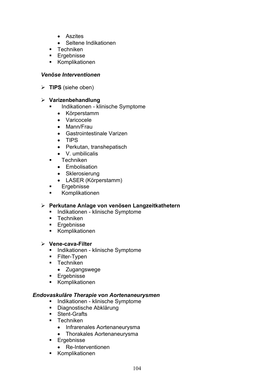- Aszites
- Seltene Indikationen
- **Techniken**
- **Ergebnisse**
- Komplikationen

#### *Venöse Interventionen*

¾ **TIPS** (siehe oben)

#### ¾ **Varizenbehandlung**

- **Indikationen klinische Symptome** 
	- Körperstamm
	- Varicocele
	- Mann/Frau
	- Gastrointestinale Varizen
	- $\bullet$  TIPS
	- Perkutan, transhepatisch
	- $\bullet$  V. umbilicalis
- **Techniken** 
	- Embolisation
	- Sklerosierung
	- LASER (Körperstamm)
- **Ergebnisse**
- **Komplikationen**

#### ¾ **Perkutane Anlage von venösen Langzeitkathetern**

- **Indikationen klinische Symptome**
- $\blacksquare$  Techniken
- **Ergebnisse**
- **Komplikationen**
- ¾ **Vene-cava-Filter** 
	- **Indikationen klinische Symptome**
	- **Filter-Typen**
	- **Techniken** 
		- Zugangswege
	- **Ergebnisse**
	- Komplikationen

#### *Endovaskuläre Therapie von Aortenaneurysmen*

- **Indikationen klinische Symptome**
- **Diagnostische Abklärung**
- **Stent-Grafts**
- **Techniken** 
	- Infrarenales Aortenaneurysma
	- Thorakales Aortenaneurysma
- **Ergebnisse** 
	- Re-Interventionen
- **Komplikationen**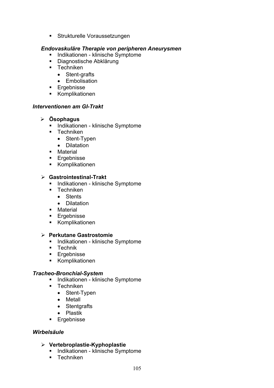**Strukturelle Voraussetzungen** 

#### *Endovaskuläre Therapie von peripheren Aneurysmen*

- Indikationen klinische Symptome
- **Diagnostische Abklärung**
- **Techniken** 
	- Stent-grafts
	- Embolisation
- **Ergebnisse**
- Komplikationen

#### *Interventionen am GI-Trakt*

#### ¾ **Ösophagus**

- **Indikationen klinische Symptome**
- **-** Techniken
	- Stent-Typen
	- Dilatation
- **•** Material
- **Ergebnisse**
- **Komplikationen**

#### ¾ **Gastrointestinal-Trakt**

- **Indikationen klinische Symptome**
- **Techniken** 
	- Stents
	- Dilatation
- **•** Material
- **Ergebnisse**
- **Komplikationen**

#### ¾ **Perkutane Gastrostomie**

- **Indikationen klinische Symptome**
- **E** Technik
- **Ergebnisse**
- **Komplikationen**

#### *Tracheo-Bronchial-System*

- **Indikationen klinische Symptome**
- **Techniken** 
	- $\bullet$  Stent-Typen
	- $\bullet$  Metall
	- Stentgrafts
	- Plastik
- **Ergebnisse**

#### *Wirbelsäule*

#### ¾ **Vertebroplastie-Kyphoplastie**

- **Indikationen klinische Symptome**
- **Techniken**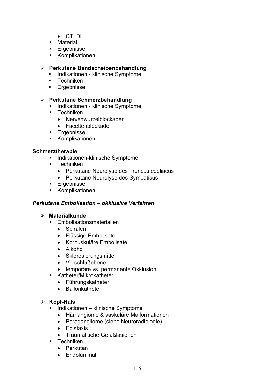- $\bullet$  CT, DL
- **Material**
- **Ergebnisse**
- Komplikationen

#### ¾ **Perkutane Bandscheibenbehandlung**

- **Indikationen klinische Symptome**
- **Techniken**
- **Ergebnisse**

#### ¾ **Perkutane Schmerzbehandlung**

- **Indikationen klinische Symptome**
- **Techniken** 
	- Nervenwurzelblockaden
	- Facettenblockade
- **Ergebnisse**
- **Komplikationen**

#### **Schmerztherapie**

- **Indikationen-klinische Symptome**
- **Techniken** 
	- Perkutane Neurolyse des Truncus coeliacus
	- Perkutane Neurolyse des Sympaticus
- **Ergebnisse**
- Komplikationen

#### *Perkutane Embolisation – okklusive Verfahren*

#### ¾ **Materialkunde**

- **Embolisationsmaterialien** 
	- Spiralen
	- Flüssige Embolisate
	- Korpuskuläre Embolisate
	- Alkohol
	- Sklerosierungsmittel
	- Verschlußebene
	- temporäre vs. permanente Okklusion
- **Katheter/Mikrokatheter** 
	- Führungskatheter
	- Ballonkatheter

#### ¾ **Kopf-Hals**

- **Indikationen klinische Symptome** 
	- Hämangiome & vaskuläre Malformationen
	- Paragangliome (siehe Neuroradiologie)
	- Epistaxis
	- Traumatische Gefäßläsionen
- **Techniken** 
	- $\bullet$  Perkutan
	- Endoluminal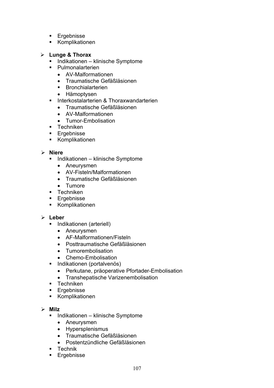- **Ergebnisse**
- Komplikationen

#### ¾ **Lunge & Thorax**

- **Indikationen klinische Symptome**
- Pulmonalarterien
	- AV-Malformationen
	- Traumatische Gefäßläsionen
	- **Bronchialarterien**
	- Hämoptysen
- **Interkostalarterien & Thoraxwandarterien** 
	- Traumatische Gefäßläsionen
	- AV-Malformationen
	- Tumor-Embolisation
- **Techniken**
- **Ergebnisse**
- Komplikationen

#### ¾ **Niere**

- **Indikationen klinische Symptome** 
	- Aneurysmen
	- AV-Fisteln/Malformationen
	- Traumatische Gefäßläsionen
	- Tumore
- **Techniken**
- **Ergebnisse**
- **Komplikationen**

#### ¾ **Leber**

- **Indikationen (arteriell)** 
	- Aneurysmen
	- AF-Malformationen/Fisteln
	- Posttraumatische Gefäßläsionen
	- Tumorembolisation
	- Chemo-Embolisation
- **Indikationen (portalvenös)** 
	- Perkutane, präoperative Pfortader-Embolisation
	- Transhepatische Varizenembolisation
- **Techniken**
- **Ergebnisse**
- Komplikationen

#### ¾ **Milz**

- Indikationen klinische Symptome
	- Aneurysmen
	- Hypersplenismus
	- Traumatische Gefäßläsionen
	- Postentzündliche Gefäßläsionen
- **Technik**
- **Ergebnisse**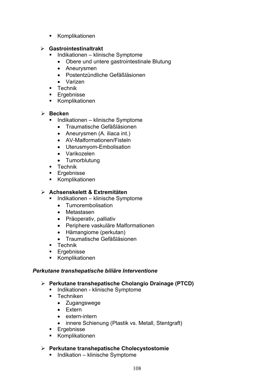**Komplikationen** 

#### ¾ **Gastrointestinaltrakt**

- Indikationen klinische Symptome
	- Obere und untere gastrointestinale Blutung
	- Aneurysmen
	- Postentzündliche Gefäßläsionen
	- $\bullet$  Varizen
- **Technik**
- **Ergebnisse**
- **Komplikationen**

### ¾ **Becken**

- Indikationen klinische Symptome
	- Traumatische Gefäßläsionen
	- Aneurysmen (A. iliaca int.)
	- AV-Malformationen/Fisteln
	- Uterusmyom-Embolisation
	- Varikozelen
	- Tumorblutung
- **Technik**
- **Ergebnisse**
- **Komplikationen**

# ¾ **Achsenskelett & Extremitäten**

- Indikationen klinische Symptome
	- Tumorembolisation
	- Metastasen
	- Präoperativ, palliativ
	- Periphere vaskuläre Malformationen
	- Hämangiome (perkutan)
	- Traumatische Gefäßläsionen
- **E** Technik
- **Ergebnisse**
- **Komplikationen**

### *Perkutane transhepatische biliäre Interventione*

- ¾ **Perkutane transhepatische Cholangio Drainage (PTCD)**
	- **Indikationen klinische Symptome**
	- $\blacksquare$  Techniken
		- Zugangswege
		- $\bullet$  Extern
		- $\bullet$  extern-intern
		- innere Schienung (Plastik vs. Metall, Stentgraft)
	- **Ergebnisse**
	- **Komplikationen**

### ¾ **Perkutane transhepatische Cholecystostomie**

**Indikation – klinische Symptome**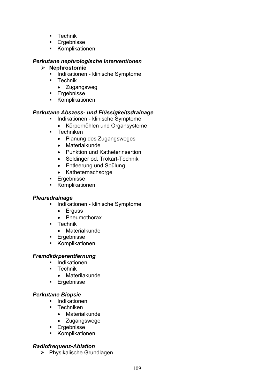- **Technik**
- **Ergebnisse**
- Komplikationen

#### *Perkutane nephrologische Interventionen*

- ¾ **Nephrostomie**
	- **Indikationen klinische Symptome**
	- **Technik** 
		- Zugangsweg
	- **Ergebnisse**
	- **Komplikationen**

# *Perkutane Abszess- und Flüssigkeitsdrainage*

- **Indikationen klinische Symptome** 
	- Körperhöhlen und Organsysteme
- **Techniken** 
	- Planung des Zugangsweges
	- $\bullet$  Materialkunde
	- Punktion und Katheterinsertion
	- Seldinger od. Trokart-Technik
	- Entleerung und Spülung
	- Katheternachsorge
- **Ergebnisse**
- Komplikationen

### *Pleuradrainage*

- Indikationen klinische Symptome
	- $\bullet$  Erguss
	- Pneumothorax
- **Technik** 
	- $\bullet$  Materialkunde
- **Ergebnisse**
- Komplikationen

# *Fremdkörperentfernung*

- **Indikationen**
- **Technik** 
	- $\bullet$  Materilakunde
- **Ergebnisse**

# *Perkutane Biopsie*

- **Indikationen**
- **Techniken** 
	- $\bullet$  Materialkunde
	- Zugangswege
- **Ergebnisse**
- **Komplikationen**

# *Radiofrequenz-Ablation*

¾ Physikalische Grundlagen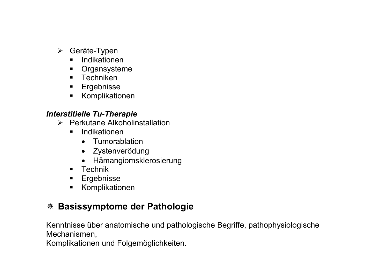- $\triangleright$  Geräte-Typen
	- **Indikationen**
	- **•** Organsysteme
	- **Techniken**
	- **Ergebnisse**
	- **Komplikationen**

#### *Interstitielle Tu-Therapie*

- $\triangleright$  Perkutane Alkoholinstallation
	- **Indikationen** 
		- Tumorablation
		- Zystenverödung
		- Hämangiomsklerosierung
	- **Technik**
	- **Ergebnisse**
	- Komplikationen

# **Basissymptome der Pathologie**

Kenntnisse über anatomische und pathologische Begriffe, pathophysiologische Mechanismen,

Komplikationen und Folgemöglichkeiten.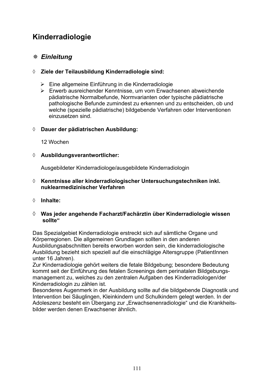# **Kinderradiologie**

# *Einleitung*

# ¡ **Ziele der Teilausbildung Kinderradiologie sind:**

- ¾ Eine allgemeine Einführung in die Kinderradiologie
- ¾ Erwerb ausreichender Kenntnisse, um vom Erwachsenen abweichende pädiatrische Normalbefunde, Normvarianten oder typische pädiatrische pathologische Befunde zumindest zu erkennen und zu entscheiden, ob und welche (spezielle pädiatrische) bildgebende Verfahren oder Interventionen einzusetzen sind.

### ¡ **Dauer der pädiatrischen Ausbildung:**

12 Wochen

### ¡ **Ausbildungsverantwortlicher:**

Ausgebildeter Kinderradiologe/ausgebildete Kinderradiologin

- ¡ **Kenntnisse aller kinderradiologischer Untersuchungstechniken inkl. nuklearmedizinischer Verfahren**
- ¡ **Inhalte:**

#### ¡ **Was jeder angehende Facharzt/Fachärztin über Kinderradiologie wissen sollte"**

Das Spezialgebiet Kinderradiologie erstreckt sich auf sämtliche Organe und Körperregionen. Die allgemeinen Grundlagen sollten in den anderen Ausbildungsabschnitten bereits erworben worden sein, die kinderradiologische Ausbildung bezieht sich speziell auf die einschlägige Altersgruppe (PatientInnen unter 16 Jahren).

Zur Kinderradiologie gehört weiters die fetale Bildgebung; besondere Bedeutung kommt seit der Einführung des fetalen Screenings dem perinatalen Bildgebungsmanagement zu, welches zu den zentralen Aufgaben des Kinderradiologen/der Kinderradiologin zu zählen ist.

Besonderes Augenmerk in der Ausbildung sollte auf die bildgebende Diagnostik und Intervention bei Säuglingen, Kleinkindern und Schulkindern gelegt werden. In der Adoleszenz besteht ein Übergang zur "Erwachsenenradiologie" und die Krankheitsbilder werden denen Erwachsener ähnlich.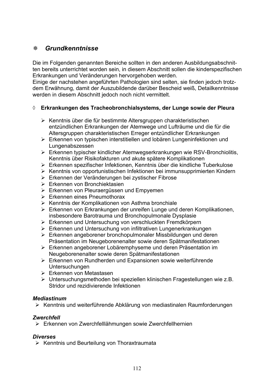# *Grundkenntnisse*

Die im Folgenden genannten Bereiche sollten in den anderen Ausbildungsabschnitten bereits unterrichtet worden sein, in diesem Abschnitt sollen die kinderspezifischen Erkrankungen und Veränderungen hervorgehoben werden.

Einige der nachstehen angeführten Pathologien sind selten, sie finden jedoch trotzdem Erwähnung, damit der Auszubildende darüber Bescheid weiß, Detailkenntnisse werden in diesem Abschnitt jedoch noch nicht vermittelt.

### ¡ **Erkrankungen des Tracheobronchialsystems, der Lunge sowie der Pleura**

- ¾ Kenntnis über die für bestimmte Altersgruppen charakteristischen entzündlichen Erkrankungen der Atemwege und Lufträume und die für die Altersgruppen charakteristischen Erreger entzündlicher Erkrankungen
- ¾ Erkennen von typischen interstitiellen und lobären Lungeninfektionen und Lungenabszessen
- ¾ Erkennen typischer kindlicher Atemwegserkrankungen wie RSV-Bronchiolitis, Kenntnis über Risikofakturen und akute spätere Komplikationen
- ¾ Erkennen spezifischer Infektionen, Kenntnis über die kindliche Tuberkulose
- ¾ Kenntnis von opportunistischen Infektionen bei immunsupprimierten Kindern
- ¾ Erkennen der Veränderungen bei zystischer Fibrose
- ¾ Erkennen von Bronchiektasien
- ¾ Erkennen von Pleuraergüssen und Empyemen
- ¾ Erkennen eines Pneumothorax
- ¾ Kenntnis der Komplikationen von Asthma bronchiale
- ¾ Erkennen von Erkrankungen der unreifen Lunge und deren Komplikationen, insbesondere Barotrauma und Bronchopulmonale Dysplasie
- ¾ Erkennen und Untersuchung von verschluckten Fremdkörpern
- ¾ Erkennen und Untersuchung von infiltrativen Lungenerkrankungen
- ¾ Erkennen angeborener bronchopulmonaler Missbildungen und deren Präsentation im Neugeborenenalter sowie deren Spätmanifestationen
- ¾ Erkennen angeborener Lobäremphyseme und deren Präsentation im Neugeborenenalter sowie deren Spätmanifestationen
- ¾ Erkennen von Rundherden und Expansionen sowie weiterführende Untersuchungen
- ¾ Erkennen von Metastasen
- ¾ Untersuchungsmethoden bei speziellen klinischen Fragestellungen wie z.B. Stridor und rezidivierende Infektionen

### *Mediastinum*

¾ Kenntnis und weiterführende Abklärung von mediastinalen Raumforderungen

### *Zwerchfell*

¾ Erkennen von Zwerchfelllähmungen sowie Zwerchfellhernien

### *Diverses*

 $\triangleright$  Kenntnis und Beurteilung von Thoraxtraumata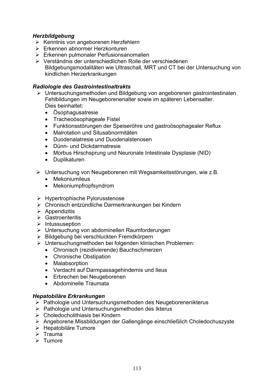## *Herzbildgebung*

- ¾ Kenntnis von angeborenen Herzfehlern
- $\triangleright$  Erkennen abnormer Herzkonturen
- $\triangleright$  Erkennen pulmonaler Perfusionsanomalien
- ¾ Verständnis der unterschiedlichen Rolle der verschiedenen Bildgebungsmodalitäten wie Ultraschall, MRT und CT bei der Untersuchung von kindlichen Herzerkrankungen

#### *Radiologie des Gastrointestinaltrakts*

- ¾ Untersuchungsmethoden und Bildgebung von angeborenen gastrointestinalen Fehlbildungen im Neugeborenenalter sowie im späteren Lebensalter. Dies beinhaltet:
	- Ösophagusatresie
	- Tracheoösophageale Fistel
	- Funktionsstörungen der Speiseröhre und gastroösophagealer Reflux
	- Malrotation und Situsabnormitäten
	- Duodenalatresie und Duodenalstenosen
	- $\bullet$  Dünn- und Dickdarmatresie
	- Morbus Hirschsprung und Neuronale Intestinale Dysplasie (NID)
	- Duplikaturen
- ¾ Untersuchung von Neugeborenen mit Wegsamkeitsstörungen, wie z.B.
	- Mekoniumileus
	- Mekoniumpfropfsyndrom
- ¾ Hypertrophische Pylorusstenose
- ¾ Chronisch entzündliche Darmerkrankungen bei Kindern
- $\triangleright$  Appendizitis
- $\triangleright$  Gastroenteritis
- $\triangleright$  Intussuseption
- ¾ Untersuchung von abdominellen Raumforderungen
- ¾ Bildgebung bei verschluckten Fremdkörpern
- ¾ Untersuchungmethoden bei folgenden klinischen Problemen:
	- Chronisch (rezidivierende) Bauchschmerzen
	- Chronische Obstipation
	- Malabsorption
	- Verdacht auf Darmpassagehindernis und Ileus
	- Erbrechen bei Neugeborenen
	- Abdominelle Traumata

### *Hepatobiläre Erkrankungen*

- ¾ Pathologie und Untersuchungsmethoden des Neugeborenenikterus
- ¾ Pathologie und Untersuchungsmethoden des Ikterus
- ¾ Choledocholithiasis bei Kindern
- ¾ Angeborene Missbildungen der Gallengänge einschließlich Choledochuszyste
- ¾ Hepatobiläre Tumore
- $\triangleright$  Trauma
- $\triangleright$  Tumore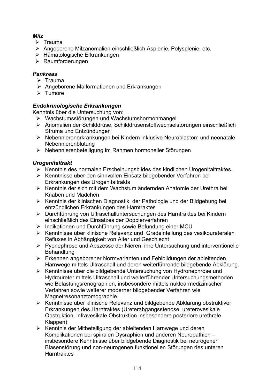# *Milz*

- $\triangleright$  Trauma
- ¾ Angeborene Milzanomalien einschließlich Asplenie, Polysplenie, etc.
- ¾ Hämatologische Erkrankungen
- ¾ Raumforderungen

# *Pankreas*

- $\triangleright$  Trauma
- ¾ Angeborene Malformationen und Erkrankungen
- $\triangleright$  Tumore

# *Endokrinologische Erkrankungen*

Kenntnis über die Untersuchung von:

- ¾ Wachstumsstörungen und Wachstumshormonmangel
- ¾ Anomalien der Schilddrüse, Schilddrüsenstoffwechselstörungen einschließlich Struma und Entzündungen
- ¾ Nebennierenerkrankungen bei Kindern inklusive Neuroblastom und neonatale Nebennierenblutung
- ¾ Nebennierenbeteiligung im Rahmen hormoneller Störungen

# *Urogenitaltrakt*

- ¾ Kenntnis des normalen Erscheinungsbildes des kindlichen Urogenitaltraktes.
- ¾ Kenntnisse über den sinnvollen Einsatz bildgebender Verfahren bei Erkrankungen des Urogenitaltrakts
- ¾ Kenntnis der sich mit dem Wachstum ändernden Anatomie der Urethra bei Knaben und Mädchen
- ¾ Kenntnis der klinischen Diagnostik, der Pathologie und der Bildgebung bei entzündlichen Erkrankungen des Harntraktes
- ¾ Durchführung von Ultraschalluntersuchungen des Harntraktes bei Kindern einschließlich des Einsatzes der Dopplerverfahren
- ¾ Indikationen und Durchführung sowie Befundung einer MCU
- ¾ Kenntnisse über klinische Relevanz und Gradeinteilung des vesikoureteralen Refluxes in Abhängigkeit von Alter und Geschlecht
- ¾ Pyonephrose und Abszesse der Nieren, ihre Untersuchung und interventionelle **Behandlung**
- ¾ Erkennen angeborener Normvarianten und Fehlbildungen der ableitenden Harnwege mittels Ultraschall und deren weiterführende bildgebende Abklärung.
- ¾ Kenntnisse über die bildgebende Untersuchung von Hydronephrose und Hydroureter mittels Ultraschall und weiterführender Untersuchungsmethoden wie Belastungsrenographien, insbesondere mittels nuklearmedizinischer Verfahren sowie weiterer moderner bildgebender Verfahren wie Magnetresonanztomographie
- ¾ Kenntnisse über klinische Relevanz und bildgebende Abklärung obstruktiver Erkrankungen des Harntraktes (Ureterabgangsstenose, ureterovesikale Obstruktion, infravesikale Obstruktion insbesondere posteriore urethrale Klappen)
- ¾ Kenntnis der Mitbeteiligung der ableitenden Harnwege und deren Komplikationen bei spinalen Dysraphien und anderen Neuropathien – insbesondere Kenntnisse über bildgebende Diagnostik bei neurogener Blasenstörung und non-neurogenen funktionellen Störungen des unteren **Harntraktes**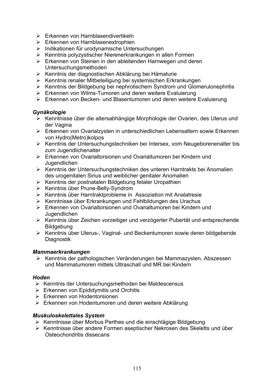- Erkennen von Harnblasendivertikeln
- $\triangleright$  Erkennen von Harnblasenextrophien
- Indikationen für urodynamische Untersuchungen
- Kenntnis polyzystischer Nierenerkrankungen in allen Formen
- Erkennen von Steinen in den ableitenden Harnwegen und deren Untersuchungsmethoden
- Kenntnis der diagnostischen Abklärung bei Hämaturie
- Kenntnis renaler Mitbeteiligung bei systemischen Erkrankungen
- Kenntnis der Bildgebung bei nephrotischem Syndrom und Glomerulonephritis
- Erkennen von Wilms-Tumoren und deren weitere Evaluierung
- Erkennen von Becken- und Blasentumoren und deren weitere Evaluierung

#### *Gynäkologie*

- Kenntnisse über die altersabhängige Morphologie der Ovarien, des Uterus und der Vagina
- Erkennen von Ovarialzysten in unterschiedlichen Lebensaltern sowie Erkennen von Hydro(Metro)kolpos
- Kenntnis der Untersuchungstechniken bei Intersex, vom Neugeborenenalter bis zum Jugendlichenalter
- Erkennen von Ovarialtorsionen und Ovarialtumoren bei Kindern und Jugendlichen
- Kenntnis der Untersuchungstechniken des unteren Harntrakts bei Anomalien des urogenitalen Sinus und weiblicher genitaler Anomalien
- Kenntnis der postnatalen Bildgebung fetaler Uropathien
- Kenntnis über Prune-Belly-Syndrom
- Kenntnis über Harntraktprobleme in Assoziation mit Analatresie
- Kenntnisse über Erkrankungen und Fehlbildungen des Urachus
- Erkennen von Ovarialtorsionen und Ovarialtumoren bei Kindern und Jugendlichen
- Kenntnis über Zeichen vorzeitiger und verzögerter Pubertät und entsprechende **Bildgebung**
- Kenntnis über Uterus-, Vaginal- und Beckentumoren sowie deren bildgebende Diagnostik

#### *Mammaerkrankungen*

 Kenntnis der pathologischen Veränderungen bei Mammazysten, Abszessen und Mammatumoren mittels Ultraschall und MR bei Kindern

#### *Hoden*

- Kenntnis der Untersuchungsmethoden bei Maldescensus
- $\triangleright$  Erkennen von Epididymitis und Orchitis
- Erkennen von Hodentorsionen
- Erkennen von Hodentumoren und deren weitere Abklärung

#### *Muskuloskelettales System*

- Kenntnisse über Morbus Perthes und die einschlägige Bildgebung
- Kenntnisse über andere Formen aseptischer Nekrosen des Skeletts und über Osteochondritis dissecans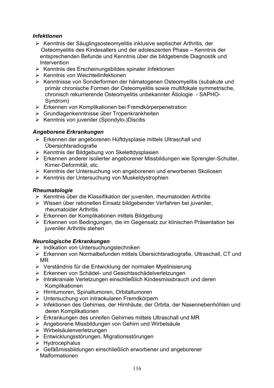# *Infektionen*

- ¾ Kenntnis der Säuglingsosteomyelitis inklusive septischer Arthritis, der Osteomyelitis des Kindesalters und der adoleszenten Phase – Kenntnis der entsprechenden Befunde und Kenntnis über die bildgebende Diagnostik und Intervention
- $\triangleright$  Kenntnis des Erscheinungsbildes spinaler Infektionen
- ¾ Kenntnis von Weichteilinfektionen
- ¾ Kenntnisse von Sonderformen der hämatogenen Osteomyelitis (subakute und primär chronische Formen der Osteomyelitis sowie multifokale symmetrische, chronisch rekurrierende Osteomyelitis unbekannter Ätiologie - SAPHO-Syndrom)
- ¾ Erkennen von Komplikationen bei Fremdkörperpenetration
- ¾ Grundlagenkenntnisse über Tropenkrankheiten
- ¾ Kenntnis von juveniler (Spondylo-)Discitis

#### *Angeborene Erkrankungen*

- ¾ Erkennen der angeborenen Hüftdysplasie mittels Ultraschall und Übersichtsradiografie
- ¾ Kenntnis der Bildgebung von Skelettdysplasien
- ¾ Erkennen anderer isolierter angeborener Missbildungen wie Sprengler-Schulter, Kirner-Deformität, etc.
- ¾ Kenntnis der Untersuchung von angeborenen und erworbenen Skoliosen
- ¾ Kenntnis der Untersuchung von Muskeldystrophien

#### *Rheumatologie*

- ¾ Kenntnis über die Klassifikation der juvenilen, rheumatoiden Arthritis
- ¾ Wissen über rationellen Einsatz bildgebender Verfahren bei juveniler, rheumatoider Arthritis
- ¾ Erkennen der Komplikationen mittels Bildgebung
- ¾ Erkennen von Bedingungen, die im Gegensatz zur klinischen Präsentation bei juveniler Arthritis stehen

### *Neurologische Erkrankungen*

- ¾ Indikation von Untersuchungstechniken
- ¾ Erkennen von Normalbefunden mittels Übersichtsradiografie, Ultraschall, CT und MR
- ¾ Verständnis für die Entwicklung der normalen Myelinisierung
- ¾ Erkennen von Schädel- und Gesichtsschädelverletzungen
- ¾ Intrakraniale Verletzungen einschließlich Kindesmissbrauch und deren Komplikationen
- ¾ Hirntumoren, Spinaltumoren, Orbitaltumoren
- ¾ Untersuchung von intraokularen Fremdkörpern
- ¾ Infektionen des Gehirnes, der Hirnhäute, der Orbita, der Nasennebenhöhlen und deren Komplikationen
- ¾ Erkrankungen des unreifen Gehirnes mittels Ultraschall und MR
- ¾ Angeborene Missbildungen von Gehirn und Wirbelsäule
- ¾ Wirbelsäulenverletzungen
- ¾ Entwicklungsstörungen, Migrationsstörungen
- $\triangleright$  Hydrocephalus
- ¾ Gefäßmissbildungen einschließlich erworbener und angeborener Malformationen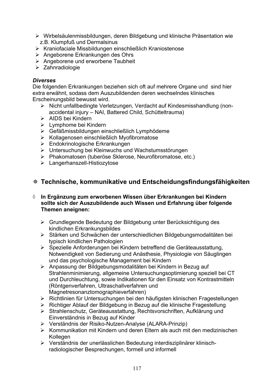- ¾ Wirbelsäulenmissbildungen, deren Bildgebung und klinische Präsentation wie z.B. Klumpfuß und Dermalsinus
- ¾ Kraniofaciale Missbildungen einschließlich Kraniostenose
- ¾ Angeborene Erkrankungen des Ohrs
- $\triangleright$  Angeborene und erworbene Taubheit
- ¾ Zahnradiologie

#### *Diverses*

Die folgenden Erkrankungen beziehen sich oft auf mehrere Organe und sind hier extra erwähnt, sodass dem Auszubildenden deren wechselndes klinisches Erscheinungsbild bewusst wird.

- ¾ Nicht unfallbedingte Verletzungen, Verdacht auf Kindesmisshandlung (nonaccidental injury – NAI, Battered Child, Schütteltrauma)
- ¾ AIDS bei Kindern
- ¾ Lymphome bei Kindern
- ¾ Gefäßmissbildungen einschließlich Lymphödeme
- ¾ Kollagenosen einschließlich Myofibromatose
- ¾ Endokrinologische Erkrankungen
- ¾ Untersuchung bei Kleinwuchs und Wachstumsstörungen
- ¾ Phakomatosen (tuberöse Sklerose, Neurofibromatose, etc.)
- ¾ Langerhanszell-Histiozytose

# **Technische, kommunikative und Entscheidungsfindungsfähigkeiten**

#### ¡ **In Ergänzung zum erworbenen Wissen über Erkrankungen bei Kindern sollte sich der Auszubildende auch Wissen und Erfahrung über folgende Themen aneignen:**

- ¾ Grundlegende Bedeutung der Bildgebung unter Berücksichtigung des kindlichen Erkrankungsbildes
- ¾ Stärken und Schwächen der unterschiedlichen Bildgebungsmodalitäten bei typisch kindlichen Pathologien
- ¾ Spezielle Anforderungen bei Kindern betreffend die Geräteausstattung, Notwendigkeit von Sedierung und Anästhesie, Physiologie von Säuglingen und das psychologische Management bei Kindern
- ¾ Anpassung der Bildgebungsmodalitäten bei Kindern in Bezug auf Strahlenminimierung, allgemeine Untersuchungsoptimierung speziell bei CT und Durchleuchtung, sowie Indikationen für den Einsatz von Kontrastmitteln (Röntgenverfahren, Ultraschallverfahren und Magnetresonanztomographieverfahren)
- ¾ Richtlinien für Untersuchungen bei den häufigsten klinischen Fragestellungen
- ¾ Richtiger Ablauf der Bildgebung in Bezug auf die klinische Fragestellung
- ¾ Strahlenschutz, Geräteausstattung, Rechtsvorschriften, Aufklärung und Einverständnis in Bezug auf Kinder
- ¾ Verständnis der Risiko-Nutzen-Analyse (ALARA-Prinzip)
- $\triangleright$  Kommunikation mit Kindern und deren Eltern als auch mit den medizinischen **Kollegen**
- ¾ Verständnis der unerlässlichen Bedeutung interdisziplinärer klinischradiologischer Besprechungen, formell und informell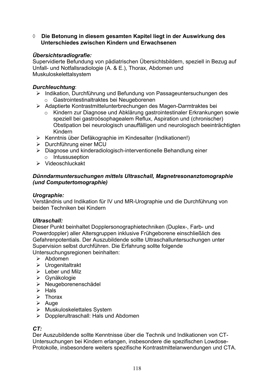¡ **Die Betonung in diesem gesamten Kapitel liegt in der Auswirkung des Unterschiedes zwischen Kindern und Erwachsenen** 

# *Übersichtsradiografie:*

Supervidierte Befundung von pädiatrischen Übersichtsbildern, speziell in Bezug auf Unfall- und Notfallsradiologie (A. & E.), Thorax, Abdomen und Muskuloskelettalsystem

### *Durchleuchtung*:

- ¾ Indikation, Durchführung und Befundung von Passageuntersuchungen des
	- o Gastrointestinaltraktes bei Neugeborenen
- ¾ Adaptierte Kontrastmittelunterbrechungen des Magen-Darmtraktes bei
	- o Kindern zur Diagnose und Abklärung gastrointestinaler Erkrankungen sowie speziell bei gastroösophagealem Reflux, Aspiration und (chronischer) Obstipation bei neurologisch unauffälligen und neurologisch beeinträchtigten Kindern
- ¾ Kenntnis über Defäkographie im Kindesalter (Indikationen!)
- ¾ Durchführung einer MCU
- ¾ Diagnose und kinderadiologisch-interventionelle Behandlung einer o Intussuseption
- ¾ Videoschluckakt

#### *Dünndarmuntersuchungen mittels Ultraschall, Magnetresonanztomographie (und Computertomographie)*

#### *Urographie:*

Verständnis und Indikation für IV und MR-Urographie und die Durchführung von beiden Techniken bei Kindern

### *Ultraschall:*

Dieser Punkt beinhaltet Dopplersonographietechniken (Duplex-, Farb- und Powerdoppler) aller Altersgruppen inklusive Frühgeborene einschließlich des Gefahrenpotentials. Der Auszubildende sollte Ultraschalluntersuchungen unter Supervision selbst durchführen. Die Erfahrung sollte folgende Untersuchungsregionen beinhalten:

- $\triangleright$  Abdomen
- $\triangleright$  Urogenitaltrakt
- $\triangleright$  Leber und Milz
- ¾ Gynäkologie
- ¾ Neugeborenenschädel
- $\triangleright$  Hals
- $\triangleright$  Thorax
- $\triangleright$  Auge
- $\triangleright$  Muskuloskelettales System
- ¾ Dopplerultraschall: Hals und Abdomen

### *CT:*

Der Auszubildende sollte Kenntnisse über die Technik und Indikationen von CT-Untersuchungen bei Kindern erlangen, insbesondere die spezifischen Lowdose-Protokolle, insbesondere weiters spezifische Kontrastmittelanwendungen und CTA.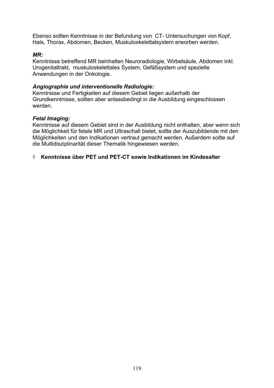Ebenso sollten Kenntnisse in der Befundung von CT- Untersuchungen von Kopf, Hals, Thorax, Abdomen, Becken, Muskuloskelettalsystem erworben werden.

#### *MR:*

Kenntnisse betreffend MR beinhalten Neuroradiologie, Wirbelsäule, Abdomen inkl. Urogenitaltrakt, muskuloskelettales System, Gefäßsystem und spezielle Anwendungen in der Onkologie.

#### *Angiographie und interventionelle Radiologie:*

Kenntnisse und Fertigkeiten auf diesem Gebiet liegen außerhalb der Grundkenntnisse, sollten aber anlassbedingt in die Ausbildung eingeschlossen werden.

#### *Fetal Imaging:*

Kenntnisse auf diesem Gebiet sind in der Ausbildung nicht enthalten, aber wenn sich die Möglichkeit für fetale MR und Ultraschall bietet, sollte der Auszubildende mit den Möglichkeiten und den Indikationen vertraut gemacht werden. Außerdem sollte auf die Multidisziplinarität dieser Thematik hingewiesen werden.

#### ¡ **Kenntnisse über PET und PET-CT sowie Indikationen im Kindesalter**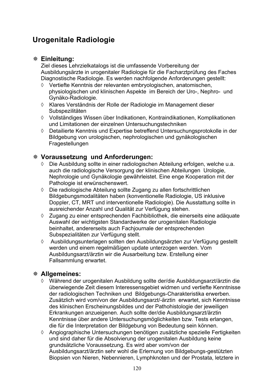# **Urogenitale Radiologie**

# **Einleitung:**

Ziel dieses Lehrzielkatalogs ist die umfassende Vorbereitung der Ausbildungsärzte in urogenitaler Radiologie für die Facharztprüfung des Faches Diagnostische Radiologie. Es werden nachfolgende Anforderungen gestellt:

- $\Diamond$  Vertiefte Kenntnis der relevanten embryologischen, anatomischen, physiologischen und klinischen Aspekte im Bereich der Uro-, Nephro- und Gynäko-Radiologie.
- ¡ Klares Verständnis der Rolle der Radiologie im Management dieser **Subspezilitäten**
- ¡ Vollständiges Wissen über Indikationen, Kontraindikationen, Komplikationen und Limitationen der einzelnen Untersuchungstechniken
- $\Diamond$  Detailierte Kenntnis und Expertise betreffend Untersuchungsprotokolle in der Bildgebung von urologischen, nephrologischen und gynäkologischen Fragestellungen

# **Voraussetzung und Anforderungen:**

- $\Diamond$  Die Ausbildung sollte in einer radiologischen Abteilung erfolgen, welche u.a. auch die radiologische Versorgung der klinischen Abteilungen Urologie, Nephrologie und Gynäkologie gewährleistet. Eine enge Kooperation mit der Pathologie ist erwünschenswert.
- $\Diamond$  Die radiologische Abteilung sollte Zugang zu allen fortschrittlichen Bildgebungsmodalitäten haben (konventionelle Radiologie, US inklusive Doppler, CT, MRT und interventionelle Radiologie). Die Ausstattung sollte in ausreichender Anzahl und Qualität zur Verfügung stehen.
- $\Diamond$  Zugang zu einer entsprechenden Fachbibliothek, die einerseits eine adäquate Auswahl der wichtigsten Standardwerke der urogenitalen Radiologie beinhaltet, andererseits auch Fachjournale der entsprechenden Subspezialitäten zur Verfügung stellt.
- ¡ Ausbildungsunterlagen sollten den Ausbildungsärzten zur Verfügung gestellt werden und einem regelmäßigen update unterzogen werden. Vom Ausbildungsarzt/ärztin wir die Ausarbeitung bzw. Erstellung einer Fallsammlung erwartet.

# **Allgemeines:**

- ¡ Während der urogenitalen Ausbildung sollte der/die Ausbildungsarzt/ärztin die überwiegende Zeit diesem Interessensgebiet widmen und vertiefte Kenntnisse der radiologischen Techniken und Bildgebungs-Charakteristika erwerben. Zusätzlich wird vom/von der Ausbildungsarzt/-ärztin erwartet, sich Kenntnisse des klinischen Erscheinungsbildes und der Pathohistologie der jeweiligen Erkrankungen anzueigenen. Auch sollte der/die Ausbildungsarzt/ärztin Kenntnisse über andere Untersuchungsmöglichkeiten bzw. Tests erlangen, die für die Interpretation der Bildgebung von Bedeutung sein können.
- $\Diamond$  Angiographische Untersuchungen benötigen zusätzliche spezielle Fertigkeiten und sind daher für die Absolvierung der urogenitalen Ausbildung keine grundsätzliche Voraussetzung. Es wird aber vom/von der Ausbildungsarzt/ärztin sehr wohl die Erlernung von Bildgebungs-gestützten Biopsien von Nieren, Nebennieren, Lymphknoten und der Prostata, letztere in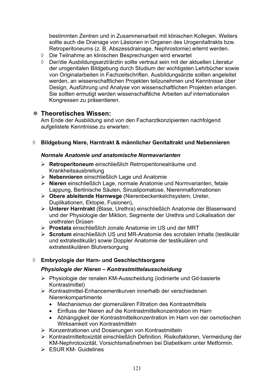bestimmten Zentren und in Zusammenarbeit mit klinischen Kollegen. Weiters sollte auch die Drainage von Läsionen in Organen des Urogenitaltrakts bzw. Retroperitoneums (z. B. Abszessdrainage, Nephrostomie) erlernt werden.

- $\lozenge$  Die Teilnahme an klinischen Besprechungen wird erwartet
- ¡ Der/die Ausbildungsarzt/ärztin sollte vertraut sein mit der aktuellen Literatur der urogenitalen Bildgebung durch Studium der wichtigsten Lehrbücher sowie von Originalarbeiten in Fachzeitschriften. Ausbildungsärzte sollten angeleitet werden, an wissenschaftlichen Projekten teilzunehmen und Kenntnisse über Design, Ausführung und Analyse von wissenschaftlichen Projekten erlangen. Sie sollten ermutigt werden wissenschaftliche Arbeiten auf internationalen Kongressen zu präsentieren.

### **Theoretisches Wissen:**

Am Ende der Ausbildung sind von den Facharztkonzipienten nachfolgend aufgelistete Kenntnisse zu erwarten:

#### ¡ **Bildgebung Niere, Harntrakt & männlicher Genitaltrakt und Nebennieren**

#### *Normale Anatomie und anatomische Normavarianten*

- ¾ **Retroperitoneum** einschließlich Retrroperitonealräume und Krankheitsausbreitung
- ¾ **Nebennieren** einschließlich Lage und Anatomie
- ¾ **Nieren** einschließlich Lage, normale Anatomie und Normvarianten, fetale Lappung, Bertinische Säulen, Sinuslipomatose, Nierenmalformationen
- ¾ **Obere ableitende Harnwege** (Nierenbeckenkelchsystem, Ureter, Duplikationen, Ektopie, Fusionen),
- ¾ **Unterer Harntrakt** (Blase, Urethra) einschließlich Anatomie der Blasenwand und der Physiologie der Miktion, Segmente der Urethra und Lokalisation der urethralen Drüsen
- ¾ **Prostata** einschließlich zonale Anatomie im US und der MRT
- ¾ **Scrotum** einschließlich US und MR-Anatomie des scrotalen Inhalts (testikulär und extratestikulär) sowie Doppler Anatomie der testikulären und extratestikulären Blutversorgung

#### ¡ **Embryologie der Harn- und Geschlechtsorgane**

#### *Physiologie der Nieren – Kontrastmittelausscheidung*

- ¾ Physiologie der renalen KM-Ausscheidung (iodinierte und Gd-basierte Kontrastmittel)
- ¾ Kontrastmittel-Enhancementkurven innerhalb der verschiedenen Nierenkompartimente
	- Mechanismus der glomerulären Filtration des Kontrastmittels
	- x Einfluss der Nieren auf die Kontrastmittelkonzentration im Harn
	- Abhängigkeit der Kontrastmittelkonzentration im Harn von der osmotischen Wirksamkeit von Kontrastmitteln
- ¾ Konzentrationen und Dosierungen von Kontrastmitteln
- ¾ Kontrastmitteltoxizität einschließlich Definition, Risikofaktoren, Vermeidung der KM-Nephrotoxizität, Vorsichtsmaßnehmen bei Diabetikern unter Metformin.
- $\triangleright$  FSUR KM- Guidelines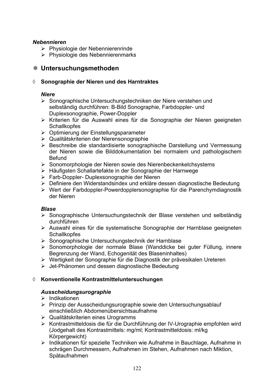### *Nebennieren*

- ¾ Physiologie der Nebennierenrinde
- ¾ Physiologie des Nebennierenmarks

# **Untersuchungsmethoden**

#### ¡ **Sonographie der Nieren und des Harntraktes**

#### *Niere*

- ¾ Sonographische Untersuchungstechniken der Niere verstehen und selbständig durchführen: B-Bild Sonographie, Farbdoppler- und Duplexsonographie, Power-Doppler
- ¾ Kriterien für die Auswahl eines für die Sonographie der Nieren geeigneten **Schallkopfes**
- ¾ Optimierung der Einstellungsparameter
- ¾ Qualitätskriterien der Nierensonographie
- ¾ Beschreibe die standardisierte sonographische Darstellung und Vermessung der Nieren sowie die Bilddokumentation bei normalem und pathologischem **Befund**
- ¾ Sonomorphologie der Nieren sowie des Nierenbeckenkelchsystems
- ¾ Häufigsten Schallartefakte in der Sonographie der Harnwege
- ¾ Farb-Doppler- Duplexsonographie der Nieren
- ¾ Definiere den Widerstandsindex und erkläre dessen diagnostische Bedeutung
- ¾ Wert der Farbdoppler-Powerdopplersonographie für die Parenchymdiagnostik der Nieren

#### *Blase*

- ¾ Sonographische Untersuchungstechnik der Blase verstehen und selbständig durchführen
- ¾ Auswahl eines für die systematische Sonographie der Harnblase geeigneten **Schallkopfes**
- ¾ Sonographische Untersuchungstechnik der Harnblase
- ¾ Sonomorphologie der normale Blase (Wanddicke bei guter Füllung, innere Begrenzung der Wand, Echogenität des Blaseninhaltes)
- ¾ Wertigkeit der Sonographie für die Diagnostik der prävesikalen Ureteren
- ¾ Jet-Phänomen und dessen diagnostische Bedeutung

### ¡ **Konventionelle Kontrastmitteluntersuchungen**

### *Ausscheidungsurographie*

- $\triangleright$  Indikationen
- ¾ Prinzip der Ausscheidungsurographie sowie den Untersuchungsablauf einschließlich Abdomenübersichtsaufnahme
- ¾ Qualitätskriterien eines Urogramms
- ¾ Kontrastmitteldosis die für die Durchführung der IV-Urographie empfohlen wird (Jodgehalt des Kontrastmittels: mg/ml; Kontrastmitteldosis: ml/kg Körpergewicht)
- ¾ Indikationen für spezielle Techniken wie Aufnahme in Bauchlage, Aufnahme in schrägen Durchmessern, Aufnahmen im Stehen, Aufnahmen nach Miktion, Spätaufnahmen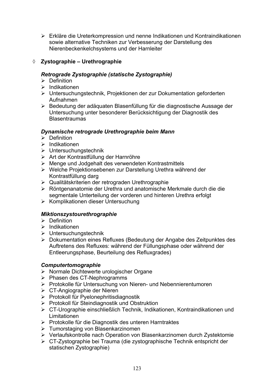¾ Erkläre die Ureterkompression und nenne Indikationen und Kontraindikationen sowie alternative Techniken zur Verbesserung der Darstellung des Nierenbeckenkelchsystems und der Harnleiter

# ¡ **Zystographie – Urethrographie**

### *Retrograde Zystographie (statische Zystographie)*

- $\triangleright$  Definition
- $\triangleright$  Indikationen
- ¾ Untersuchungstechnik, Projektionen der zur Dokumentation geforderten Aufnahmen
- ¾ Bedeutung der adäquaten Blasenfüllung für die diagnostische Aussage der Untersuchung unter besonderer Berücksichtigung der Diagnostik des **Blasentraumas**

#### *Dynamische retrograde Urethrographie beim Mann*

- $\triangleright$  Definition
- $\blacktriangleright$  Indikationen
- ¾ Untersuchungstechnik
- ¾ Art der Kontrastfüllung der Harnröhre
- ¾ Menge und Jodgehalt des verwendeten Kontrastmittels
- ¾ Welche Projektionsebenen zur Darstellung Urethra während der Kontrastfüllung darg
- ¾ Qualitätskriterien der retrograden Urethrographie
- ¾ Röntgenanatomie der Urethra und anatomische Merkmale durch die die segmentale Unterteilung der vorderen und hinteren Urethra erfolgt
- ¾ Komplikationen dieser Untersuchung

### *Miktionszystourethrographie*

- $\triangleright$  Definition
- $\triangleright$  Indikationen
- ¾ Untersuchungstechnik
- ¾ Dokumentation eines Refluxes (Bedeutung der Angabe des Zeitpunktes des Auftretens des Refluxes: während der Füllungsphase oder während der Entleerungsphase, Beurteilung des Refluxgrades)

#### *Computertomographie*

- ¾ Normale Dichtewerte urologischer Organe
- ¾ Phasen des CT-Nephrogramms
- ¾ Protokolle für Untersuchung von Nieren- und Nebennierentumoren
- ¾ CT-Angiographie der Nieren
- ¾ Protokoll für Pyelonephritisdiagnostik
- ¾ Protokoll für Steindiagnostik und Obstruktion
- ¾ CT-Urographie einschließlich Technik, Indikationen, Kontraindikationen und Limitationen
- ¾ Protokolle für die Diagnostik des unteren Harntraktes
- ¾ Tumorstaging von Blasenkarzinomen
- ¾ Verlaufskontrolle nach Operation von Blasenkarzinomen durch Zystektomie
- ¾ CT-Zystographie bei Trauma (die zystographische Technik entspricht der statischen Zystographie)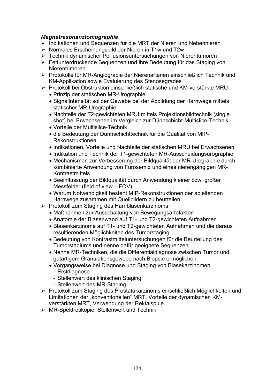#### *Magnetresonanztomographie*

- ¾ Indikationen und Sequenzen für die MRT der Nieren und Nebennieren
- ¾ Normales Erscheinungsbild der Nieren in T1w und T2w
- ¾ Technik dynamischer Perfusionsuntersuchungen von Nierentumoren
- ¾ Fettunterdrückende Sequenzen und ihre Bedeutung für das Staging von Nierentumoren
- ¾ Protokolle für MR-Angiograpie der Nierenarterien einschließlich Technik und KM-Applikation sowie Evaluierung des Stenosegrades
- ¾ Protokoll bei Obstruktion einschließlich statische und KM-verstärkte MRU
	- Prinzip der statischen MR-Urographie
	- Signalintensität solider Gewebe bei der Abbildung der Harnwege mittels statischer MR-Urographie
	- Nachteile der T2-gewichteten MRU mittels Projektionsbildtechnik (single shot) bei Erwachsenen im Vergleich zur Dünnschicht-Multislice-Technik
	- Vorteile der Multislice-Technik
	- x die Bedeutung der Dünnschichttechnik für die Qualität von MIP-Rekonstruktionen
	- Indikationen, Vorteile und Nachteile der statischen MRU bei Erwachsenen
	- Indikation und Technik der T1-gewichteten MR-Ausscheidungsurographie
	- Mechanismen zur Verbesserung der Bildqualität der MR-Urographie durch kombinierte Anwendung von Furosemid und eines nierengängigen MR-**Kontrastmittels**
	- Beeinflussung der Bildqualität durch Anwendung kleiner bzw. großer Messfelder (field of view – FOV)
	- Warum Notwendigkeit besteht MIP-Rekonstruktionen der ableitenden Harnwege zusammen mit Quellbildern zu beurteilen
- ¾ Protokoll zum Staging des Harnblasenkarzinoms
	- Maßnahmen zur Ausschaltung von Bewegungsartefakten
	- Anatomie der Blasenwand auf T1- und T2-gewichteten Aufnahmen
	- Blasenkarzinome auf T1- und T2-gewichteten Aufnahmen und die daraus resultierenden Möglichkeiten des Tumorstaging
	- Bedeutung von Kontrastmitteluntersuchungen für die Beurteilung des Tumorstadiums und nenne dafür geeignete Sequenzen
	- Nenne MR-Techniken, die die Differentialdiagnose zwischen Tumor und gutartigem Granulationsgewebe nach Biopsie ermöglichen
	- Vorgangsweise bei Diagnose und Staging von Blasekarzinomen
		- Erstdiagnose
		- Stellenwert des klinischen Staging
		- Stellenwert des MR-Staging
- ¾ Protokoll zum Staging des Prostatakarzinoms einschließlich Möglichkeiten und Limitationen der "konventionellen" MRT, Vorteile der dynamischen KMverstärkten MRT, Verwendung der Rektalspule
- ¾ MR-Spektroskopie, Stellenwert und Technik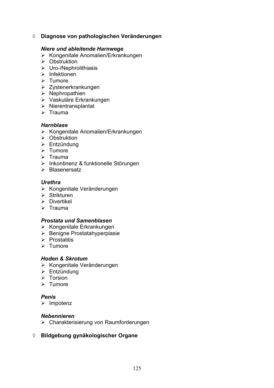¡ **Diagnose von pathologischen Veränderungen** 

#### *Niere und ableitende Harnwege*

- ¾ Kongenitale Anomalien/Erkrankungen
- ¾ Obstruktion
- $\triangleright$  Uro-/Nephrolithiasis
- $\triangleright$  Infektionen
- ¾ Tumore
- ¾ Zystenerkrankungen
- $\triangleright$  Nephropathien
- ¾ Vaskuläre Erkrankungen
- $\triangleright$  Nierentransplantat
- $\triangleright$  Trauma

#### *Harnblase*

- ¾ Kongenitale Anomalien/Erkrankungen
- $\triangleright$  Obstruktion
- $\triangleright$  Entzündung
- $\triangleright$  Tumore
- $\triangleright$  Trauma
- ¾ Inkontinenz & funktionelle Störungen
- ¾ Blasenersatz

#### *Urethra*

- ¾ Kongenitale Veränderungen
- $\triangleright$  Strikturen
- $\triangleright$  Divertikel
- $\triangleright$  Trauma

#### *Prostata und Samenblasen*

- $\triangleright$  Kongenitale Erkrankungen
- ¾ Benigne Prostatahyperplasie
- $\triangleright$  Prostatitis
- $\triangleright$  Tumore

#### *Hoden & Skrotum*

- ¾ Kongenitale Veränderungen
- $\triangleright$  Entzündung
- $\triangleright$  Torsion
- $\triangleright$  Tumore

#### *Penis*

 $\triangleright$  Impotenz

#### *Nebennieren*

- ¾ Charakterisierung von Raumforderungen
- ¡ **Bildgebung gynäkologischer Organe**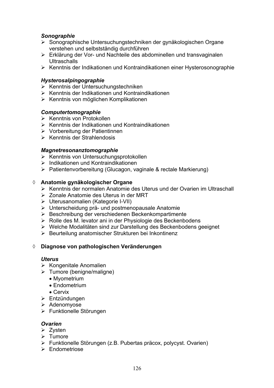#### *Sonographie*

- ¾ Sonographische Untersuchungstechniken der gynäkologischen Organe verstehen und selbstständig durchführen
- ¾ Erklärung der Vor- und Nachteile des abdominellen und transvaginalen **Ultraschalls**
- ¾ Kenntnis der Indikationen und Kontraindikationen einer Hysterosonographie

#### *Hysterosalpingographie*

- ¾ Kenntnis der Untersuchungstechniken
- ¾ Kenntnis der Indikationen und Kontraindikationen
- ¾ Kenntnis von möglichen Komplikationen

#### *Computertomographie*

- ¾ Kenntnis von Protokollen
- $\triangleright$  Kenntnis der Indikationen und Kontraindikationen
- ¾ Vorbereitung der Patientinnen
- ¾ Kenntnis der Strahlendosis

#### *Magnetresonanztomographie*

- ¾ Kenntnis von Untersuchungsprotokollen
- $\triangleright$  Indikationen und Kontraindikationen
- ¾ Patientenvorbereitung (Glucagon, vaginale & rectale Markierung)

#### ¡ **Anatomie gynäkologischer Organe**

- ¾ Kenntnis der normalen Anatomie des Uterus und der Ovarien im Ultraschall
- ¾ Zonale Anatomie des Uterus in der MRT
- ¾ Uterusanomalien (Kategorie I-VII)
- ¾ Unterscheidung prä- und postmenopausale Anatomie
- ¾ Beschreibung der verschiedenen Beckenkompartimente
- ¾ Rolle des M. levator ani in der Physiologie des Beckenbodens
- ¾ Welche Modalitäten sind zur Darstellung des Beckenbodens geeignet
- ¾ Beurteilung anatomischer Strukturen bei Inkontinenz

#### ¡ **Diagnose von pathologischen Veränderungen**

#### *Uterus*

- $\triangleright$  Kongenitale Anomalien
- $\triangleright$  Tumore (benigne/maligne)
	- Myometrium
	- $\bullet$  Endometrium
	- x Cervix
- ¾ Entzündungen
- ¾ Adenomyose
- ¾ Funktionelle Störungen

#### *Ovarien*

- $\triangleright$  Zysten
- ¾ Tumore
- ¾ Funktionelle Störungen (z.B. Pubertas präcox, polycyst. Ovarien)
- ¾ Endometriose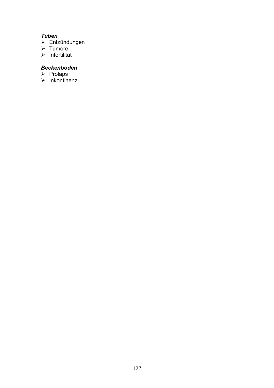# *Tuben*

- Entzündungen
- Tumore
- Infertilität

# *Beckenboden*

- Prolaps
- Inkontinenz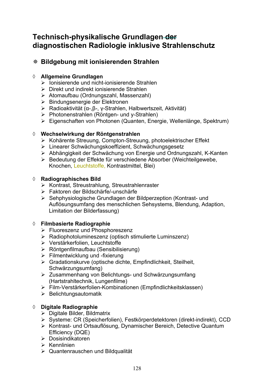# **Technisch-physikalische Grundlagen der diagnostischen Radiologie inklusive Strahlenschutz**

# **Bildgebung mit ionisierenden Strahlen**

## ¡ **Allgemeine Grundlagen**

- $\triangleright$  Ionisierende und nicht-ionisierende Strahlen
- $\triangleright$  Direkt und indirekt ionisierende Strahlen
- ¾ Atomaufbau (Ordnungszahl, Massenzahl)
- ¾ Bindungsenergie der Elektronen
- $\triangleright$  Radioaktivität ( $\alpha$ -, $\beta$ -, y-Strahlen, Halbwertszeit, Aktivität)
- ¾ Photonenstrahlen (Röntgen- und y-Strahlen)
- ¾ Eigenschaften von Photonen (Quanten, Energie, Wellenlänge, Spektrum)

# ¡ **Wechselwirkung der Röntgenstrahlen**

- ¾ Kohärente Streuung, Compton-Streuung, photoelektrischer Effekt
- ¾ Linearer Schwächungskoeffizient, Schwächungsgesetz
- ¾ Abhängigkeit der Schwächung von Energie und Ordnungszahl, K-Kanten
- ¾ Bedeutung der Effekte für verschiedene Absorber (Weichteilgewebe, Knochen, Leuchtstoffe, Kontrastmittel, Blei)

### ¡ **Radiographisches Bild**

- ¾ Kontrast, Streustrahlung, Streustrahlenraster
- ¾ Faktoren der Bildschärfe/-unschärfe
- ¾ Sehphysiologische Grundlagen der Bildperzeption (Kontrast- und Auflösungsumfang des menschlichen Sehsystems, Blendung, Adaption, Limitation der Bilderfassung)

# ¡ **Filmbasierte Radiographie**

- ¾ Fluoreszenz und Phosphoreszenz
- ¾ Radiophotolumineszenz (optisch stimulierte Luminszenz)
- ¾ Verstärkerfolien, Leuchtstoffe
- ¾ Röntgenfilmaufbau (Sensibilisierung)
- $\triangleright$  Filmentwicklung und -fixierung
- ¾ Gradationskurve (optische dichte, Empfindlichkeit, Steilheit, Schwärzungsumfang)
- ¾ Zusammenhang von Belichtungs- und Schwärzungsumfang (Hartstrahltechnik, Lungenfilme)
- ¾ Film-Verstärkerfolien-Kombinationen (Empfindlichkeitsklassen)
- $\triangleright$  Belichtungsautomatik

# ¡ **Digitale Radiographie**

- $\triangleright$  Digitale Bilder, Bildmatrix
- ¾ Systeme: CR (Speicherfolien), Festkörperdetektoren (direkt-indirekt), CCD
- ¾ Kontrast- und Ortsauflösung, Dynamischer Bereich, Detective Quantum Efficiency (DQE)
- ¾ Dosisindikatoren
- $\triangleright$  Kennlinien
- ¾ Quantenrauschen und Bildqualität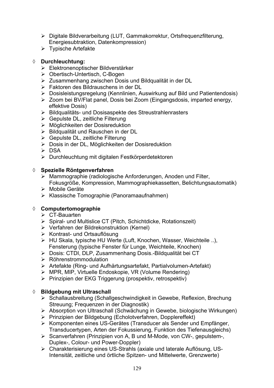- Digitale Bildverarbeitung (LUT, Gammakorrektur, Ortsfrequenzfilterung, Energiesubtraktion, Datenkompression)
- Typische Artefakte

## ¡ **Durchleuchtung:**

- Elektronenoptischer Bildverstärker
- Obertisch-Untertisch, C-Bogen
- Zusammenhang zwischen Dosis und Bildqualität in der DL
- Faktoren des Bildrauschens in der DL
- Dosisleistungsregelung (Kennlinien, Auswirkung auf Bild und Patientendosis)
- Zoom bei BV/Flat panel, Dosis bei Zoom (Eingangsdosis, imparted energy, effektive Dosis)
- Bildqualitäts- und Dosisaspekte des Streustrahlenrasters
- Gepulste DL, zeitliche Filterung
- Möglichkeiten der Dosisreduktion
- Bildqualität und Rauschen in der DL
- $\triangleright$  Gepulste DL, zeitliche Filterung
- Dosis in der DL, Möglichkeiten der Dosisreduktion
- DSA
- Durchleuchtung mit digitalen Festkörperdetektoren

### ¡ **Spezielle Röntgenverfahren**

- Mammographie (radiologische Anforderungen, Anoden und Filter, Fokusgröße, Kompression, Mammographiekassetten, Belichtungsautomatik)
- Mobile Geräte
- Klassische Tomographie (Panoramaaufnahmen)

### ¡ **Computertomographie**

- $\triangleright$  CT-Bauarten
- Spiral- und Multislice CT (Pitch, Schichtdicke, Rotationszeit)
- Verfahren der Bildrekonstruktion (Kernel)
- Kontrast- und Ortsauflösung
- HU Skala, typische HU Werte (Luft, Knochen, Wasser, Weichteile ..), Fensterung (typische Fenster für Lunge, Weichteile, Knochen)
- Dosis: CTDI, DLP, Zusammenhang Dosis.-Bildqualität bei CT
- $\triangleright$  Röhrenstrommodulation
- Artefakte (Ring- und Aufhärtungsartefakt, Partialvolumen-Artefakt)
- MPR, MIP, Virtuelle Endoskopie, VR (Volume Rendering)
- Prinzipien der EKG Triggerung (prospektiv, retrospektiv)

### **♦ Bildgebung mit Ultraschall**

- Schallausbreitung (Schallgeschwindigkeit in Gewebe, Reflexion, Brechung Streuung; Frequenzen in der Diagnostik)
- Absorption von Ultraschall (Schwächung in Gewebe, biologische Wirkungen)
- Prinzipien der Bildgebung (Echolotverfahren, Dopplereffekt)
- Komponenten eines US-Gerätes (Transducer als Sender und Empfänger, Transducertypen, Arten der Fokussierung, Funktion des Tiefenausgleichs)
- Scanverfahren (Prinzipien von A, B und M-Mode, von CW-, gepulstem-, Duplex-, Colour- und Power-Doppler)
- Charakterisierung eines US-Strahls (axiale und laterale Auflösung, US- Intensität, zeitliche und örtliche Spitzen- und Mittelwerte, Grenzwerte)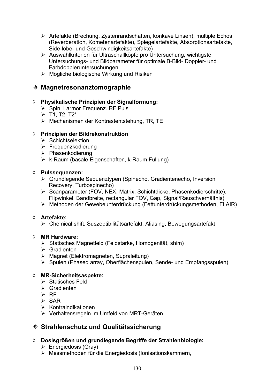- ¾ Artefakte (Brechung, Zystenrandschatten, konkave Linsen), multiple Echos (Reverberation, Kometenartefakte), Spiegelartefakte, Absorptionsartefakte, Side-lobe- und Geschwindigkeitsartefakte)
- ¾ Auswahlkriterien für Ultraschallköpfe pro Untersuchung, wichtigste Untersuchungs- und Bildparameter für optimale B-Bild- Doppler- und Farbdoppleruntersuchungen
- ¾ Mögliche biologische Wirkung und Risiken

## **Magnetresonanztomographie**

#### ¡ **Physikalische Prinzipien der Signalformung:**

- ¾ Spin, Larmor Frequenz. RF Puls
- $\triangleright$  T1, T2, T2\*
- ¾ Mechanismen der Kontrastentstehung, TR, TE

#### ¡ **Prinzipien der Bildrekonstruktion**

- $\triangleright$  Schichtselektion
- $\triangleright$  Frequenzkodierung
- ¾ Phasenkodierung
- $\triangleright$  k-Raum (basale Eigenschaften, k-Raum Füllung)

#### ¡ **Pulssequenzen:**

- ¾ Grundlegende Sequenztypen (Spinecho, Gradientenecho, Inversion Recovery, Turbospinecho)
- ¾ Scanparameter (FOV, NEX, Matrix, Schichtdicke, Phasenkodierschritte), Flipwinkel, Bandbreite, rectangular FOV, Gap, Signal/Rauschverhältnis)
- ¾ Methoden der Gewebeunterdrückung (Fettunterdrückungsmethoden, FLAIR)

#### ¡ **Artefakte:**

¾ Chemical shift, Suszeptibilitätsartefakt, Aliasing, Bewegungsartefakt

#### ¡ **MR Hardware:**

- ¾ Statisches Magnetfeld (Feldstärke, Homogenität, shim)
- $\triangleright$  Gradienten
- ¾ Magnet (Elektromagneten, Supraleitung)
- ¾ Spulen (Phased array, Oberflächenspulen, Sende- und Empfangsspulen)

### ¡ **MR-Sicherheitsaspekte:**

- $\triangleright$  Statisches Feld
- $\triangleright$  Gradienten
- $\triangleright$  RF
- $\triangleright$  SAR
- $\triangleright$  Kontraindikationen
- ¾ Verhaltensregeln im Umfeld von MRT-Geräten

# **Strahlenschutz und Qualitätssicherung**

- ¡ **Dosisgrößen und grundlegende Begriffe der Strahlenbiologie:** 
	- $\triangleright$  Energiedosis (Gray)
	- ¾ Messmethoden für die Energiedosis (Ionisationskammern,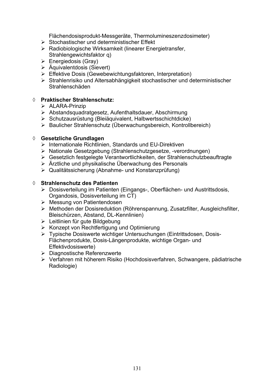Flächendosisprodukt-Messgeräte, Thermolumineszenzdosimeter)

- $\triangleright$  Stochastischer und deterministischer Effekt
- ¾ Radiobiologische Wirksamkeit (linearer Energietransfer, Strahlengewichtsfaktor q)
- $\triangleright$  Energiedosis (Gray)
- $\triangleright$  Äquivalentdosis (Sievert)
- ¾ Effektive Dosis (Gewebewichtungsfaktoren, Interpretation)
- ¾ Strahlenrisiko und Altersabhängigkeit stochastischer und deterministischer Strahlenschäden

#### ¡ **Praktischer Strahlenschutz:**

- $\triangleright$  ALARA-Prinzip
- ¾ Abstandsquadratgesetz, Aufenthaltsdauer, Abschirmung
- ¾ Schutzausrüstung (Bleiäquivalent, Halbwertsschichtdicke)
- ¾ Baulicher Strahlenschutz (Überwachungsbereich, Kontrollbereich)

#### ¡ **Gesetzliche Grundlagen**

- $\triangleright$  Internationale Richtlinien, Standards und EU-Direktiven
- ¾ Nationale Gesetzgebung (Strahlenschutzgesetze, -verordnungen)
- ¾ Gesetzlich festgelegte Verantwortlichkeiten, der Strahlenschutzbeauftragte
- ¾ Ärztliche und physikalische Überwachung des Personals
- ¾ Qualitätssicherung (Abnahme- und Konstanzprüfung)

#### ¡ **Strahlenschutz des Patienten**

- ¾ Dosisverteilung im Patienten (Eingangs-, Oberflächen- und Austrittsdosis, Organdosis, Dosisverteilung im CT)
- ¾ Messung von Patientendosen
- ¾ Methoden der Dosisreduktion (Röhrenspannung, Zusatzfilter, Ausgleichsfilter, Bleischürzen, Abstand, DL-Kennlinien)
- ¾ Leitlinien für gute Bildgebung
- ¾ Konzept von Rechtfertigung und Optimierung
- ¾ Typische Dosiswerte wichtiger Untersuchungen (Eintrittsdosen, Dosis-Flächenprodukte, Dosis-Längenprodukte, wichtige Organ- und Effektivdosiswerte)
- ¾ Diagnostische Referenzwerte
- ¾ Verfahren mit höherem Risiko (Hochdosisverfahren, Schwangere, pädiatrische Radiologie)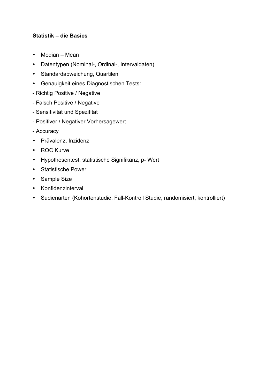## **Statistik – die Basics**

- Median Mean
- Datentypen (Nominal-, Ordinal-, Intervaldaten)
- Standardabweichung, Quartilen
- Genauigkeit eines Diagnostischen Tests:
- Richtig Positive / Negative
- Falsch Positive / Negative
- Sensitivität und Spezifität
- Positiver / Negativer Vorhersagewert
- Accuracy
- Prävalenz, Inzidenz
- ROC Kurve
- Hypothesentest, statistische Signifikanz, p- Wert
- Statistische Power
- Sample Size
- Konfidenzinterval
- Sudienarten (Kohortenstudie, Fall-Kontroll Studie, randomisiert, kontrolliert)